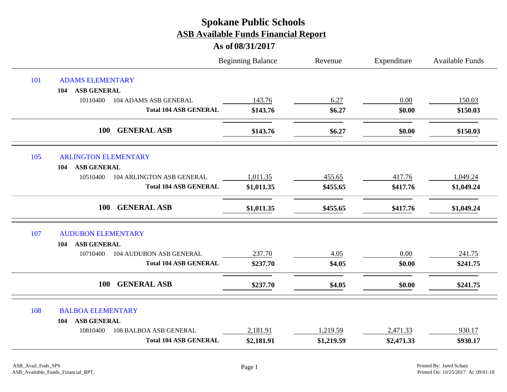|     |                                            | <b>Beginning Balance</b> | Revenue    | Expenditure | Available Funds |
|-----|--------------------------------------------|--------------------------|------------|-------------|-----------------|
| 101 | <b>ADAMS ELEMENTARY</b>                    |                          |            |             |                 |
|     | <b>ASB GENERAL</b><br>104                  |                          |            |             |                 |
|     | 10110400<br>104 ADAMS ASB GENERAL          | 143.76                   | 6.27       | 0.00        | 150.03          |
|     | <b>Total 104 ASB GENERAL</b>               | \$143.76                 | \$6.27     | \$0.00      | \$150.03        |
|     | 100<br><b>GENERAL ASB</b>                  | \$143.76                 | \$6.27     | \$0.00      | \$150.03        |
| 105 | <b>ARLINGTON ELEMENTARY</b>                |                          |            |             |                 |
|     | <b>ASB GENERAL</b><br>104                  |                          |            |             |                 |
|     | 10510400<br>104 ARLINGTON ASB GENERAL      | 1,011.35                 | 455.65     | 417.76      | 1,049.24        |
|     | <b>Total 104 ASB GENERAL</b>               | \$1,011.35               | \$455.65   | \$417.76    | \$1,049.24      |
|     | <b>GENERAL ASB</b><br>100                  | \$1,011.35               | \$455.65   | \$417.76    | \$1,049.24      |
| 107 | <b>AUDUBON ELEMENTARY</b>                  |                          |            |             |                 |
|     | <b>ASB GENERAL</b><br>104                  |                          |            |             |                 |
|     | <b>104 AUDUBON ASB GENERAL</b><br>10710400 | 237.70                   | 4.05       | 0.00        | 241.75          |
|     | <b>Total 104 ASB GENERAL</b>               | \$237.70                 | \$4.05     | \$0.00      | \$241.75        |
|     | 100<br><b>GENERAL ASB</b>                  | \$237.70                 | \$4.05     | \$0.00      | \$241.75        |
| 108 | <b>BALBOA ELEMENTARY</b>                   |                          |            |             |                 |
|     | <b>ASB GENERAL</b><br>104                  |                          |            |             |                 |
|     | 108 BALBOA ASB GENERAL<br>10810400         | 2,181.91                 | 1,219.59   | 2,471.33    | 930.17          |
|     | <b>Total 104 ASB GENERAL</b>               | \$2,181.91               | \$1,219.59 | \$2,471.33  | \$930.17        |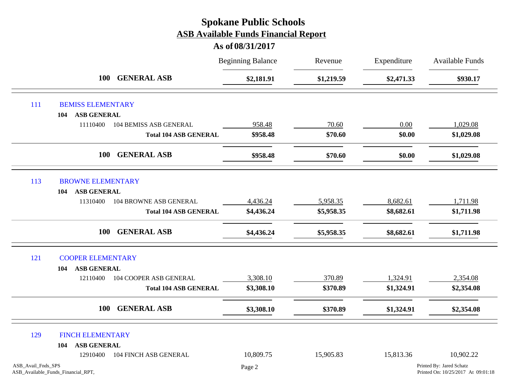|                    |                                           | <b>Beginning Balance</b> | Revenue    | Expenditure | Available Funds                                                |
|--------------------|-------------------------------------------|--------------------------|------------|-------------|----------------------------------------------------------------|
|                    | <b>GENERAL ASB</b><br>100                 | \$2,181.91               | \$1,219.59 | \$2,471.33  | \$930.17                                                       |
| 111                | <b>BEMISS ELEMENTARY</b>                  |                          |            |             |                                                                |
|                    | <b>ASB GENERAL</b><br>104                 |                          |            |             |                                                                |
|                    | 11110400<br><b>104 BEMISS ASB GENERAL</b> | 958.48                   | 70.60      | 0.00        | 1,029.08                                                       |
|                    | <b>Total 104 ASB GENERAL</b>              | \$958.48                 | \$70.60    | \$0.00      | \$1,029.08                                                     |
|                    | <b>GENERAL ASB</b><br><b>100</b>          | \$958.48                 | \$70.60    | \$0.00      | \$1,029.08                                                     |
| 113                | <b>BROWNE ELEMENTARY</b>                  |                          |            |             |                                                                |
|                    | <b>ASB GENERAL</b><br>104                 |                          |            |             |                                                                |
|                    | <b>104 BROWNE ASB GENERAL</b><br>11310400 | 4,436.24                 | 5,958.35   | 8,682.61    | 1,711.98                                                       |
|                    | <b>Total 104 ASB GENERAL</b>              | \$4,436.24               | \$5,958.35 | \$8,682.61  | \$1,711.98                                                     |
|                    | <b>GENERAL ASB</b><br><b>100</b>          | \$4,436.24               | \$5,958.35 | \$8,682.61  | \$1,711.98                                                     |
| 121                | <b>COOPER ELEMENTARY</b>                  |                          |            |             |                                                                |
|                    | <b>ASB GENERAL</b><br>104                 |                          |            |             |                                                                |
|                    | <b>104 COOPER ASB GENERAL</b><br>12110400 | 3,308.10                 | 370.89     | 1,324.91    | 2,354.08                                                       |
|                    | <b>Total 104 ASB GENERAL</b>              | \$3,308.10               | \$370.89   | \$1,324.91  | \$2,354.08                                                     |
|                    | <b>GENERAL ASB</b><br><b>100</b>          | \$3,308.10               | \$370.89   | \$1,324.91  | \$2,354.08                                                     |
| 129                | <b>FINCH ELEMENTARY</b>                   |                          |            |             |                                                                |
|                    | <b>ASB GENERAL</b><br>104                 |                          |            |             |                                                                |
|                    | <b>104 FINCH ASB GENERAL</b><br>12910400  | 10,809.75                | 15,905.83  | 15,813.36   | 10,902.22                                                      |
| ASB_Avail_Fnds_SPS | ASB_Available_Funds_Financial_RPT,        | Page 2                   |            |             | Printed By: Jared Schatz<br>Printed On: 10/25/2017 At 09:01:18 |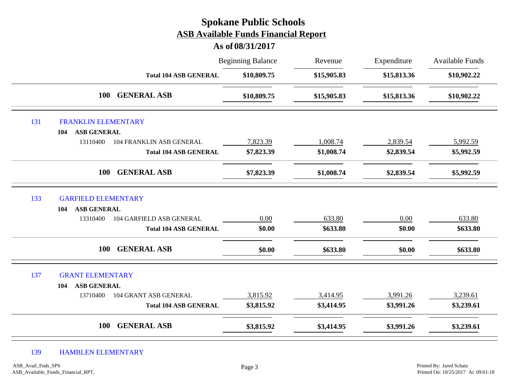|     |                            |                                 | <b>Spokane Public Schools</b><br><b>ASB Available Funds Financial Report</b><br>As of 08/31/2017 |             |             |                        |
|-----|----------------------------|---------------------------------|--------------------------------------------------------------------------------------------------|-------------|-------------|------------------------|
|     |                            |                                 | <b>Beginning Balance</b>                                                                         | Revenue     | Expenditure | <b>Available Funds</b> |
|     |                            | <b>Total 104 ASB GENERAL</b>    | \$10,809.75                                                                                      | \$15,905.83 | \$15,813.36 | \$10,902.22            |
|     | 100                        | <b>GENERAL ASB</b>              | \$10,809.75                                                                                      | \$15,905.83 | \$15,813.36 | \$10,902.22            |
| 131 | <b>FRANKLIN ELEMENTARY</b> |                                 |                                                                                                  |             |             |                        |
|     | <b>ASB GENERAL</b><br>104  |                                 |                                                                                                  |             |             |                        |
|     | 13110400                   | <b>104 FRANKLIN ASB GENERAL</b> | 7,823.39                                                                                         | 1,008.74    | 2,839.54    | 5,992.59               |
|     |                            | <b>Total 104 ASB GENERAL</b>    | \$7,823.39                                                                                       | \$1,008.74  | \$2,839.54  | \$5,992.59             |
|     | 100                        | <b>GENERAL ASB</b>              | \$7,823.39                                                                                       | \$1,008.74  | \$2,839.54  | \$5,992.59             |
| 133 | <b>GARFIELD ELEMENTARY</b> |                                 |                                                                                                  |             |             |                        |
|     | <b>ASB GENERAL</b><br>104  |                                 |                                                                                                  |             |             |                        |
|     | 13310400                   | 104 GARFIELD ASB GENERAL        | $0.00\,$                                                                                         | 633.80      | $0.00\,$    | 633.80                 |
|     |                            | <b>Total 104 ASB GENERAL</b>    | \$0.00                                                                                           | \$633.80    | \$0.00      | \$633.80               |
|     | 100                        | <b>GENERAL ASB</b>              | \$0.00                                                                                           | \$633.80    | \$0.00      | \$633.80               |
| 137 | <b>GRANT ELEMENTARY</b>    |                                 |                                                                                                  |             |             |                        |
|     | <b>ASB GENERAL</b><br>104  |                                 |                                                                                                  |             |             |                        |
|     | 13710400                   | 104 GRANT ASB GENERAL           | 3,815.92                                                                                         | 3,414.95    | 3,991.26    | 3,239.61               |
|     |                            | <b>Total 104 ASB GENERAL</b>    | \$3,815.92                                                                                       | \$3,414.95  | \$3,991.26  | \$3,239.61             |
|     | 100                        | <b>GENERAL ASB</b>              | \$3,815.92                                                                                       | \$3,414.95  | \$3,991.26  | \$3,239.61             |

#### 139 HAMBLEN ELEMENTARY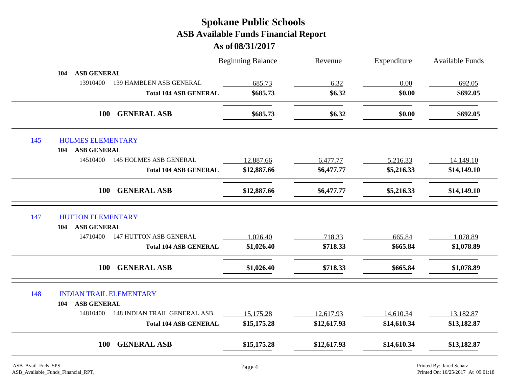|     |                                                 | <b>Beginning Balance</b> | Revenue     | Expenditure | <b>Available Funds</b> |
|-----|-------------------------------------------------|--------------------------|-------------|-------------|------------------------|
|     | <b>ASB GENERAL</b><br>104                       |                          |             |             |                        |
|     | 13910400<br>139 HAMBLEN ASB GENERAL             | 685.73                   | 6.32        | 0.00        | 692.05                 |
|     | <b>Total 104 ASB GENERAL</b>                    | \$685.73                 | \$6.32      | \$0.00      | \$692.05               |
|     | <b>GENERAL ASB</b><br><b>100</b>                | \$685.73                 | \$6.32      | \$0.00      | \$692.05               |
| 145 | <b>HOLMES ELEMENTARY</b>                        |                          |             |             |                        |
|     | <b>ASB GENERAL</b><br>104                       |                          |             |             |                        |
|     | 14510400<br><b>145 HOLMES ASB GENERAL</b>       | 12,887.66                | 6,477.77    | 5,216.33    | 14,149.10              |
|     | <b>Total 104 ASB GENERAL</b>                    | \$12,887.66              | \$6,477.77  | \$5,216.33  | \$14,149.10            |
|     | <b>GENERAL ASB</b><br><b>100</b>                | \$12,887.66              | \$6,477.77  | \$5,216.33  | \$14,149.10            |
| 147 | <b>HUTTON ELEMENTARY</b>                        |                          |             |             |                        |
|     | <b>ASB GENERAL</b><br>104                       |                          |             |             |                        |
|     | <b>147 HUTTON ASB GENERAL</b><br>14710400       | 1,026.40                 | 718.33      | 665.84      | 1,078.89               |
|     | <b>Total 104 ASB GENERAL</b>                    | \$1,026.40               | \$718.33    | \$665.84    | \$1,078.89             |
|     | 100<br><b>GENERAL ASB</b>                       | \$1,026.40               | \$718.33    | \$665.84    | \$1,078.89             |
| 148 | <b>INDIAN TRAIL ELEMENTARY</b>                  |                          |             |             |                        |
|     | <b>ASB GENERAL</b><br>104                       |                          |             |             |                        |
|     | 14810400<br><b>148 INDIAN TRAIL GENERAL ASB</b> | 15,175.28                | 12,617.93   | 14,610.34   | 13,182.87              |
|     | <b>Total 104 ASB GENERAL</b>                    | \$15,175.28              | \$12,617.93 | \$14,610.34 | \$13,182.87            |
|     | 100<br><b>GENERAL ASB</b>                       | \$15,175.28              | \$12,617.93 | \$14,610.34 | \$13,182.87            |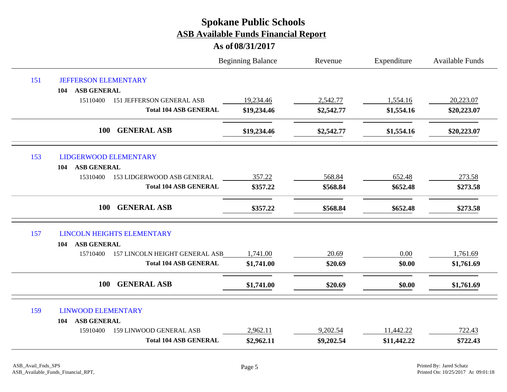|     |                                              | <b>Beginning Balance</b> | Revenue    | Expenditure | Available Funds |
|-----|----------------------------------------------|--------------------------|------------|-------------|-----------------|
| 151 | <b>JEFFERSON ELEMENTARY</b>                  |                          |            |             |                 |
|     | <b>ASB GENERAL</b><br>104                    |                          |            |             |                 |
|     | 15110400<br><b>151 JEFFERSON GENERAL ASB</b> | 19,234.46                | 2,542.77   | 1,554.16    | 20,223.07       |
|     | <b>Total 104 ASB GENERAL</b>                 | \$19,234.46              | \$2,542.77 | \$1,554.16  | \$20,223.07     |
|     | 100<br><b>GENERAL ASB</b>                    | \$19,234.46              | \$2,542.77 | \$1,554.16  | \$20,223.07     |
| 153 | <b>LIDGERWOOD ELEMENTARY</b>                 |                          |            |             |                 |
|     | <b>ASB GENERAL</b><br>104                    |                          |            |             |                 |
|     | 15310400<br>153 LIDGERWOOD ASB GENERAL       | 357.22                   | 568.84     | 652.48      | 273.58          |
|     | <b>Total 104 ASB GENERAL</b>                 | \$357.22                 | \$568.84   | \$652.48    | \$273.58        |
|     | <b>GENERAL ASB</b><br>100                    | \$357.22                 | \$568.84   | \$652.48    | \$273.58        |
| 157 | <b>LINCOLN HEIGHTS ELEMENTARY</b>            |                          |            |             |                 |
|     | <b>ASB GENERAL</b><br>104                    |                          |            |             |                 |
|     | 157 LINCOLN HEIGHT GENERAL ASB<br>15710400   | 1,741.00                 | 20.69      | 0.00        | 1,761.69        |
|     | <b>Total 104 ASB GENERAL</b>                 | \$1,741.00               | \$20.69    | \$0.00      | \$1,761.69      |
|     | <b>GENERAL ASB</b><br>100                    | \$1,741.00               | \$20.69    | \$0.00      | \$1,761.69      |
| 159 | <b>LINWOOD ELEMENTARY</b>                    |                          |            |             |                 |
|     | <b>ASB GENERAL</b><br>104                    |                          |            |             |                 |
|     | <b>159 LINWOOD GENERAL ASB</b><br>15910400   | 2,962.11                 | 9,202.54   | 11,442.22   | 722.43          |
|     | <b>Total 104 ASB GENERAL</b>                 | \$2,962.11               | \$9,202.54 | \$11,442.22 | \$722.43        |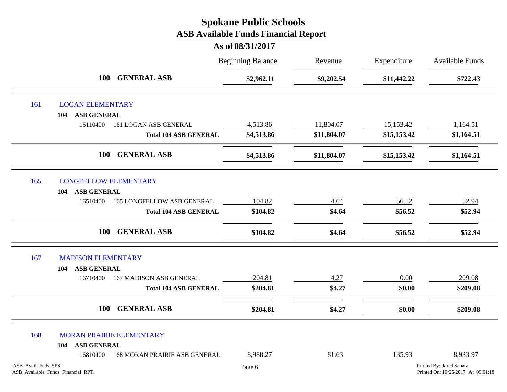|                    |                                                  | <b>Beginning Balance</b> | Revenue     | Expenditure | <b>Available Funds</b>                                         |
|--------------------|--------------------------------------------------|--------------------------|-------------|-------------|----------------------------------------------------------------|
|                    | 100 GENERAL ASB                                  | \$2,962.11               | \$9,202.54  | \$11,442.22 | \$722.43                                                       |
| 161                | <b>LOGAN ELEMENTARY</b>                          |                          |             |             |                                                                |
|                    | <b>ASB GENERAL</b><br>104                        |                          |             |             |                                                                |
|                    | 16110400<br>161 LOGAN ASB GENERAL                | 4,513.86                 | 11,804.07   | 15,153.42   | 1,164.51                                                       |
|                    | <b>Total 104 ASB GENERAL</b>                     | \$4,513.86               | \$11,804.07 | \$15,153.42 | \$1,164.51                                                     |
|                    | <b>GENERAL ASB</b><br><b>100</b>                 | \$4,513.86               | \$11,804.07 | \$15,153.42 | \$1,164.51                                                     |
| 165                | <b>LONGFELLOW ELEMENTARY</b>                     |                          |             |             |                                                                |
|                    | <b>ASB GENERAL</b><br>104                        |                          |             |             |                                                                |
|                    | <b>165 LONGFELLOW ASB GENERAL</b><br>16510400    | 104.82                   | 4.64        | 56.52       | 52.94                                                          |
|                    | <b>Total 104 ASB GENERAL</b>                     | \$104.82                 | \$4.64      | \$56.52     | \$52.94                                                        |
|                    | <b>GENERAL ASB</b><br><b>100</b>                 | \$104.82                 | \$4.64      | \$56.52     | \$52.94                                                        |
| 167                | <b>MADISON ELEMENTARY</b>                        |                          |             |             |                                                                |
|                    | <b>ASB GENERAL</b><br>104                        |                          |             |             |                                                                |
|                    | <b>167 MADISON ASB GENERAL</b><br>16710400       | 204.81                   | 4.27        | 0.00        | 209.08                                                         |
|                    | <b>Total 104 ASB GENERAL</b>                     | \$204.81                 | \$4.27      | \$0.00      | \$209.08                                                       |
|                    | <b>GENERAL ASB</b><br><b>100</b>                 | \$204.81                 | \$4.27      | \$0.00      | \$209.08                                                       |
| 168                | <b>MORAN PRAIRIE ELEMENTARY</b>                  |                          |             |             |                                                                |
|                    | <b>ASB GENERAL</b><br>104                        |                          |             |             |                                                                |
|                    | <b>168 MORAN PRAIRIE ASB GENERAL</b><br>16810400 | 8,988.27                 | 81.63       | 135.93      | 8,933.97                                                       |
| ASB_Avail_Fnds_SPS | ASB_Available_Funds_Financial_RPT,               | Page 6                   |             |             | Printed By: Jared Schatz<br>Printed On: 10/25/2017 At 09:01:18 |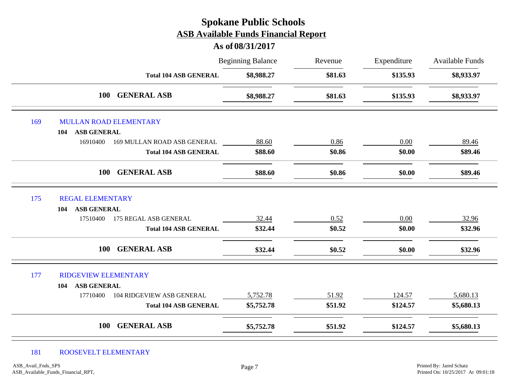#### **As of 08/31/2017**

|     |                                              | <b>Beginning Balance</b> | Revenue | Expenditure | <b>Available Funds</b> |  |
|-----|----------------------------------------------|--------------------------|---------|-------------|------------------------|--|
|     | <b>Total 104 ASB GENERAL</b>                 | \$8,988.27               | \$81.63 |             | \$8,933.97             |  |
|     | <b>GENERAL ASB</b><br><b>100</b>             | \$8,988.27               | \$81.63 | \$135.93    | \$8,933.97             |  |
| 169 | <b>MULLAN ROAD ELEMENTARY</b>                |                          |         |             |                        |  |
|     | <b>ASB GENERAL</b><br>104                    |                          |         |             |                        |  |
|     | 16910400<br>169 MULLAN ROAD ASB GENERAL      | 88.60                    | 0.86    | 0.00        | 89.46                  |  |
|     | <b>Total 104 ASB GENERAL</b>                 | \$88.60                  | \$0.86  | \$0.00      | \$89.46                |  |
|     | <b>GENERAL ASB</b><br><b>100</b>             | \$88.60                  | \$0.86  | \$0.00      | \$89.46                |  |
| 175 | <b>REGAL ELEMENTARY</b>                      |                          |         |             |                        |  |
|     | <b>ASB GENERAL</b><br>104                    |                          |         |             |                        |  |
|     | 17510400<br>175 REGAL ASB GENERAL            | 32.44                    | 0.52    | 0.00        | 32.96                  |  |
|     | <b>Total 104 ASB GENERAL</b>                 | \$32.44                  | \$0.52  | \$0.00      | \$32.96                |  |
|     | <b>GENERAL ASB</b><br><b>100</b>             | \$32.44                  | \$0.52  | \$0.00      | \$32.96                |  |
| 177 | <b>RIDGEVIEW ELEMENTARY</b>                  |                          |         |             |                        |  |
|     | <b>ASB GENERAL</b><br>104                    |                          |         |             |                        |  |
|     | 17710400<br><b>104 RIDGEVIEW ASB GENERAL</b> | 5,752.78                 | 51.92   | 124.57      | 5,680.13               |  |
|     | <b>Total 104 ASB GENERAL</b>                 | \$5,752.78               | \$51.92 | \$124.57    | \$5,680.13             |  |
|     | <b>GENERAL ASB</b><br><b>100</b>             | \$5,752.78               | \$51.92 | \$124.57    | \$5,680.13             |  |

#### 181 ROOSEVELT ELEMENTARY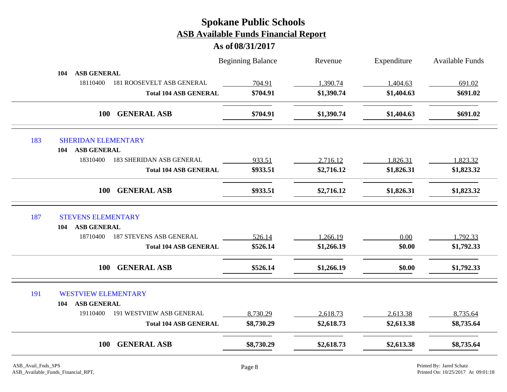|     |                                              | <b>Beginning Balance</b> | Revenue    | Expenditure | <b>Available Funds</b> |
|-----|----------------------------------------------|--------------------------|------------|-------------|------------------------|
|     | <b>ASB GENERAL</b><br>104                    |                          |            |             |                        |
|     | 18110400<br><b>181 ROOSEVELT ASB GENERAL</b> | 704.91                   | 1,390.74   | 1,404.63    | 691.02                 |
|     | <b>Total 104 ASB GENERAL</b>                 | \$704.91                 | \$1,390.74 | \$1,404.63  | \$691.02               |
|     | <b>GENERAL ASB</b><br><b>100</b>             | \$704.91                 | \$1,390.74 | \$1,404.63  | \$691.02               |
| 183 | <b>SHERIDAN ELEMENTARY</b>                   |                          |            |             |                        |
|     | <b>ASB GENERAL</b><br>104                    |                          |            |             |                        |
|     | 18310400<br><b>183 SHERIDAN ASB GENERAL</b>  | 933.51                   | 2,716.12   | 1,826.31    | 1,823.32               |
|     | <b>Total 104 ASB GENERAL</b>                 | \$933.51                 | \$2,716.12 | \$1,826.31  | \$1,823.32             |
|     | <b>GENERAL ASB</b><br><b>100</b>             | \$933.51                 | \$2,716.12 | \$1,826.31  | \$1,823.32             |
| 187 | <b>STEVENS ELEMENTARY</b>                    |                          |            |             |                        |
|     | <b>ASB GENERAL</b><br>104                    |                          |            |             |                        |
|     | 18710400<br><b>187 STEVENS ASB GENERAL</b>   | 526.14                   | 1,266.19   | 0.00        | 1,792.33               |
|     | <b>Total 104 ASB GENERAL</b>                 | \$526.14                 | \$1,266.19 | \$0.00      | \$1,792.33             |
|     | <b>GENERAL ASB</b><br><b>100</b>             | \$526.14                 | \$1,266.19 | \$0.00      | \$1,792.33             |
| 191 | <b>WESTVIEW ELEMENTARY</b>                   |                          |            |             |                        |
|     | <b>ASB GENERAL</b><br>104                    |                          |            |             |                        |
|     | 191 WESTVIEW ASB GENERAL<br>19110400         | 8,730.29                 | 2,618.73   | 2,613.38    | 8,735.64               |
|     | <b>Total 104 ASB GENERAL</b>                 | \$8,730.29               | \$2,618.73 | \$2,613.38  | \$8,735.64             |
|     |                                              | \$8,730.29               |            | \$2,613.38  | \$8,735.64             |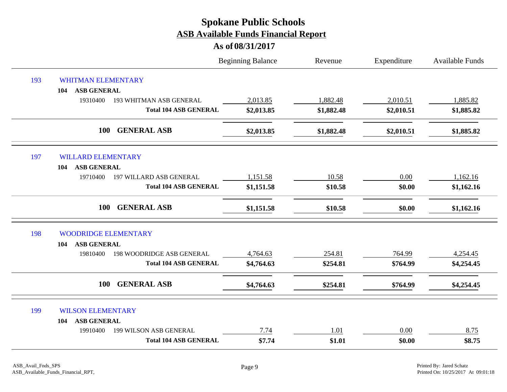|     |                                            | <b>Beginning Balance</b> | Revenue    | Expenditure | <b>Available Funds</b> |
|-----|--------------------------------------------|--------------------------|------------|-------------|------------------------|
| 193 | <b>WHITMAN ELEMENTARY</b>                  |                          |            |             |                        |
|     | <b>ASB GENERAL</b><br>104                  |                          |            |             |                        |
|     | 19310400<br><b>193 WHITMAN ASB GENERAL</b> | 2,013.85                 | 1,882.48   | 2,010.51    | 1,885.82               |
|     | <b>Total 104 ASB GENERAL</b>               | \$2,013.85               | \$1,882.48 | \$2,010.51  | \$1,885.82             |
|     | 100<br><b>GENERAL ASB</b>                  | \$2,013.85               | \$1,882.48 | \$2,010.51  | \$1,885.82             |
| 197 | <b>WILLARD ELEMENTARY</b>                  |                          |            |             |                        |
|     | <b>ASB GENERAL</b><br>104                  |                          |            |             |                        |
|     | 19710400<br><b>197 WILLARD ASB GENERAL</b> | 1,151.58                 | 10.58      | 0.00        | 1,162.16               |
|     | <b>Total 104 ASB GENERAL</b>               | \$1,151.58               | \$10.58    | \$0.00      | \$1,162.16             |
|     | <b>100</b><br><b>GENERAL ASB</b>           | \$1,151.58               | \$10.58    | \$0.00      | \$1,162.16             |
| 198 | <b>WOODRIDGE ELEMENTARY</b>                |                          |            |             |                        |
|     | <b>ASB GENERAL</b><br>104                  |                          |            |             |                        |
|     | 198 WOODRIDGE ASB GENERAL<br>19810400      | 4,764.63                 | 254.81     | 764.99      | 4,254.45               |
|     | <b>Total 104 ASB GENERAL</b>               | \$4,764.63               | \$254.81   | \$764.99    | \$4,254.45             |
|     | <b>GENERAL ASB</b><br>100                  | \$4,764.63               | \$254.81   | \$764.99    | \$4,254.45             |
| 199 | <b>WILSON ELEMENTARY</b>                   |                          |            |             |                        |
|     | <b>ASB GENERAL</b><br>104                  |                          |            |             |                        |
|     | 19910400<br>199 WILSON ASB GENERAL         | 7.74                     | 1.01       | 0.00        | 8.75                   |
|     | <b>Total 104 ASB GENERAL</b>               | \$7.74                   | \$1.01     | \$0.00      | \$8.75                 |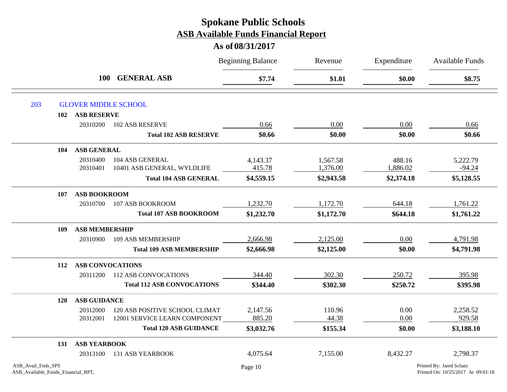|                                                          |                         |                                   | <b>Beginning Balance</b> | Revenue    | Expenditure | Available Funds                                                |
|----------------------------------------------------------|-------------------------|-----------------------------------|--------------------------|------------|-------------|----------------------------------------------------------------|
|                                                          | <b>100</b>              | <b>GENERAL ASB</b>                | \$7.74                   | \$1.01     | \$0.00      | \$8.75                                                         |
| 203                                                      |                         | <b>GLOVER MIDDLE SCHOOL</b>       |                          |            |             |                                                                |
| 102                                                      | <b>ASB RESERVE</b>      |                                   |                          |            |             |                                                                |
|                                                          | 20310200                | <b>102 ASB RESERVE</b>            | 0.66                     | 0.00       | 0.00        | 0.66                                                           |
|                                                          |                         | <b>Total 102 ASB RESERVE</b>      | \$0.66                   | \$0.00     | \$0.00      | \$0.66                                                         |
| 104                                                      | <b>ASB GENERAL</b>      |                                   |                          |            |             |                                                                |
|                                                          | 20310400                | 104 ASB GENERAL                   | 4,143.37                 | 1,567.58   | 488.16      | 5,222.79                                                       |
|                                                          | 20310401                | 10401 ASB GENERAL, WYLDLIFE       | 415.78                   | 1,376.00   | 1,886.02    | $-94.24$                                                       |
|                                                          |                         | <b>Total 104 ASB GENERAL</b>      | \$4,559.15               | \$2,943.58 | \$2,374.18  | \$5,128.55                                                     |
| 107                                                      | <b>ASB BOOKROOM</b>     |                                   |                          |            |             |                                                                |
|                                                          | 20310700                | 107 ASB BOOKROOM                  | 1,232.70                 | 1,172.70   | 644.18      | 1,761.22                                                       |
|                                                          |                         | <b>Total 107 ASB BOOKROOM</b>     | \$1,232.70               | \$1,172.70 | \$644.18    | \$1,761.22                                                     |
| 109                                                      | <b>ASB MEMBERSHIP</b>   |                                   |                          |            |             |                                                                |
|                                                          | 20310900                | 109 ASB MEMBERSHIP                | 2,666.98                 | 2,125.00   | 0.00        | 4,791.98                                                       |
|                                                          |                         | <b>Total 109 ASB MEMBERSHIP</b>   | \$2,666.98               | \$2,125.00 | \$0.00      | \$4,791.98                                                     |
| 112                                                      | <b>ASB CONVOCATIONS</b> |                                   |                          |            |             |                                                                |
|                                                          | 20311200                | <b>112 ASB CONVOCATIONS</b>       | 344.40                   | 302.30     | 250.72      | 395.98                                                         |
|                                                          |                         | <b>Total 112 ASB CONVOCATIONS</b> | \$344.40                 | \$302.30   | \$250.72    | \$395.98                                                       |
| <b>120</b>                                               | <b>ASB GUIDANCE</b>     |                                   |                          |            |             |                                                                |
|                                                          | 20312000                | 120 ASB POSITIVE SCHOOL CLIMAT    | 2,147.56                 | 110.96     | 0.00        | 2,258.52                                                       |
|                                                          | 20312001                | 12001 SERVICE LEARN COMPONENT     | 885.20                   | 44.38      | 0.00        | 929.58                                                         |
|                                                          |                         | <b>Total 120 ASB GUIDANCE</b>     | \$3,032.76               | \$155.34   | \$0.00      | \$3,188.10                                                     |
| 131                                                      | <b>ASB YEARBOOK</b>     |                                   |                          |            |             |                                                                |
|                                                          | 20313100                | <b>131 ASB YEARBOOK</b>           | 4,075.64                 | 7,155.00   | 8,432.27    | 2,798.37                                                       |
| ASB_Avail_Fnds_SPS<br>ASB_Available_Funds_Financial_RPT, |                         |                                   | Page 10                  |            |             | Printed By: Jared Schatz<br>Printed On: 10/25/2017 At 09:01:18 |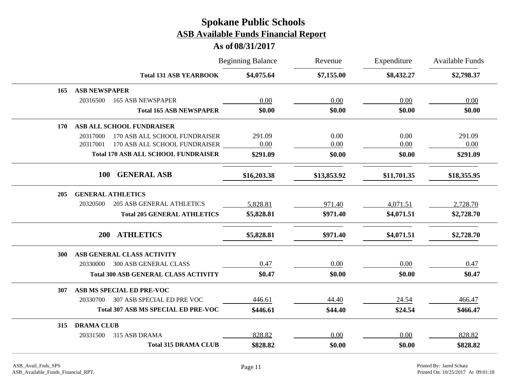|            |                                              | <b>Beginning Balance</b> | Revenue     | Expenditure | Available Funds |
|------------|----------------------------------------------|--------------------------|-------------|-------------|-----------------|
|            | <b>Total 131 ASB YEARBOOK</b>                | \$4,075.64               | \$7,155.00  | \$8,432.27  | \$2,798.37      |
| 165        | <b>ASB NEWSPAPER</b>                         |                          |             |             |                 |
|            | 20316500<br><b>165 ASB NEWSPAPER</b>         | 0.00                     | 0.00        | 0.00        | 0.00            |
|            | <b>Total 165 ASB NEWSPAPER</b>               | \$0.00                   | \$0.00      | \$0.00      | \$0.00          |
| <b>170</b> | ASB ALL SCHOOL FUNDRAISER                    |                          |             |             |                 |
|            | 170 ASB ALL SCHOOL FUNDRAISER<br>20317000    | 291.09                   | 0.00        | 0.00        | 291.09          |
|            | 20317001<br>170 ASB ALL SCHOOL FUNDRAISER    | 0.00                     | 0.00        | 0.00        | 0.00            |
|            | <b>Total 170 ASB ALL SCHOOL FUNDRAISER</b>   | \$291.09                 | \$0.00      | \$0.00      | \$291.09        |
|            | <b>GENERAL ASB</b><br><b>100</b>             | \$16,203.38              | \$13,853.92 | \$11,701.35 | \$18,355.95     |
| 205        | <b>GENERAL ATHLETICS</b>                     |                          |             |             |                 |
|            | 20320500<br><b>205 ASB GENERAL ATHLETICS</b> | 5,828.81                 | 971.40      | 4,071.51    | 2,728.70        |
|            | <b>Total 205 GENERAL ATHLETICS</b>           | \$5,828.81               | \$971.40    | \$4,071.51  | \$2,728.70      |
|            | <b>ATHLETICS</b><br>200                      | \$5,828.81               | \$971.40    | \$4,071.51  | \$2,728.70      |
| 300        | ASB GENERAL CLASS ACTIVITY                   |                          |             |             |                 |
|            | <b>300 ASB GENERAL CLASS</b><br>20330000     | 0.47                     | 0.00        | 0.00        | 0.47            |
|            | <b>Total 300 ASB GENERAL CLASS ACTIVITY</b>  | \$0.47                   | \$0.00      | \$0.00      | \$0.47          |
| 307        | ASB MS SPECIAL ED PRE-VOC                    |                          |             |             |                 |
|            | 307 ASB SPECIAL ED PRE VOC<br>20330700       | 446.61                   | 44.40       | 24.54       | 466.47          |
|            | <b>Total 307 ASB MS SPECIAL ED PRE-VOC</b>   | \$446.61                 | \$44.40     | \$24.54     | \$466.47        |
| 315        | <b>DRAMA CLUB</b>                            |                          |             |             |                 |
|            | 315 ASB DRAMA<br>20331500                    | 828.82                   | 0.00        | 0.00        | 828.82          |
|            | <b>Total 315 DRAMA CLUB</b>                  | \$828.82                 | \$0.00      | \$0.00      | \$828.82        |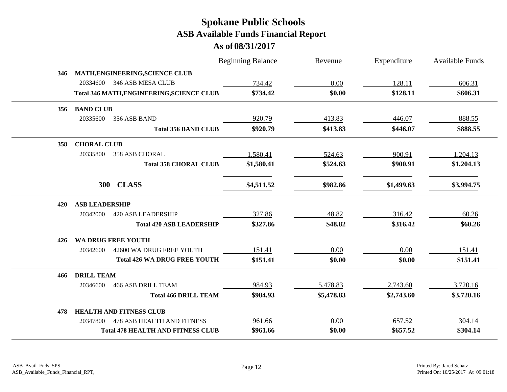|     |                       |                                           | <b>Beginning Balance</b> | Revenue    | Expenditure | <b>Available Funds</b> |
|-----|-----------------------|-------------------------------------------|--------------------------|------------|-------------|------------------------|
| 346 |                       | MATH, ENGINEERING, SCIENCE CLUB           |                          |            |             |                        |
|     | 20334600              | 346 ASB MESA CLUB                         | 734.42                   | 0.00       | 128.11      | 606.31                 |
|     |                       | Total 346 MATH, ENGINEERING, SCIENCE CLUB | \$734.42                 | \$0.00     | \$128.11    | \$606.31               |
| 356 | <b>BAND CLUB</b>      |                                           |                          |            |             |                        |
|     | 20335600              | 356 ASB BAND                              | 920.79                   | 413.83     | 446.07      | 888.55                 |
|     |                       | <b>Total 356 BAND CLUB</b>                | \$920.79                 | \$413.83   | \$446.07    | \$888.55               |
| 358 | <b>CHORAL CLUB</b>    |                                           |                          |            |             |                        |
|     | 20335800              | <b>358 ASB CHORAL</b>                     | 1,580.41                 | 524.63     | 900.91      | 1,204.13               |
|     |                       | <b>Total 358 CHORAL CLUB</b>              | \$1,580.41               | \$524.63   | \$900.91    | \$1,204.13             |
|     | <b>300</b>            | <b>CLASS</b>                              | \$4,511.52               | \$982.86   | \$1,499.63  | \$3,994.75             |
| 420 | <b>ASB LEADERSHIP</b> |                                           |                          |            |             |                        |
|     | 20342000              | <b>420 ASB LEADERSHIP</b>                 | 327.86                   | 48.82      | 316.42      | 60.26                  |
|     |                       | <b>Total 420 ASB LEADERSHIP</b>           | \$327.86                 | \$48.82    | \$316.42    | \$60.26                |
| 426 |                       | <b>WA DRUG FREE YOUTH</b>                 |                          |            |             |                        |
|     | 20342600              | 42600 WA DRUG FREE YOUTH                  | 151.41                   | 0.00       | 0.00        | 151.41                 |
|     |                       | <b>Total 426 WA DRUG FREE YOUTH</b>       | \$151.41                 | \$0.00     | \$0.00      | \$151.41               |
| 466 | <b>DRILL TEAM</b>     |                                           |                          |            |             |                        |
|     | 20346600              | <b>466 ASB DRILL TEAM</b>                 | 984.93                   | 5,478.83   | 2,743.60    | 3,720.16               |
|     |                       | <b>Total 466 DRILL TEAM</b>               | \$984.93                 | \$5,478.83 | \$2,743.60  | \$3,720.16             |
| 478 |                       | <b>HEALTH AND FITNESS CLUB</b>            |                          |            |             |                        |
|     | 20347800              | <b>478 ASB HEALTH AND FITNESS</b>         | 961.66                   | 0.00       | 657.52      | 304.14                 |
|     |                       | <b>Total 478 HEALTH AND FITNESS CLUB</b>  | \$961.66                 | \$0.00     | \$657.52    | \$304.14               |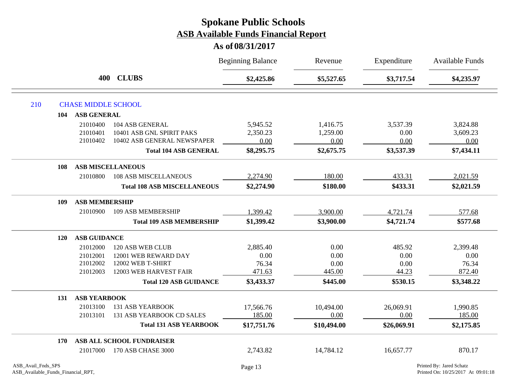|     |            | 400                 |                                    |             | <b>Beginning Balance</b> | Revenue     | Expenditure | <b>Available Funds</b> |
|-----|------------|---------------------|------------------------------------|-------------|--------------------------|-------------|-------------|------------------------|
|     |            |                     | <b>CLUBS</b>                       | \$2,425.86  | \$5,527.65               | \$3,717.54  | \$4,235.97  |                        |
| 210 |            |                     | <b>CHASE MIDDLE SCHOOL</b>         |             |                          |             |             |                        |
|     | 104        | <b>ASB GENERAL</b>  |                                    |             |                          |             |             |                        |
|     |            | 21010400            | 104 ASB GENERAL                    | 5,945.52    | 1,416.75                 | 3,537.39    | 3,824.88    |                        |
|     |            | 21010401            | 10401 ASB GNL SPIRIT PAKS          | 2,350.23    | 1,259.00                 | 0.00        | 3,609.23    |                        |
|     |            | 21010402            | 10402 ASB GENERAL NEWSPAPER        | 0.00        | 0.00                     | 0.00        | 0.00        |                        |
|     |            |                     | <b>Total 104 ASB GENERAL</b>       | \$8,295.75  | \$2,675.75               | \$3,537.39  | \$7,434.11  |                        |
|     | 108        |                     | <b>ASB MISCELLANEOUS</b>           |             |                          |             |             |                        |
|     |            | 21010800            | <b>108 ASB MISCELLANEOUS</b>       | 2,274.90    | 180.00                   | 433.31      | 2,021.59    |                        |
|     |            |                     | <b>Total 108 ASB MISCELLANEOUS</b> | \$2,274.90  | \$180.00                 | \$433.31    | \$2,021.59  |                        |
|     | 109        |                     | <b>ASB MEMBERSHIP</b>              |             |                          |             |             |                        |
|     |            | 21010900            | 109 ASB MEMBERSHIP                 | 1,399.42    | 3,900.00                 | 4,721.74    | 577.68      |                        |
|     |            |                     | <b>Total 109 ASB MEMBERSHIP</b>    | \$1,399.42  | \$3,900.00               | \$4,721.74  | \$577.68    |                        |
|     | <b>120</b> | <b>ASB GUIDANCE</b> |                                    |             |                          |             |             |                        |
|     |            | 21012000            | 120 ASB WEB CLUB                   | 2,885.40    | 0.00                     | 485.92      | 2,399.48    |                        |
|     |            | 21012001            | 12001 WEB REWARD DAY               | 0.00        | 0.00                     | 0.00        | 0.00        |                        |
|     |            | 21012002            | 12002 WEB T-SHIRT                  | 76.34       | 0.00                     | 0.00        | 76.34       |                        |
|     |            | 21012003            | 12003 WEB HARVEST FAIR             | 471.63      | 445.00                   | 44.23       | 872.40      |                        |
|     |            |                     | <b>Total 120 ASB GUIDANCE</b>      | \$3,433.37  | \$445.00                 | \$530.15    | \$3,348.22  |                        |
|     | 131        | <b>ASB YEARBOOK</b> |                                    |             |                          |             |             |                        |
|     |            | 21013100            | <b>131 ASB YEARBOOK</b>            | 17,566.76   | 10,494.00                | 26,069.91   | 1,990.85    |                        |
|     |            | 21013101            | 131 ASB YEARBOOK CD SALES          | 185.00      | 0.00                     | 0.00        | 185.00      |                        |
|     |            |                     | <b>Total 131 ASB YEARBOOK</b>      | \$17,751.76 | \$10,494.00              | \$26,069.91 | \$2,175.85  |                        |
|     | 170        |                     | ASB ALL SCHOOL FUNDRAISER          |             |                          |             |             |                        |
|     |            | 21017000            | 170 ASB CHASE 3000                 | 2,743.82    | 14,784.12                | 16,657.77   | 870.17      |                        |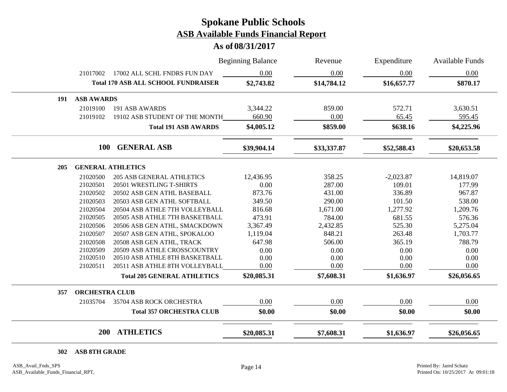**As of 08/31/2017**

|     |                       |                                            | <b>Beginning Balance</b> |             | Expenditure | <b>Available Funds</b> |  |
|-----|-----------------------|--------------------------------------------|--------------------------|-------------|-------------|------------------------|--|
|     | 21017002              | 17002 ALL SCHL FNDRS FUN DAY               | 0.00                     | 0.00        | 0.00        | 0.00                   |  |
|     |                       | <b>Total 170 ASB ALL SCHOOL FUNDRAISER</b> | \$2,743.82               | \$14,784.12 | \$16,657.77 | \$870.17               |  |
| 191 | <b>ASB AWARDS</b>     |                                            |                          |             |             |                        |  |
|     | 21019100              | 191 ASB AWARDS                             | 3,344.22                 | 859.00      | 572.71      | 3,630.51               |  |
|     | 21019102              | 19102 ASB STUDENT OF THE MONTH             | 660.90                   | 0.00        | 65.45       | 595.45                 |  |
|     |                       | <b>Total 191 ASB AWARDS</b>                | \$4,005.12               | \$859.00    | \$638.16    | \$4,225.96             |  |
|     | <b>100</b>            | <b>GENERAL ASB</b>                         | \$39,904.14              | \$33,337.87 | \$52,588.43 | \$20,653.58            |  |
| 205 |                       | <b>GENERAL ATHLETICS</b>                   |                          |             |             |                        |  |
|     | 21020500              | <b>205 ASB GENERAL ATHLETICS</b>           | 12,436.95                | 358.25      | $-2,023.87$ | 14,819.07              |  |
|     | 21020501              | 20501 WRESTLING T-SHIRTS                   | 0.00                     | 287.00      | 109.01      | 177.99                 |  |
|     | 21020502              | 20502 ASB GEN ATHL BASEBALL                | 873.76                   | 431.00      | 336.89      | 967.87                 |  |
|     | 21020503              | 20503 ASB GEN ATHL SOFTBALL                | 349.50                   | 290.00      | 101.50      | 538.00                 |  |
|     | 21020504              | 20504 ASB ATHLE 7TH VOLLEYBALL             | 816.68                   | 1,671.00    | 1,277.92    | 1,209.76               |  |
|     | 21020505              | 20505 ASB ATHLE 7TH BASKETBALL             | 473.91                   | 784.00      | 681.55      | 576.36                 |  |
|     | 21020506              | 20506 ASB GEN ATHL, SMACKDOWN              | 3,367.49                 | 2,432.85    | 525.30      | 5,275.04               |  |
|     | 21020507              | 20507 ASB GEN ATHL, SPOKALOO               | 1,119.04                 | 848.21      | 263.48      | 1,703.77               |  |
|     | 21020508              | 20508 ASB GEN ATHL, TRACK                  | 647.98                   | 506.00      | 365.19      | 788.79                 |  |
|     | 21020509              | 20509 ASB ATHLE CROSSCOUNTRY               | 0.00                     | 0.00        | 0.00        | 0.00                   |  |
|     | 21020510              | 20510 ASB ATHLE 8TH BASKETBALL             | 0.00                     | 0.00        | 0.00        | 0.00                   |  |
|     | 21020511              | 20511 ASB ATHLE 8TH VOLLEYBALL             | 0.00                     | 0.00        | 0.00        | 0.00                   |  |
|     |                       | <b>Total 205 GENERAL ATHLETICS</b>         | \$20,085.31              | \$7,608.31  | \$1,636.97  | \$26,056.65            |  |
| 357 | <b>ORCHESTRA CLUB</b> |                                            |                          |             |             |                        |  |
|     | 21035704              | 35704 ASB ROCK ORCHESTRA                   | 0.00                     | 0.00        | 0.00        | 0.00                   |  |
|     |                       | <b>Total 357 ORCHESTRA CLUB</b>            | \$0.00                   | \$0.00      | \$0.00      | \$0.00                 |  |
|     | 200                   | <b>ATHLETICS</b>                           | \$20,085.31              | \$7,608.31  | \$1,636.97  | \$26,056.65            |  |

**ASB 8TH GRADE**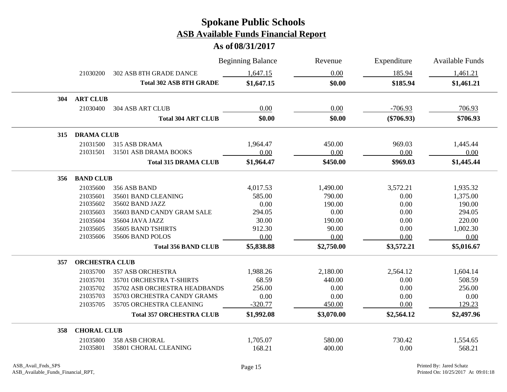|     |                       |                                 | <b>Beginning Balance</b> | Revenue    | Expenditure  | <b>Available Funds</b> |
|-----|-----------------------|---------------------------------|--------------------------|------------|--------------|------------------------|
|     | 21030200              | 302 ASB 8TH GRADE DANCE         | 1,647.15                 | 0.00       | 185.94       | 1,461.21               |
|     |                       | <b>Total 302 ASB 8TH GRADE</b>  | \$1,647.15               | \$0.00     | \$185.94     | \$1,461.21             |
| 304 | <b>ART CLUB</b>       |                                 |                          |            |              |                        |
|     | 21030400              | <b>304 ASB ART CLUB</b>         | 0.00                     | 0.00       | $-706.93$    | 706.93                 |
|     |                       | <b>Total 304 ART CLUB</b>       | \$0.00                   | \$0.00     | $(\$706.93)$ | \$706.93               |
| 315 | <b>DRAMA CLUB</b>     |                                 |                          |            |              |                        |
|     | 21031500              | 315 ASB DRAMA                   | 1,964.47                 | 450.00     | 969.03       | 1,445.44               |
|     | 21031501              | 31501 ASB DRAMA BOOKS           | 0.00                     | 0.00       | 0.00         | 0.00                   |
|     |                       | <b>Total 315 DRAMA CLUB</b>     | \$1,964.47               | \$450.00   | \$969.03     | \$1,445.44             |
| 356 | <b>BAND CLUB</b>      |                                 |                          |            |              |                        |
|     | 21035600              | 356 ASB BAND                    | 4,017.53                 | 1,490.00   | 3,572.21     | 1,935.32               |
|     | 21035601              | 35601 BAND CLEANING             | 585.00                   | 790.00     | 0.00         | 1,375.00               |
|     | 21035602              | 35602 BAND JAZZ                 | 0.00                     | 190.00     | 0.00         | 190.00                 |
|     | 21035603              | 35603 BAND CANDY GRAM SALE      | 294.05                   | 0.00       | 0.00         | 294.05                 |
|     | 21035604              | 35604 JAVA JAZZ                 | 30.00                    | 190.00     | 0.00         | 220.00                 |
|     | 21035605              | 35605 BAND TSHIRTS              | 912.30                   | 90.00      | 0.00         | 1,002.30               |
|     | 21035606              | 35606 BAND POLOS                | 0.00                     | 0.00       | 0.00         | 0.00                   |
|     |                       | <b>Total 356 BAND CLUB</b>      | \$5,838.88               | \$2,750.00 | \$3,572.21   | \$5,016.67             |
| 357 | <b>ORCHESTRA CLUB</b> |                                 |                          |            |              |                        |
|     | 21035700              | <b>357 ASB ORCHESTRA</b>        | 1,988.26                 | 2,180.00   | 2,564.12     | 1,604.14               |
|     | 21035701              | 35701 ORCHESTRA T-SHIRTS        | 68.59                    | 440.00     | 0.00         | 508.59                 |
|     | 21035702              | 35702 ASB ORCHESTRA HEADBANDS   | 256.00                   | 0.00       | 0.00         | 256.00                 |
|     | 21035703              | 35703 ORCHESTRA CANDY GRAMS     | 0.00                     | 0.00       | 0.00         | 0.00                   |
|     | 21035705              | 35705 ORCHESTRA CLEANING        | $-320.77$                | 450.00     | 0.00         | 129.23                 |
|     |                       | <b>Total 357 ORCHESTRA CLUB</b> | \$1,992.08               | \$3,070.00 | \$2,564.12   | \$2,497.96             |
| 358 | <b>CHORAL CLUB</b>    |                                 |                          |            |              |                        |
|     | 21035800              | 358 ASB CHORAL                  | 1,705.07                 | 580.00     | 730.42       | 1,554.65               |
|     | 21035801              | 35801 CHORAL CLEANING           | 168.21                   | 400.00     | 0.00         | 568.21                 |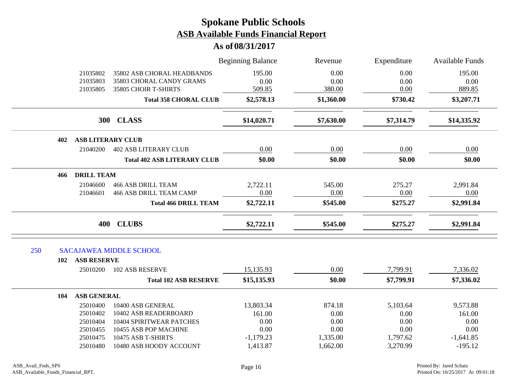|     |                              |                          |                                                        | <b>Beginning Balance</b> | Revenue      | Expenditure<br>0.00<br>0.00<br>0.00 | <b>Available Funds</b><br>195.00<br>0.00<br>889.85 |
|-----|------------------------------|--------------------------|--------------------------------------------------------|--------------------------|--------------|-------------------------------------|----------------------------------------------------|
|     |                              | 21035802<br>21035803     | 35802 ASB CHORAL HEADBANDS<br>35803 CHORAL CANDY GRAMS | 195.00<br>0.00<br>509.85 | 0.00<br>0.00 |                                     |                                                    |
|     |                              | 21035805                 | 35805 CHOIR T-SHIRTS                                   |                          | 380.00       |                                     |                                                    |
|     | <b>Total 358 CHORAL CLUB</b> |                          | \$2,578.13                                             | \$1,360.00               | \$730.42     | \$3,207.71                          |                                                    |
|     |                              |                          | 300 CLASS                                              | \$14,020.71              | \$7,630.00   | \$7,314.79                          | \$14,335.92                                        |
|     | 402                          | <b>ASB LITERARY CLUB</b> |                                                        |                          |              |                                     |                                                    |
|     |                              | 21040200                 | <b>402 ASB LITERARY CLUB</b>                           | 0.00                     | 0.00         | 0.00                                | 0.00                                               |
|     |                              |                          | <b>Total 402 ASB LITERARY CLUB</b>                     | \$0.00                   | \$0.00       | \$0.00                              | \$0.00                                             |
|     | 466                          | <b>DRILL TEAM</b>        |                                                        |                          |              |                                     |                                                    |
|     |                              | 21046600                 | <b>466 ASB DRILL TEAM</b>                              | 2,722.11                 | 545.00       | 275.27                              | 2,991.84                                           |
|     |                              | 21046601                 | <b>466 ASB DRILL TEAM CAMP</b>                         | 0.00                     | 0.00         | 0.00                                | 0.00                                               |
|     |                              |                          | <b>Total 466 DRILL TEAM</b>                            | \$2,722.11               | \$545.00     | \$275.27                            | \$2,991.84                                         |
|     |                              | 400                      | <b>CLUBS</b>                                           | \$2,722.11               | \$545.00     | \$275.27                            | \$2,991.84                                         |
| 250 |                              |                          | <b>SACAJAWEA MIDDLE SCHOOL</b>                         |                          |              |                                     |                                                    |
|     | 102                          | <b>ASB RESERVE</b>       |                                                        |                          |              |                                     |                                                    |
|     |                              | 25010200                 | <b>102 ASB RESERVE</b>                                 | 15,135.93                | 0.00         | 7,799.91                            | 7,336.02                                           |
|     |                              |                          | <b>Total 102 ASB RESERVE</b>                           | \$15,135.93              | \$0.00       | \$7,799.91                          | \$7,336.02                                         |
|     | 104                          | <b>ASB GENERAL</b>       |                                                        |                          |              |                                     |                                                    |
|     |                              | 25010400                 | 10400 ASB GENERAL                                      | 13,803.34                | 874.18       | 5,103.64                            | 9,573.88                                           |
|     |                              | 25010402                 | 10402 ASB READERBOARD                                  | 161.00                   | 0.00         | 0.00                                | 161.00                                             |
|     |                              | 25010404                 | 10404 SPIRITWEAR PATCHES                               | 0.00                     | 0.00         | 0.00                                | 0.00                                               |
|     |                              | 25010455                 | 10455 ASB POP MACHINE                                  | 0.00                     | 0.00         | 0.00                                | 0.00                                               |
|     |                              | 25010475                 | 10475 ASB T-SHIRTS                                     | $-1,179.23$              | 1,335.00     | 1,797.62                            | $-1,641.85$                                        |
|     |                              | 25010480                 | 10480 ASB HOODY ACCOUNT                                | 1,413.87                 | 1,662.00     | 3,270.99                            | $-195.12$                                          |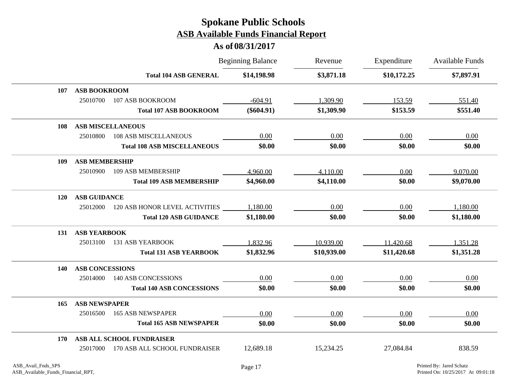|            |                          |                                    | <b>Beginning Balance</b> | Revenue     | Expenditure | <b>Available Funds</b> |
|------------|--------------------------|------------------------------------|--------------------------|-------------|-------------|------------------------|
|            |                          | <b>Total 104 ASB GENERAL</b>       | \$14,198.98              | \$3,871.18  | \$10,172.25 | \$7,897.91             |
| 107        | <b>ASB BOOKROOM</b>      |                                    |                          |             |             |                        |
|            | 25010700                 | 107 ASB BOOKROOM                   | $-604.91$                | 1,309.90    | 153.59      | 551.40                 |
|            |                          | <b>Total 107 ASB BOOKROOM</b>      | $(\$604.91)$             | \$1,309.90  | \$153.59    | \$551.40               |
| 108        | <b>ASB MISCELLANEOUS</b> |                                    |                          |             |             |                        |
|            | 25010800                 | <b>108 ASB MISCELLANEOUS</b>       | 0.00                     | 0.00        | 0.00        | 0.00                   |
|            |                          | <b>Total 108 ASB MISCELLANEOUS</b> | \$0.00                   | \$0.00      | \$0.00      | \$0.00                 |
| 109        | <b>ASB MEMBERSHIP</b>    |                                    |                          |             |             |                        |
|            | 25010900                 | 109 ASB MEMBERSHIP                 | 4,960.00                 | 4,110.00    | 0.00        | 9,070.00               |
|            |                          | <b>Total 109 ASB MEMBERSHIP</b>    | \$4,960.00               | \$4,110.00  | \$0.00      | \$9,070.00             |
| <b>120</b> | <b>ASB GUIDANCE</b>      |                                    |                          |             |             |                        |
|            | 25012000                 | 120 ASB HONOR LEVEL ACTIVITIES     | 1,180.00                 | 0.00        | 0.00        | 1,180.00               |
|            |                          | <b>Total 120 ASB GUIDANCE</b>      | \$1,180.00               | \$0.00      | \$0.00      | \$1,180.00             |
| 131        | <b>ASB YEARBOOK</b>      |                                    |                          |             |             |                        |
|            | 25013100                 | <b>131 ASB YEARBOOK</b>            | 1,832.96                 | 10,939.00   | 11,420.68   | 1,351.28               |
|            |                          | <b>Total 131 ASB YEARBOOK</b>      | \$1,832.96               | \$10,939.00 | \$11,420.68 | \$1,351.28             |
| 140        | <b>ASB CONCESSIONS</b>   |                                    |                          |             |             |                        |
|            | 25014000                 | 140 ASB CONCESSIONS                | 0.00                     | 0.00        | 0.00        | 0.00                   |
|            |                          | <b>Total 140 ASB CONCESSIONS</b>   | \$0.00                   | \$0.00      | \$0.00      | \$0.00                 |
| 165        | <b>ASB NEWSPAPER</b>     |                                    |                          |             |             |                        |
|            | 25016500                 | <b>165 ASB NEWSPAPER</b>           | 0.00                     | 0.00        | 0.00        | 0.00                   |
|            |                          | <b>Total 165 ASB NEWSPAPER</b>     | \$0.00                   | \$0.00      | \$0.00      | \$0.00                 |
| 170        |                          | ASB ALL SCHOOL FUNDRAISER          |                          |             |             |                        |
|            | 25017000                 | 170 ASB ALL SCHOOL FUNDRAISER      | 12,689.18                | 15,234.25   | 27,084.84   | 838.59                 |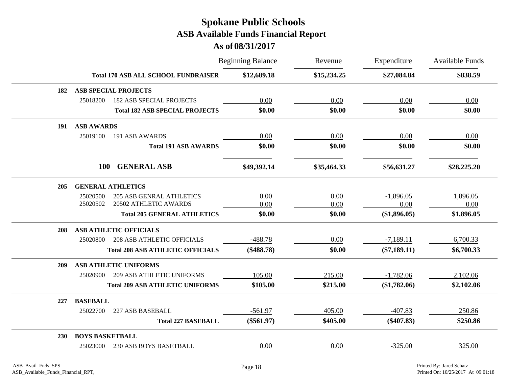|     |                                               | <b>Beginning Balance</b> | Revenue     | Expenditure    | <b>Available Funds</b> |
|-----|-----------------------------------------------|--------------------------|-------------|----------------|------------------------|
|     | <b>Total 170 ASB ALL SCHOOL FUNDRAISER</b>    | \$12,689.18              | \$15,234.25 | \$27,084.84    | \$838.59               |
| 182 | <b>ASB SPECIAL PROJECTS</b>                   |                          |             |                |                        |
|     | 25018200<br><b>182 ASB SPECIAL PROJECTS</b>   | 0.00                     | 0.00        | 0.00           | 0.00                   |
|     | <b>Total 182 ASB SPECIAL PROJECTS</b>         | \$0.00                   | \$0.00      | \$0.00         | \$0.00                 |
| 191 | <b>ASB AWARDS</b>                             |                          |             |                |                        |
|     | 25019100<br>191 ASB AWARDS                    | 0.00                     | 0.00        | 0.00           | 0.00                   |
|     | <b>Total 191 ASB AWARDS</b>                   | \$0.00                   | \$0.00      | \$0.00         | \$0.00                 |
|     | <b>GENERAL ASB</b><br><b>100</b>              | \$49,392.14              | \$35,464.33 | \$56,631.27    | \$28,225.20            |
| 205 | <b>GENERAL ATHLETICS</b>                      |                          |             |                |                        |
|     | 25020500<br><b>205 ASB GENRAL ATHLETICS</b>   | 0.00                     | 0.00        | $-1,896.05$    | 1,896.05               |
|     | 25020502<br>20502 ATHLETIC AWARDS             | 0.00                     | 0.00        | 0.00           | 0.00                   |
|     | <b>Total 205 GENERAL ATHLETICS</b>            | \$0.00                   | \$0.00      | (\$1,896.05)   | \$1,896.05             |
| 208 | <b>ASB ATHLETIC OFFICIALS</b>                 |                          |             |                |                        |
|     | <b>208 ASB ATHLETIC OFFICIALS</b><br>25020800 | $-488.78$                | 0.00        | $-7,189.11$    | 6,700.33               |
|     | <b>Total 208 ASB ATHLETIC OFFICIALS</b>       | $(\$488.78)$             | \$0.00      | $(\$7,189.11)$ | \$6,700.33             |
| 209 | <b>ASB ATHLETIC UNIFORMS</b>                  |                          |             |                |                        |
|     | <b>209 ASB ATHLETIC UNIFORMS</b><br>25020900  | 105.00                   | 215.00      | $-1,782.06$    | 2,102.06               |
|     | <b>Total 209 ASB ATHLETIC UNIFORMS</b>        | \$105.00                 | \$215.00    | (\$1,782.06)   | \$2,102.06             |
| 227 | <b>BASEBALL</b>                               |                          |             |                |                        |
|     | 227 ASB BASEBALL<br>25022700                  | $-561.97$                | 405.00      | $-407.83$      | 250.86                 |
|     | <b>Total 227 BASEBALL</b>                     | $(\$561.97)$             | \$405.00    | $(\$407.83)$   | \$250.86               |
| 230 | <b>BOYS BASKETBALL</b>                        |                          |             |                |                        |
|     | 230 ASB BOYS BASETBALL<br>25023000            | 0.00                     | 0.00        | $-325.00$      | 325.00                 |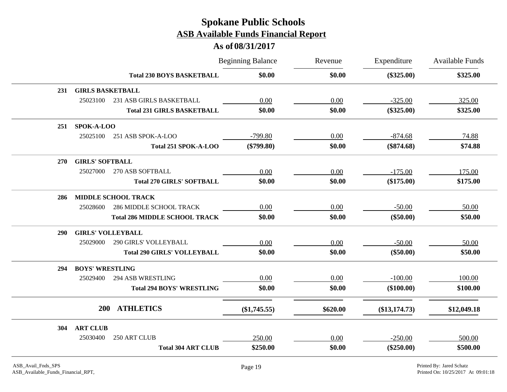|     |                         |                                      | <b>Beginning Balance</b> | Revenue  | Expenditure     | Available Funds |
|-----|-------------------------|--------------------------------------|--------------------------|----------|-----------------|-----------------|
|     |                         | <b>Total 230 BOYS BASKETBALL</b>     | \$0.00                   | \$0.00   | $(\$325.00)$    | \$325.00        |
| 231 | <b>GIRLS BASKETBALL</b> |                                      |                          |          |                 |                 |
|     | 25023100                | 231 ASB GIRLS BASKETBALL             | 0.00                     | 0.00     | $-325.00$       | 325.00          |
|     |                         | <b>Total 231 GIRLS BASKETBALL</b>    | \$0.00                   | \$0.00   | $(\$325.00)$    | \$325.00        |
| 251 | SPOK-A-LOO              |                                      |                          |          |                 |                 |
|     | 25025100                | 251 ASB SPOK-A-LOO                   | $-799.80$                | 0.00     | $-874.68$       | 74.88           |
|     |                         | Total 251 SPOK-A-LOO                 | $(\$799.80)$             | \$0.00   | $(\$874.68)$    | \$74.88         |
| 270 | <b>GIRLS' SOFTBALL</b>  |                                      |                          |          |                 |                 |
|     | 25027000                | 270 ASB SOFTBALL                     | 0.00                     | 0.00     | $-175.00$       | 175.00          |
|     |                         | <b>Total 270 GIRLS' SOFTBALL</b>     | \$0.00                   | \$0.00   | $(\$175.00)$    | \$175.00        |
| 286 |                         | <b>MIDDLE SCHOOL TRACK</b>           |                          |          |                 |                 |
|     | 25028600                | <b>286 MIDDLE SCHOOL TRACK</b>       | 0.00                     | 0.00     | $-50.00$        | 50.00           |
|     |                         | <b>Total 286 MIDDLE SCHOOL TRACK</b> | \$0.00                   | \$0.00   | $(\$50.00)$     | \$50.00         |
| 290 |                         | <b>GIRLS' VOLLEYBALL</b>             |                          |          |                 |                 |
|     | 25029000                | 290 GIRLS' VOLLEYBALL                | 0.00                     | 0.00     | $-50.00$        | 50.00           |
|     |                         | <b>Total 290 GIRLS' VOLLEYBALL</b>   | \$0.00                   | \$0.00   | $(\$50.00)$     | \$50.00         |
| 294 | <b>BOYS' WRESTLING</b>  |                                      |                          |          |                 |                 |
|     | 25029400                | <b>294 ASB WRESTLING</b>             | 0.00                     | 0.00     | $-100.00$       | 100.00          |
|     |                         | <b>Total 294 BOYS' WRESTLING</b>     | \$0.00                   | \$0.00   | $(\$100.00)$    | \$100.00        |
|     | <b>200</b>              | <b>ATHLETICS</b>                     | $(\$1,745.55)$           | \$620.00 | $(\$13,174.73)$ | \$12,049.18     |
| 304 | <b>ART CLUB</b>         |                                      |                          |          |                 |                 |
|     | 25030400                | 250 ART CLUB                         | 250.00                   | 0.00     | $-250.00$       | 500.00          |
|     |                         | <b>Total 304 ART CLUB</b>            | \$250.00                 | \$0.00   | $(\$250.00)$    | \$500.00        |
|     |                         |                                      |                          |          |                 |                 |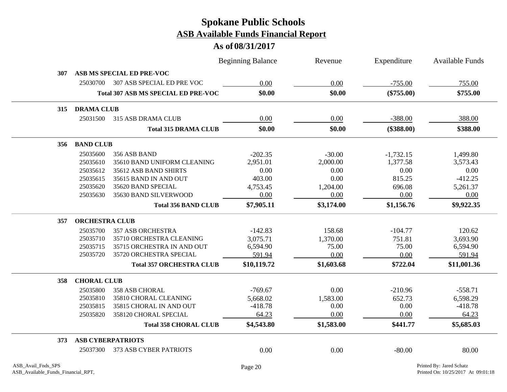|     |                       |                                            | <b>Beginning Balance</b> | Revenue    | Expenditure  | <b>Available Funds</b> |  |
|-----|-----------------------|--------------------------------------------|--------------------------|------------|--------------|------------------------|--|
| 307 |                       | ASB MS SPECIAL ED PRE-VOC                  |                          |            |              |                        |  |
|     | 25030700              | 307 ASB SPECIAL ED PRE VOC                 | 0.00                     | 0.00       | $-755.00$    | 755.00                 |  |
|     |                       | <b>Total 307 ASB MS SPECIAL ED PRE-VOC</b> | \$0.00                   | \$0.00     | $(\$755.00)$ | \$755.00               |  |
| 315 | <b>DRAMA CLUB</b>     |                                            |                          |            |              |                        |  |
|     | 25031500              | 315 ASB DRAMA CLUB                         | 0.00                     | 0.00       | $-388.00$    | 388.00                 |  |
|     |                       | <b>Total 315 DRAMA CLUB</b>                | \$0.00                   | \$0.00     | $(\$388.00)$ | \$388.00               |  |
| 356 | <b>BAND CLUB</b>      |                                            |                          |            |              |                        |  |
|     | 25035600              | 356 ASB BAND                               | $-202.35$                | $-30.00$   | $-1,732.15$  | 1,499.80               |  |
|     | 25035610              | 35610 BAND UNIFORM CLEANING                | 2,951.01                 | 2,000.00   | 1,377.58     | 3,573.43               |  |
|     | 25035612              | 35612 ASB BAND SHIRTS                      | 0.00                     | 0.00       | 0.00         | 0.00                   |  |
|     | 25035615              | 35615 BAND IN AND OUT                      | 403.00                   | 0.00       | 815.25       | $-412.25$              |  |
|     | 25035620              | 35620 BAND SPECIAL                         | 4,753.45                 | 1,204.00   | 696.08       | 5,261.37               |  |
|     | 25035630              | 35630 BAND SILVERWOOD                      | 0.00                     | 0.00       | 0.00         | 0.00                   |  |
|     |                       | <b>Total 356 BAND CLUB</b>                 | \$7,905.11               | \$3,174.00 | \$1,156.76   | \$9,922.35             |  |
| 357 | <b>ORCHESTRA CLUB</b> |                                            |                          |            |              |                        |  |
|     | 25035700              | <b>357 ASB ORCHESTRA</b>                   | $-142.83$                | 158.68     | $-104.77$    | 120.62                 |  |
|     | 25035710              | 35710 ORCHESTRA CLEANING                   | 3,075.71                 | 1,370.00   | 751.81       | 3,693.90               |  |
|     | 25035715              | 35715 ORCHESTRA IN AND OUT                 | 6,594.90                 | 75.00      | 75.00        | 6,594.90               |  |
|     | 25035720              | 35720 ORCHESTRA SPECIAL                    | 591.94                   | 0.00       | 0.00         | 591.94                 |  |
|     |                       | <b>Total 357 ORCHESTRA CLUB</b>            | \$10,119.72              | \$1,603.68 | \$722.04     | \$11,001.36            |  |
| 358 | <b>CHORAL CLUB</b>    |                                            |                          |            |              |                        |  |
|     | 25035800              | 358 ASB CHORAL                             | $-769.67$                | 0.00       | $-210.96$    | $-558.71$              |  |
|     | 25035810              | 35810 CHORAL CLEANING                      | 5,668.02                 | 1,583.00   | 652.73       | 6,598.29               |  |
|     | 25035815              | 35815 CHORAL IN AND OUT                    | $-418.78$                | 0.00       | 0.00         | $-418.78$              |  |
|     | 25035820              | 358120 CHORAL SPECIAL                      | 64.23                    | 0.00       | 0.00         | 64.23                  |  |
|     |                       | <b>Total 358 CHORAL CLUB</b>               | \$4,543.80               | \$1,583.00 | \$441.77     | \$5,685.03             |  |
| 373 |                       | <b>ASB CYBERPATRIOTS</b>                   |                          |            |              |                        |  |
|     | 25037300              | 373 ASB CYBER PATRIOTS                     | 0.00                     | 0.00       | $-80.00$     | 80.00                  |  |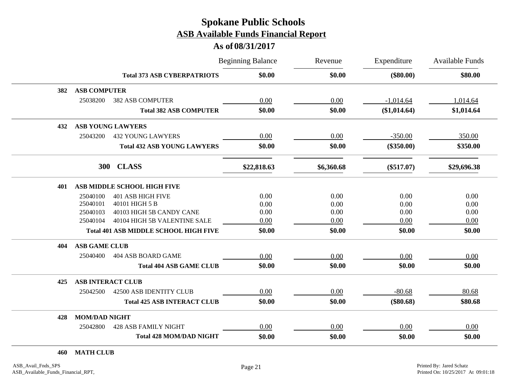### **As of 08/31/2017**

|     |                                              | <b>Beginning Balance</b> | Revenue    | Expenditure  | Available Funds |  |
|-----|----------------------------------------------|--------------------------|------------|--------------|-----------------|--|
|     | <b>Total 373 ASB CYBERPATRIOTS</b>           | \$0.00                   | \$0.00     | $(\$80.00)$  | \$80.00         |  |
| 382 | <b>ASB COMPUTER</b>                          |                          |            |              |                 |  |
|     | 25038200<br><b>382 ASB COMPUTER</b>          | 0.00                     | 0.00       | $-1,014.64$  | 1,014.64        |  |
|     | <b>Total 382 ASB COMPUTER</b>                | \$0.00                   | \$0.00     | (\$1,014.64) | \$1,014.64      |  |
| 432 | <b>ASB YOUNG LAWYERS</b>                     |                          |            |              |                 |  |
|     | <b>432 YOUNG LAWYERS</b><br>25043200         | 0.00                     | 0.00       | $-350.00$    | 350.00          |  |
|     | <b>Total 432 ASB YOUNG LAWYERS</b>           | \$0.00                   | \$0.00     | $(\$350.00)$ | \$350.00        |  |
|     | <b>CLASS</b><br>300                          | \$22,818.63              | \$6,360.68 | $(\$517.07)$ | \$29,696.38     |  |
| 401 | ASB MIDDLE SCHOOL HIGH FIVE                  |                          |            |              |                 |  |
|     | <b>401 ASB HIGH FIVE</b><br>25040100         | 0.00                     | 0.00       | 0.00         | 0.00            |  |
|     | 25040101<br>40101 HIGH 5 B                   | 0.00                     | 0.00       | 0.00         | 0.00            |  |
|     | 40103 HIGH 5B CANDY CANE<br>25040103         | 0.00                     | 0.00       | 0.00         | 0.00            |  |
|     | 40104 HIGH 5B VALENTINE SALE<br>25040104     | 0.00                     | 0.00       | 0.00         | 0.00            |  |
|     | <b>Total 401 ASB MIDDLE SCHOOL HIGH FIVE</b> | \$0.00                   | \$0.00     | \$0.00       | \$0.00          |  |
| 404 | <b>ASB GAME CLUB</b>                         |                          |            |              |                 |  |
|     | 25040400<br>404 ASB BOARD GAME               | 0.00                     | 0.00       | 0.00         | 0.00            |  |
|     | <b>Total 404 ASB GAME CLUB</b>               | \$0.00                   | \$0.00     | \$0.00       | \$0.00          |  |
| 425 | <b>ASB INTERACT CLUB</b>                     |                          |            |              |                 |  |
|     | 42500 ASB IDENTITY CLUB<br>25042500          | 0.00                     | 0.00       | $-80.68$     | 80.68           |  |
|     | <b>Total 425 ASB INTERACT CLUB</b>           | \$0.00                   | \$0.00     | $(\$80.68)$  | \$80.68         |  |
| 428 | <b>MOM/DAD NIGHT</b>                         |                          |            |              |                 |  |
|     | <b>428 ASB FAMILY NIGHT</b><br>25042800      | 0.00                     | 0.00       | 0.00         | 0.00            |  |
|     | <b>Total 428 MOM/DAD NIGHT</b>               | \$0.00                   | \$0.00     | \$0.00       | \$0.00          |  |

**460 MATH CLUB**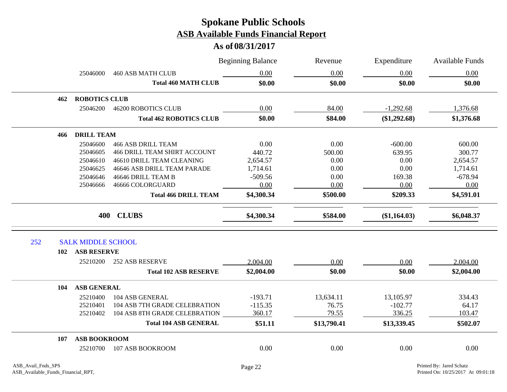|     |                           |                                     | <b>Beginning Balance</b> | Revenue<br>0.00 | Expenditure<br>0.00 | <b>Available Funds</b> |
|-----|---------------------------|-------------------------------------|--------------------------|-----------------|---------------------|------------------------|
|     | 25046000                  | <b>460 ASB MATH CLUB</b>            | 0.00                     |                 |                     | 0.00                   |
|     |                           | <b>Total 460 MATH CLUB</b>          | \$0.00                   | \$0.00          | \$0.00              | \$0.00                 |
| 462 | <b>ROBOTICS CLUB</b>      |                                     |                          |                 |                     |                        |
|     | 25046200                  | <b>46200 ROBOTICS CLUB</b>          | 0.00                     | 84.00           | $-1,292.68$         | 1,376.68               |
|     |                           | <b>Total 462 ROBOTICS CLUB</b>      | \$0.00                   | \$84.00         | (\$1,292.68)        | \$1,376.68             |
| 466 | <b>DRILL TEAM</b>         |                                     |                          |                 |                     |                        |
|     | 25046600                  | <b>466 ASB DRILL TEAM</b>           | 0.00                     | 0.00            | $-600.00$           | 600.00                 |
|     | 25046605                  | <b>466 DRILL TEAM SHIRT ACCOUNT</b> | 440.72                   | 500.00          | 639.95              | 300.77                 |
|     | 25046610                  | 46610 DRILL TEAM CLEANING           | 2,654.57                 | 0.00            | 0.00                | 2,654.57               |
|     | 25046625                  | 46646 ASB DRILL TEAM PARADE         | 1,714.61                 | 0.00            | 0.00                | 1,714.61               |
|     | 25046646                  | 46646 DRILL TEAM B                  | $-509.56$                | 0.00            | 169.38              | $-678.94$              |
|     | 25046666                  | 46666 COLORGUARD                    | 0.00                     | 0.00            | 0.00                | 0.00                   |
|     |                           | <b>Total 466 DRILL TEAM</b>         | \$4,300.34               | \$500.00        | \$209.33            | \$4,591.01             |
|     |                           | 400 CLUBS                           | \$4,300.34               | \$584.00        | (\$1,164.03)        | \$6,048.37             |
| 252 | <b>SALK MIDDLE SCHOOL</b> |                                     |                          |                 |                     |                        |
| 102 | <b>ASB RESERVE</b>        |                                     |                          |                 |                     |                        |
|     | 25210200                  | <b>252 ASB RESERVE</b>              | 2,004.00                 | 0.00            | 0.00                | 2,004.00               |
|     |                           | <b>Total 102 ASB RESERVE</b>        | \$2,004.00               | \$0.00          | \$0.00              | \$2,004.00             |
| 104 | <b>ASB GENERAL</b>        |                                     |                          |                 |                     |                        |
|     | 25210400                  | 104 ASB GENERAL                     | $-193.71$                | 13,634.11       | 13,105.97           | 334.43                 |
|     | 25210401                  | 104 ASB 7TH GRADE CELEBRATION       | $-115.35$                | 76.75           | $-102.77$           | 64.17                  |
|     | 25210402                  | 104 ASB 8TH GRADE CELEBRATION       | 360.17                   | 79.55           | 336.25              | 103.47                 |
|     |                           | <b>Total 104 ASB GENERAL</b>        | \$51.11                  | \$13,790.41     | \$13,339.45         | \$502.07               |
| 107 | <b>ASB BOOKROOM</b>       |                                     |                          |                 |                     |                        |
|     | 25210700                  | 107 ASB BOOKROOM                    | 0.00                     | 0.00            | 0.00                | 0.00                   |
|     |                           |                                     |                          |                 |                     |                        |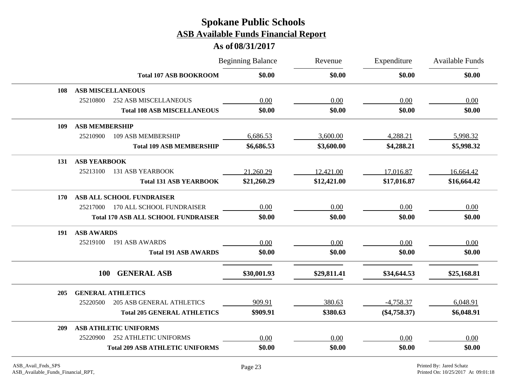|     |                                              | <b>Beginning Balance</b> | Revenue     | Expenditure    | <b>Available Funds</b> |
|-----|----------------------------------------------|--------------------------|-------------|----------------|------------------------|
|     | <b>Total 107 ASB BOOKROOM</b>                | \$0.00                   | \$0.00      | \$0.00         | \$0.00                 |
| 108 | <b>ASB MISCELLANEOUS</b>                     |                          |             |                |                        |
|     | 25210800<br><b>252 ASB MISCELLANEOUS</b>     | 0.00                     | 0.00        | 0.00           | 0.00                   |
|     | <b>Total 108 ASB MISCELLANEOUS</b>           | \$0.00                   | \$0.00      | \$0.00         | \$0.00                 |
| 109 | <b>ASB MEMBERSHIP</b>                        |                          |             |                |                        |
|     | 25210900<br>109 ASB MEMBERSHIP               | 6,686.53                 | 3,600.00    | 4,288.21       | 5,998.32               |
|     | <b>Total 109 ASB MEMBERSHIP</b>              | \$6,686.53               | \$3,600.00  | \$4,288.21     | \$5,998.32             |
| 131 | <b>ASB YEARBOOK</b>                          |                          |             |                |                        |
|     | 25213100<br><b>131 ASB YEARBOOK</b>          | 21,260.29                | 12,421.00   | 17,016.87      | 16,664.42              |
|     | <b>Total 131 ASB YEARBOOK</b>                | \$21,260.29              | \$12,421.00 | \$17,016.87    | \$16,664.42            |
| 170 | ASB ALL SCHOOL FUNDRAISER                    |                          |             |                |                        |
|     | 170 ALL SCHOOL FUNDRAISER<br>25217000        | 0.00                     | 0.00        | 0.00           | 0.00                   |
|     | <b>Total 170 ASB ALL SCHOOL FUNDRAISER</b>   | \$0.00                   | \$0.00      | \$0.00         | \$0.00                 |
| 191 | <b>ASB AWARDS</b>                            |                          |             |                |                        |
|     | 25219100<br>191 ASB AWARDS                   | 0.00                     | 0.00        | 0.00           | 0.00                   |
|     | <b>Total 191 ASB AWARDS</b>                  | \$0.00                   | \$0.00      | \$0.00         | \$0.00                 |
|     | <b>GENERAL ASB</b><br><b>100</b>             | \$30,001.93              | \$29,811.41 | \$34,644.53    | \$25,168.81            |
|     |                                              |                          |             |                |                        |
| 205 | <b>GENERAL ATHLETICS</b>                     |                          |             |                |                        |
|     | 25220500<br><b>205 ASB GENERAL ATHLETICS</b> | 909.91                   | 380.63      | $-4,758.37$    | 6,048.91               |
|     | <b>Total 205 GENERAL ATHLETICS</b>           | \$909.91                 | \$380.63    | $(\$4,758.37)$ | \$6,048.91             |
| 209 | <b>ASB ATHLETIC UNIFORMS</b>                 |                          |             |                |                        |
|     | <b>252 ATHLETIC UNIFORMS</b><br>25220900     | 0.00                     | 0.00        | 0.00           | 0.00                   |
|     | <b>Total 209 ASB ATHLETIC UNIFORMS</b>       | \$0.00                   | \$0.00      | \$0.00         | \$0.00                 |
|     |                                              |                          |             |                |                        |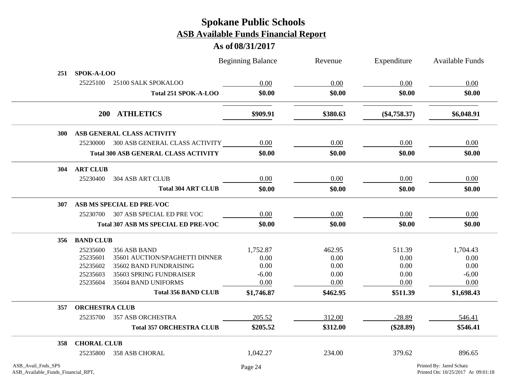|                                                          |                       |                                             | <b>Beginning Balance</b> | Revenue  | Expenditure    | <b>Available Funds</b>                                         |
|----------------------------------------------------------|-----------------------|---------------------------------------------|--------------------------|----------|----------------|----------------------------------------------------------------|
| 251                                                      | <b>SPOK-A-LOO</b>     |                                             |                          |          |                |                                                                |
|                                                          | 25225100              | 25100 SALK SPOKALOO                         | 0.00                     | 0.00     | 0.00           | 0.00                                                           |
|                                                          |                       | Total 251 SPOK-A-LOO                        | \$0.00                   | \$0.00   | \$0.00         | \$0.00                                                         |
|                                                          |                       | 200 ATHLETICS                               | \$909.91                 | \$380.63 | $(\$4,758.37)$ | \$6,048.91                                                     |
| 300                                                      |                       | ASB GENERAL CLASS ACTIVITY                  |                          |          |                |                                                                |
|                                                          |                       | 25230000 300 ASB GENERAL CLASS ACTIVITY     | 0.00                     | 0.00     | 0.00           | 0.00                                                           |
|                                                          |                       | <b>Total 300 ASB GENERAL CLASS ACTIVITY</b> | \$0.00                   | \$0.00   | \$0.00         | \$0.00                                                         |
| 304                                                      | <b>ART CLUB</b>       |                                             |                          |          |                |                                                                |
|                                                          | 25230400              | 304 ASB ART CLUB                            | 0.00                     | 0.00     | 0.00           | 0.00                                                           |
|                                                          |                       | <b>Total 304 ART CLUB</b>                   | \$0.00                   | \$0.00   | \$0.00         | \$0.00                                                         |
| 307                                                      |                       | ASB MS SPECIAL ED PRE-VOC                   |                          |          |                |                                                                |
|                                                          |                       | 25230700 307 ASB SPECIAL ED PRE VOC         | 0.00                     | 0.00     | 0.00           | 0.00                                                           |
|                                                          |                       | Total 307 ASB MS SPECIAL ED PRE-VOC         | \$0.00                   | \$0.00   | \$0.00         | \$0.00                                                         |
| 356                                                      | <b>BAND CLUB</b>      |                                             |                          |          |                |                                                                |
|                                                          | 25235600              | 356 ASB BAND                                | 1,752.87                 | 462.95   | 511.39         | 1,704.43                                                       |
|                                                          | 25235601              | 35601 AUCTION/SPAGHETTI DINNER              | 0.00                     | 0.00     | 0.00           | 0.00                                                           |
|                                                          | 25235602              | 35602 BAND FUNDRAISING                      | 0.00                     | 0.00     | 0.00           | 0.00                                                           |
|                                                          | 25235603              | 35603 SPRING FUNDRAISER                     | $-6.00$                  | 0.00     | 0.00           | $-6.00$                                                        |
|                                                          | 25235604              | 35604 BAND UNIFORMS                         | 0.00                     | 0.00     | 0.00           | 0.00                                                           |
|                                                          |                       | <b>Total 356 BAND CLUB</b>                  | \$1,746.87               | \$462.95 | \$511.39       | \$1,698.43                                                     |
| 357                                                      | <b>ORCHESTRA CLUB</b> |                                             |                          |          |                |                                                                |
|                                                          | 25235700              | 357 ASB ORCHESTRA                           | 205.52                   | 312.00   | $-28.89$       | 546.41                                                         |
|                                                          |                       | <b>Total 357 ORCHESTRA CLUB</b>             | \$205.52                 | \$312.00 | $(\$28.89)$    | \$546.41                                                       |
| 358                                                      | <b>CHORAL CLUB</b>    |                                             |                          |          |                |                                                                |
|                                                          | 25235800              | 358 ASB CHORAL                              | 1,042.27                 | 234.00   | 379.62         | 896.65                                                         |
| ASB_Avail_Fnds_SPS<br>ASB_Available_Funds_Financial_RPT, |                       |                                             | Page 24                  |          |                | Printed By: Jared Schatz<br>Printed On: 10/25/2017 At 09:01:18 |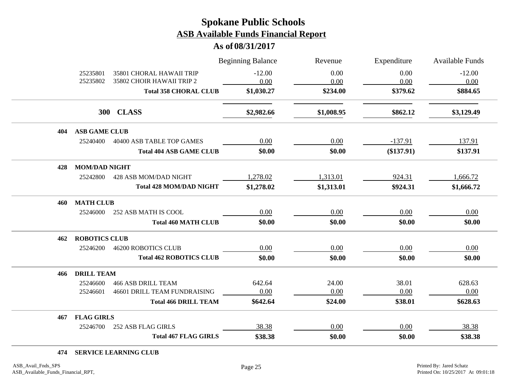**As of 08/31/2017**

| 25235801<br>35801 CHORAL HAWAII TRIP     | $-12.00$<br>0.00 | 0.00       |              |                  |
|------------------------------------------|------------------|------------|--------------|------------------|
| 25235802<br>35802 CHOIR HAWAII TRIP 2    |                  | 0.00       | 0.00<br>0.00 | $-12.00$<br>0.00 |
| <b>Total 358 CHORAL CLUB</b>             | \$1,030.27       | \$234.00   | \$379.62     | \$884.65         |
| 300 CLASS                                | \$2,982.66       | \$1,008.95 | \$862.12     | \$3,129.49       |
| <b>ASB GAME CLUB</b><br>404              |                  |            |              |                  |
| 25240400<br>40400 ASB TABLE TOP GAMES    | $0.00\,$         | 0.00       | $-137.91$    | 137.91           |
| <b>Total 404 ASB GAME CLUB</b>           | \$0.00           | \$0.00     | $(\$137.91)$ | \$137.91         |
| <b>MOM/DAD NIGHT</b><br>428              |                  |            |              |                  |
| 25242800<br>428 ASB MOM/DAD NIGHT        | 1,278.02         | 1,313.01   | 924.31       | 1,666.72         |
| <b>Total 428 MOM/DAD NIGHT</b>           | \$1,278.02       | \$1,313.01 | \$924.31     | \$1,666.72       |
| <b>MATH CLUB</b><br>460                  |                  |            |              |                  |
| 25246000<br>252 ASB MATH IS COOL         | 0.00             | 0.00       | 0.00         | 0.00             |
| <b>Total 460 MATH CLUB</b>               | \$0.00           | \$0.00     | \$0.00       | \$0.00           |
| <b>ROBOTICS CLUB</b><br>462              |                  |            |              |                  |
| 25246200<br><b>46200 ROBOTICS CLUB</b>   | 0.00             | 0.00       | 0.00         | 0.00             |
| <b>Total 462 ROBOTICS CLUB</b>           | \$0.00           | \$0.00     | \$0.00       | \$0.00           |
| <b>DRILL TEAM</b><br>466                 |                  |            |              |                  |
| <b>466 ASB DRILL TEAM</b><br>25246600    | 642.64           | 24.00      | 38.01        | 628.63           |
| 46601 DRILL TEAM FUNDRAISING<br>25246601 | 0.00             | 0.00       | 0.00         | 0.00             |
| <b>Total 466 DRILL TEAM</b>              | \$642.64         | \$24.00    | \$38.01      | \$628.63         |
| <b>FLAG GIRLS</b><br>467                 |                  |            |              |                  |
| 25246700<br>252 ASB FLAG GIRLS           | 38.38            | 0.00       | 0.00         | 38.38            |
| <b>Total 467 FLAG GIRLS</b>              | \$38.38          | \$0.00     | \$0.00       | \$38.38          |

#### **474 SERVICE LEARNING CLUB**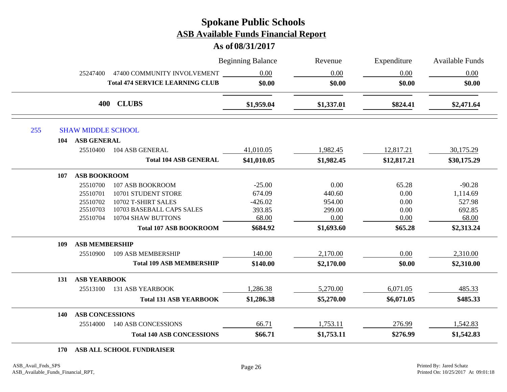#### **As of 08/31/2017**

|            |                           |                                        | <b>Beginning Balance</b> | Revenue    | Expenditure | <b>Available Funds</b> |
|------------|---------------------------|----------------------------------------|--------------------------|------------|-------------|------------------------|
|            | 25247400                  | 47400 COMMUNITY INVOLVEMENT            | 0.00                     | 0.00       | 0.00        | 0.00                   |
|            |                           | <b>Total 474 SERVICE LEARNING CLUB</b> | \$0.00                   | \$0.00     | \$0.00      | \$0.00                 |
|            |                           | 400 CLUBS                              | \$1,959.04               | \$1,337.01 | \$824.41    | \$2,471.64             |
| 255        | <b>SHAW MIDDLE SCHOOL</b> |                                        |                          |            |             |                        |
| 104        | ASB GENERAL               |                                        |                          |            |             |                        |
|            | 25510400                  | 104 ASB GENERAL                        | 41,010.05                | 1,982.45   | 12,817.21   | 30,175.29              |
|            |                           | <b>Total 104 ASB GENERAL</b>           | \$41,010.05              | \$1,982.45 | \$12,817.21 | \$30,175.29            |
| 107        | <b>ASB BOOKROOM</b>       |                                        |                          |            |             |                        |
|            | 25510700                  | 107 ASB BOOKROOM                       | $-25.00$                 | 0.00       | 65.28       | $-90.28$               |
|            | 25510701                  | 10701 STUDENT STORE                    | 674.09                   | 440.60     | 0.00        | 1,114.69               |
|            | 25510702                  | 10702 T-SHIRT SALES                    | $-426.02$                | 954.00     | 0.00        | 527.98                 |
|            | 25510703                  | 10703 BASEBALL CAPS SALES              | 393.85                   | 299.00     | 0.00        | 692.85                 |
|            | 25510704                  | 10704 SHAW BUTTONS                     | 68.00                    | 0.00       | 0.00        | 68.00                  |
|            |                           | <b>Total 107 ASB BOOKROOM</b>          | \$684.92                 | \$1,693.60 | \$65.28     | \$2,313.24             |
| 109        | <b>ASB MEMBERSHIP</b>     |                                        |                          |            |             |                        |
|            | 25510900                  | 109 ASB MEMBERSHIP                     | 140.00                   | 2,170.00   | 0.00        | 2,310.00               |
|            |                           | <b>Total 109 ASB MEMBERSHIP</b>        | \$140.00                 | \$2,170.00 | \$0.00      | \$2,310.00             |
| 131        | <b>ASB YEARBOOK</b>       |                                        |                          |            |             |                        |
|            | 25513100                  | <b>131 ASB YEARBOOK</b>                | 1,286.38                 | 5,270.00   | 6,071.05    | 485.33                 |
|            |                           | <b>Total 131 ASB YEARBOOK</b>          | \$1,286.38               | \$5,270.00 | \$6,071.05  | \$485.33               |
| <b>140</b> | <b>ASB CONCESSIONS</b>    |                                        |                          |            |             |                        |
|            | 25514000                  | 140 ASB CONCESSIONS                    | 66.71                    | 1,753.11   | 276.99      | 1,542.83               |
|            |                           | <b>Total 140 ASB CONCESSIONS</b>       | \$66.71                  | \$1,753.11 | \$276.99    | \$1,542.83             |

**170 ASB ALL SCHOOL FUNDRAISER**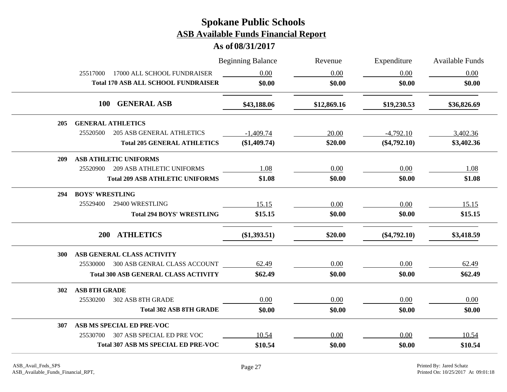|            |                                              | <b>Beginning Balance</b> | Revenue     | Expenditure    | <b>Available Funds</b> |
|------------|----------------------------------------------|--------------------------|-------------|----------------|------------------------|
|            | 17000 ALL SCHOOL FUNDRAISER<br>25517000      | 0.00                     | 0.00        | 0.00           | 0.00                   |
|            | <b>Total 170 ASB ALL SCHOOL FUNDRAISER</b>   | \$0.00                   | \$0.00      | \$0.00         | \$0.00                 |
|            | 100 GENERAL ASB                              | \$43,188.06              | \$12,869.16 | \$19,230.53    | \$36,826.69            |
| 205        | <b>GENERAL ATHLETICS</b>                     |                          |             |                |                        |
|            | 25520500<br><b>205 ASB GENERAL ATHLETICS</b> | $-1,409.74$              | 20.00       | $-4,792.10$    | 3,402.36               |
|            | <b>Total 205 GENERAL ATHLETICS</b>           | $(\$1,409.74)$           | \$20.00     | $(\$4,792.10)$ | \$3,402.36             |
| 209        | <b>ASB ATHLETIC UNIFORMS</b>                 |                          |             |                |                        |
|            | <b>209 ASB ATHLETIC UNIFORMS</b><br>25520900 | 1.08                     | 0.00        | 0.00           | 1.08                   |
|            | <b>Total 209 ASB ATHLETIC UNIFORMS</b>       | \$1.08                   | \$0.00      | \$0.00         | \$1.08                 |
| 294        | <b>BOYS' WRESTLING</b>                       |                          |             |                |                        |
|            | 25529400<br>29400 WRESTLING                  | 15.15                    | 0.00        | 0.00           | 15.15                  |
|            | <b>Total 294 BOYS' WRESTLING</b>             | \$15.15                  | \$0.00      | \$0.00         | \$15.15                |
|            | <b>ATHLETICS</b><br><b>200</b>               | $(\$1,393.51)$           | \$20.00     | $(\$4,792.10)$ | \$3,418.59             |
| <b>300</b> | ASB GENERAL CLASS ACTIVITY                   |                          |             |                |                        |
|            | 25530000 300 ASB GENRAL CLASS ACCOUNT        | 62.49                    | 0.00        | 0.00           | 62.49                  |
|            | <b>Total 300 ASB GENERAL CLASS ACTIVITY</b>  | \$62.49                  | \$0.00      | \$0.00         | \$62.49                |
| 302        | <b>ASB 8TH GRADE</b>                         |                          |             |                |                        |
|            | 302 ASB 8TH GRADE<br>25530200                | 0.00                     | 0.00        | 0.00           | 0.00                   |
|            | <b>Total 302 ASB 8TH GRADE</b>               | \$0.00                   | \$0.00      | \$0.00         | \$0.00                 |
| 307        | ASB MS SPECIAL ED PRE-VOC                    |                          |             |                |                        |
|            | 307 ASB SPECIAL ED PRE VOC<br>25530700       | 10.54                    | 0.00        | 0.00           | 10.54                  |
|            | <b>Total 307 ASB MS SPECIAL ED PRE-VOC</b>   | \$10.54                  | \$0.00      | \$0.00         | \$10.54                |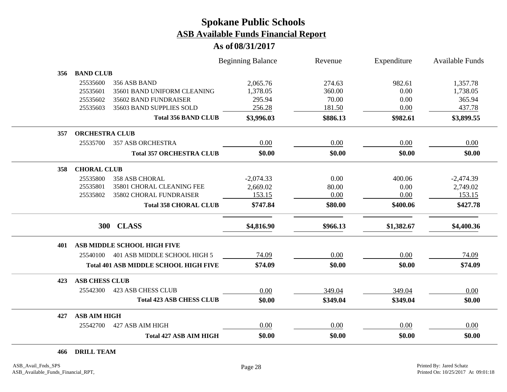### **As of 08/31/2017**

|     |                       |                                              | <b>Beginning Balance</b> | Revenue  | Expenditure | <b>Available Funds</b> |
|-----|-----------------------|----------------------------------------------|--------------------------|----------|-------------|------------------------|
| 356 | <b>BAND CLUB</b>      |                                              |                          |          |             |                        |
|     | 25535600              | 356 ASB BAND                                 | 2,065.76                 | 274.63   | 982.61      | 1,357.78               |
|     | 25535601              | 35601 BAND UNIFORM CLEANING                  | 1,378.05                 | 360.00   | 0.00        | 1,738.05               |
|     | 25535602              | 35602 BAND FUNDRAISER                        | 295.94                   | 70.00    | 0.00        | 365.94                 |
|     | 25535603              | 35603 BAND SUPPLIES SOLD                     | 256.28                   | 181.50   | 0.00        | 437.78                 |
|     |                       | <b>Total 356 BAND CLUB</b>                   | \$3,996.03               | \$886.13 | \$982.61    | \$3,899.55             |
| 357 | <b>ORCHESTRA CLUB</b> |                                              |                          |          |             |                        |
|     | 25535700              | <b>357 ASB ORCHESTRA</b>                     | 0.00                     | 0.00     | 0.00        | 0.00                   |
|     |                       | <b>Total 357 ORCHESTRA CLUB</b>              | \$0.00                   | \$0.00   | \$0.00      | \$0.00                 |
| 358 | <b>CHORAL CLUB</b>    |                                              |                          |          |             |                        |
|     | 25535800              | <b>358 ASB CHORAL</b>                        | $-2,074.33$              | 0.00     | 400.06      | $-2,474.39$            |
|     | 25535801              | 35801 CHORAL CLEANING FEE                    | 2,669.02                 | 80.00    | 0.00        | 2,749.02               |
|     | 25535802              | 35802 CHORAL FUNDRAISER                      | 153.15                   | 0.00     | 0.00        | 153.15                 |
|     |                       | <b>Total 358 CHORAL CLUB</b>                 | \$747.84                 | \$80.00  | \$400.06    | \$427.78               |
|     | <b>300</b>            | <b>CLASS</b>                                 | \$4,816.90               | \$966.13 | \$1,382.67  | \$4,400.36             |
| 401 |                       | ASB MIDDLE SCHOOL HIGH FIVE                  |                          |          |             |                        |
|     | 25540100              | 401 ASB MIDDLE SCHOOL HIGH 5                 | 74.09                    | 0.00     | 0.00        | 74.09                  |
|     |                       | <b>Total 401 ASB MIDDLE SCHOOL HIGH FIVE</b> | \$74.09                  | \$0.00   | \$0.00      | \$74.09                |
| 423 | <b>ASB CHESS CLUB</b> |                                              |                          |          |             |                        |
|     | 25542300              | <b>423 ASB CHESS CLUB</b>                    | 0.00                     | 349.04   | 349.04      | 0.00                   |
|     |                       | <b>Total 423 ASB CHESS CLUB</b>              | \$0.00                   | \$349.04 | \$349.04    | \$0.00                 |
| 427 | <b>ASB AIM HIGH</b>   |                                              |                          |          |             |                        |
|     | 25542700              | 427 ASB AIM HIGH                             | 0.00                     | 0.00     | 0.00        | 0.00                   |
|     |                       | <b>Total 427 ASB AIM HIGH</b>                | \$0.00                   | \$0.00   | \$0.00      | \$0.00                 |

**466 DRILL TEAM**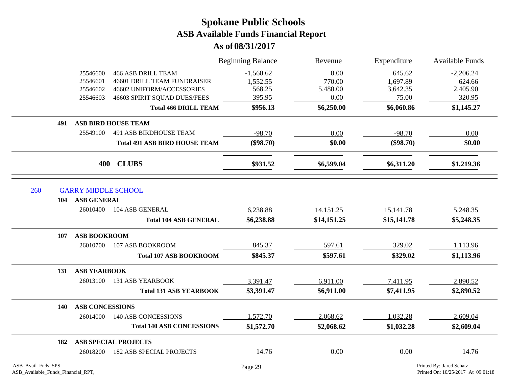### **As of 08/31/2017**

|                                   |                                      | <b>Beginning Balance</b> | Revenue     | Expenditure | <b>Available Funds</b> |
|-----------------------------------|--------------------------------------|--------------------------|-------------|-------------|------------------------|
| 25546600                          | <b>466 ASB DRILL TEAM</b>            | $-1,560.62$              | 0.00        | 645.62      | $-2,206.24$            |
| 25546601                          | <b>46601 DRILL TEAM FUNDRAISER</b>   | 1,552.55                 | 770.00      | 1,697.89    | 624.66                 |
| 25546602                          | 46602 UNIFORM/ACCESSORIES            | 568.25                   | 5,480.00    | 3,642.35    | 2,405.90               |
| 25546603                          | 46603 SPIRIT SQUAD DUES/FEES         | 395.95                   | 0.00        | 75.00       | 320.95                 |
|                                   | <b>Total 466 DRILL TEAM</b>          | \$956.13                 | \$6,250.00  | \$6,060.86  | \$1,145.27             |
| 491                               | <b>ASB BIRD HOUSE TEAM</b>           |                          |             |             |                        |
| 25549100                          | <b>491 ASB BIRDHOUSE TEAM</b>        | $-98.70$                 | 0.00        | $-98.70$    | 0.00                   |
|                                   | <b>Total 491 ASB BIRD HOUSE TEAM</b> | $(\$98.70)$              | \$0.00      | $(\$98.70)$ | \$0.00                 |
| 400                               | <b>CLUBS</b>                         | \$931.52                 | \$6,599.04  | \$6,311.20  | \$1,219.36             |
| 260<br><b>GARRY MIDDLE SCHOOL</b> |                                      |                          |             |             |                        |
| <b>ASB GENERAL</b><br>104         |                                      |                          |             |             |                        |
| 26010400                          | 104 ASB GENERAL                      | 6,238.88                 | 14,151.25   | 15,141.78   | 5,248.35               |
|                                   | <b>Total 104 ASB GENERAL</b>         | \$6,238.88               | \$14,151.25 | \$15,141.78 | \$5,248.35             |
| <b>ASB BOOKROOM</b><br>107        |                                      |                          |             |             |                        |
| 26010700                          | 107 ASB BOOKROOM                     | 845.37                   | 597.61      | 329.02      | 1,113.96               |
|                                   | <b>Total 107 ASB BOOKROOM</b>        | \$845.37                 | \$597.61    | \$329.02    | \$1,113.96             |
| <b>ASB YEARBOOK</b><br>131        |                                      |                          |             |             |                        |
| 26013100                          | <b>131 ASB YEARBOOK</b>              | 3,391.47                 | 6,911.00    | 7,411.95    | 2,890.52               |
|                                   | <b>Total 131 ASB YEARBOOK</b>        | \$3,391.47               | \$6,911.00  | \$7,411.95  | \$2,890.52             |
| <b>ASB CONCESSIONS</b><br>140     |                                      |                          |             |             |                        |
| 26014000                          | 140 ASB CONCESSIONS                  | 1,572.70                 | 2,068.62    | 1,032.28    | 2,609.04               |
|                                   | <b>Total 140 ASB CONCESSIONS</b>     | \$1,572.70               | \$2,068.62  | \$1,032.28  | \$2,609.04             |
| 182                               | <b>ASB SPECIAL PROJECTS</b>          |                          |             |             |                        |
| 26018200                          | <b>182 ASB SPECIAL PROJECTS</b>      | 14.76                    | 0.00        | 0.00        | 14.76                  |

Ξ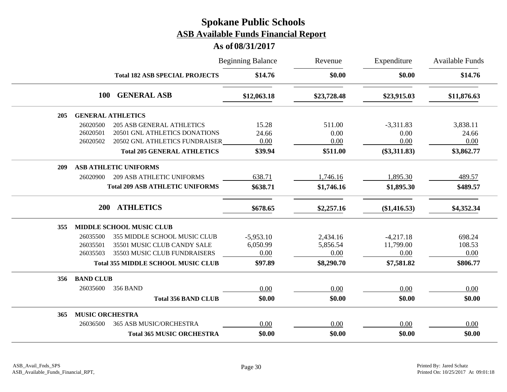|     |                        | <b>Beginning Balance</b>                  |             | Revenue     | Expenditure    | <b>Available Funds</b> |
|-----|------------------------|-------------------------------------------|-------------|-------------|----------------|------------------------|
|     |                        | <b>Total 182 ASB SPECIAL PROJECTS</b>     | \$14.76     | \$0.00      | \$0.00         | \$14.76                |
|     | <b>100</b>             | <b>GENERAL ASB</b>                        | \$12,063.18 | \$23,728.48 | \$23,915.03    | \$11,876.63            |
| 205 |                        | <b>GENERAL ATHLETICS</b>                  |             |             |                |                        |
|     | 26020500               | <b>205 ASB GENERAL ATHLETICS</b>          | 15.28       | 511.00      | $-3,311.83$    | 3,838.11               |
|     | 26020501               | 20501 GNL ATHLETICS DONATIONS             | 24.66       | 0.00        | 0.00           | 24.66                  |
|     | 26020502               | 20502 GNL ATHLETICS FUNDRAISER            | 0.00        | 0.00        | 0.00           | 0.00                   |
|     |                        | <b>Total 205 GENERAL ATHLETICS</b>        | \$39.94     | \$511.00    | $(\$3,311.83)$ | \$3,862.77             |
| 209 |                        | <b>ASB ATHLETIC UNIFORMS</b>              |             |             |                |                        |
|     | 26020900               | <b>209 ASB ATHLETIC UNIFORMS</b>          | 638.71      | 1,746.16    | 1,895.30       | 489.57                 |
|     |                        | <b>Total 209 ASB ATHLETIC UNIFORMS</b>    | \$638.71    | \$1,746.16  | \$1,895.30     | \$489.57               |
|     | 200                    | <b>ATHLETICS</b>                          | \$678.65    | \$2,257.16  | (\$1,416.53)   | \$4,352.34             |
| 355 |                        | <b>MIDDLE SCHOOL MUSIC CLUB</b>           |             |             |                |                        |
|     | 26035500               | 355 MIDDLE SCHOOL MUSIC CLUB              | $-5,953.10$ | 2,434.16    | $-4,217.18$    | 698.24                 |
|     | 26035501               | 35501 MUSIC CLUB CANDY SALE               | 6,050.99    | 5,856.54    | 11,799.00      | 108.53                 |
|     | 26035503               | 35503 MUSIC CLUB FUNDRAISERS              | 0.00        | 0.00        | 0.00           | 0.00                   |
|     |                        | <b>Total 355 MIDDLE SCHOOL MUSIC CLUB</b> | \$97.89     | \$8,290.70  | \$7,581.82     | \$806.77               |
| 356 | <b>BAND CLUB</b>       |                                           |             |             |                |                        |
|     | 26035600               | <b>356 BAND</b>                           | 0.00        | 0.00        | 0.00           | 0.00                   |
|     |                        | <b>Total 356 BAND CLUB</b>                | \$0.00      | \$0.00      | \$0.00         | \$0.00                 |
| 365 | <b>MUSIC ORCHESTRA</b> |                                           |             |             |                |                        |
|     | 26036500               | 365 ASB MUSIC/ORCHESTRA                   | 0.00        | 0.00        | 0.00           | 0.00                   |
|     |                        | <b>Total 365 MUSIC ORCHESTRA</b>          | \$0.00      | \$0.00      | \$0.00         | \$0.00                 |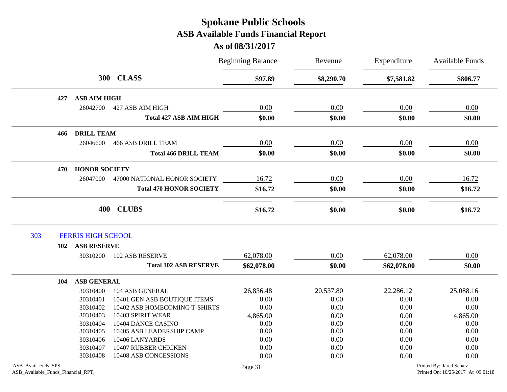|                                                          |                           |                                | <b>Beginning Balance</b> | Revenue    | Expenditure | <b>Available Funds</b>                                         |
|----------------------------------------------------------|---------------------------|--------------------------------|--------------------------|------------|-------------|----------------------------------------------------------------|
|                                                          |                           | 300 CLASS                      | \$97.89                  | \$8,290.70 | \$7,581.82  | \$806.77                                                       |
| 427                                                      | <b>ASB AIM HIGH</b>       |                                |                          |            |             |                                                                |
|                                                          | 26042700                  | 427 ASB AIM HIGH               | 0.00                     | 0.00       | 0.00        | 0.00                                                           |
|                                                          |                           | <b>Total 427 ASB AIM HIGH</b>  | \$0.00                   | \$0.00     | \$0.00      | \$0.00                                                         |
| 466                                                      | <b>DRILL TEAM</b>         |                                |                          |            |             |                                                                |
|                                                          | 26046600                  | <b>466 ASB DRILL TEAM</b>      | 0.00                     | 0.00       | 0.00        | 0.00                                                           |
|                                                          |                           | <b>Total 466 DRILL TEAM</b>    | \$0.00                   | \$0.00     | \$0.00      | \$0.00                                                         |
| 470                                                      | <b>HONOR SOCIETY</b>      |                                |                          |            |             |                                                                |
|                                                          | 26047000                  | 47000 NATIONAL HONOR SOCIETY   | 16.72                    | 0.00       | 0.00        | 16.72                                                          |
|                                                          |                           | <b>Total 470 HONOR SOCIETY</b> | \$16.72                  | \$0.00     | \$0.00      | \$16.72                                                        |
|                                                          |                           | 400 CLUBS                      | \$16.72                  | \$0.00     | \$0.00      | \$16.72                                                        |
| 303                                                      | <b>FERRIS HIGH SCHOOL</b> |                                |                          |            |             |                                                                |
| 102                                                      | <b>ASB RESERVE</b>        |                                |                          |            |             |                                                                |
|                                                          | 30310200                  | <b>102 ASB RESERVE</b>         | 62,078.00                | 0.00       | 62,078.00   | 0.00                                                           |
|                                                          |                           | <b>Total 102 ASB RESERVE</b>   | \$62,078.00              | \$0.00     | \$62,078.00 | \$0.00                                                         |
| 104                                                      | <b>ASB GENERAL</b>        |                                |                          |            |             |                                                                |
|                                                          | 30310400                  | 104 ASB GENERAL                | 26,836.48                | 20,537.80  | 22,286.12   | 25,088.16                                                      |
|                                                          | 30310401                  | 10401 GEN ASB BOUTIQUE ITEMS   | 0.00                     | 0.00       | 0.00        | 0.00                                                           |
|                                                          | 30310402                  | 10402 ASB HOMECOMING T-SHIRTS  | 0.00                     | 0.00       | 0.00        | 0.00                                                           |
|                                                          | 30310403                  | 10403 SPIRIT WEAR              | 4,865.00                 | 0.00       | 0.00        | 4,865.00                                                       |
|                                                          | 30310404                  | 10404 DANCE CASINO             | 0.00                     | 0.00       | 0.00        | 0.00                                                           |
|                                                          | 30310405                  | 10405 ASB LEADERSHIP CAMP      | 0.00                     | 0.00       | 0.00        | 0.00                                                           |
|                                                          | 30310406                  | 10406 LANYARDS                 | 0.00                     | 0.00       | 0.00        | 0.00                                                           |
|                                                          | 30310407                  | 10407 RUBBER CHICKEN           | 0.00                     | 0.00       | 0.00        | 0.00                                                           |
|                                                          | 30310408                  | 10408 ASB CONCESSIONS          | 0.00                     | 0.00       | 0.00        | 0.00                                                           |
| ASB_Avail_Fnds_SPS<br>ASB_Available_Funds_Financial_RPT, |                           |                                | Page 31                  |            |             | Printed By: Jared Schatz<br>Printed On: 10/25/2017 At 09:01:18 |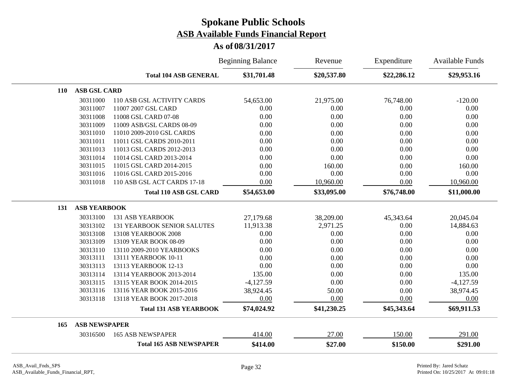|     |                      |                                    | <b>Beginning Balance</b> | Revenue     | Expenditure | <b>Available Funds</b> |
|-----|----------------------|------------------------------------|--------------------------|-------------|-------------|------------------------|
|     |                      | <b>Total 104 ASB GENERAL</b>       | \$31,701.48              | \$20,537.80 | \$22,286.12 | \$29,953.16            |
| 110 | <b>ASB GSL CARD</b>  |                                    |                          |             |             |                        |
|     | 30311000             | 110 ASB GSL ACTIVITY CARDS         | 54,653.00                | 21,975.00   | 76,748.00   | $-120.00$              |
|     | 30311007             | 11007 2007 GSL CARD                | 0.00                     | 0.00        | 0.00        | 0.00                   |
|     | 30311008             | 11008 GSL CARD 07-08               | 0.00                     | 0.00        | 0.00        | 0.00                   |
|     | 30311009             | 11009 ASB/GSL CARDS 08-09          | 0.00                     | 0.00        | 0.00        | 0.00                   |
|     | 30311010             | 11010 2009-2010 GSL CARDS          | 0.00                     | 0.00        | 0.00        | 0.00                   |
|     | 30311011             | 11011 GSL CARDS 2010-2011          | 0.00                     | 0.00        | 0.00        | 0.00                   |
|     | 30311013             | 11013 GSL CARDS 2012-2013          | 0.00                     | 0.00        | 0.00        | 0.00                   |
|     | 30311014             | 11014 GSL CARD 2013-2014           | 0.00                     | 0.00        | 0.00        | 0.00                   |
|     | 30311015             | 11015 GSL CARD 2014-2015           | 0.00                     | 160.00      | 0.00        | 160.00                 |
|     | 30311016             | 11016 GSL CARD 2015-2016           | 0.00                     | 0.00        | 0.00        | 0.00                   |
|     | 30311018             | 110 ASB GSL ACT CARDS 17-18        | 0.00                     | 10,960.00   | 0.00        | 10,960.00              |
|     |                      | <b>Total 110 ASB GSL CARD</b>      | \$54,653.00              | \$33,095.00 | \$76,748.00 | \$11,000.00            |
| 131 | <b>ASB YEARBOOK</b>  |                                    |                          |             |             |                        |
|     | 30313100             | <b>131 ASB YEARBOOK</b>            | 27,179.68                | 38,209.00   | 45,343.64   | 20,045.04              |
|     | 30313102             | <b>131 YEARBOOK SENIOR SALUTES</b> | 11,913.38                | 2,971.25    | 0.00        | 14,884.63              |
|     | 30313108             | 13108 YEARBOOK 2008                | 0.00                     | 0.00        | 0.00        | 0.00                   |
|     | 30313109             | 13109 YEAR BOOK 08-09              | 0.00                     | 0.00        | 0.00        | 0.00                   |
|     | 30313110             | 13110 2009-2010 YEARBOOKS          | 0.00                     | 0.00        | 0.00        | 0.00                   |
|     | 30313111             | 13111 YEARBOOK 10-11               | 0.00                     | 0.00        | 0.00        | 0.00                   |
|     | 30313113             | 13113 YEARBOOK 12-13               | 0.00                     | 0.00        | 0.00        | 0.00                   |
|     | 30313114             | 13114 YEARBOOK 2013-2014           | 135.00                   | 0.00        | 0.00        | 135.00                 |
|     | 30313115             | 13115 YEAR BOOK 2014-2015          | $-4,127.59$              | 0.00        | 0.00        | $-4,127.59$            |
|     | 30313116             | 13116 YEAR BOOK 2015-2016          | 38,924.45                | 50.00       | 0.00        | 38,974.45              |
|     | 30313118             | 13118 YEAR BOOK 2017-2018          | 0.00                     | 0.00        | 0.00        | 0.00                   |
|     |                      | <b>Total 131 ASB YEARBOOK</b>      | \$74,024.92              | \$41,230.25 | \$45,343.64 | \$69,911.53            |
| 165 | <b>ASB NEWSPAPER</b> |                                    |                          |             |             |                        |
|     | 30316500             | <b>165 ASB NEWSPAPER</b>           | 414.00                   | 27.00       | 150.00      | 291.00                 |
|     |                      | <b>Total 165 ASB NEWSPAPER</b>     | \$414.00                 | \$27.00     | \$150.00    | \$291.00               |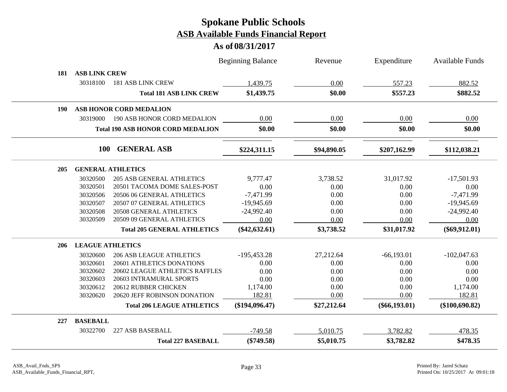|     |                         |                                          | <b>Beginning Balance</b> | Revenue     | Expenditure     | Available Funds  |
|-----|-------------------------|------------------------------------------|--------------------------|-------------|-----------------|------------------|
| 181 | <b>ASB LINK CREW</b>    |                                          |                          |             |                 |                  |
|     | 30318100                | <b>181 ASB LINK CREW</b>                 | 1,439.75                 | 0.00        | 557.23          | 882.52           |
|     |                         | <b>Total 181 ASB LINK CREW</b>           | \$1,439.75               | \$0.00      | \$557.23        | \$882.52         |
| 190 |                         | <b>ASB HONOR CORD MEDALION</b>           |                          |             |                 |                  |
|     | 30319000                | 190 ASB HONOR CORD MEDALION              | 0.00                     | 0.00        | 0.00            | 0.00             |
|     |                         | <b>Total 190 ASB HONOR CORD MEDALION</b> | \$0.00                   | \$0.00      | \$0.00          | \$0.00           |
|     | <b>100</b>              | <b>GENERAL ASB</b>                       | \$224,311.15             | \$94,890.05 | \$207,162.99    | \$112,038.21     |
| 205 |                         | <b>GENERAL ATHLETICS</b>                 |                          |             |                 |                  |
|     | 30320500                | <b>205 ASB GENERAL ATHLETICS</b>         | 9,777.47                 | 3,738.52    | 31,017.92       | $-17,501.93$     |
|     | 30320501                | 20501 TACOMA DOME SALES-POST             | 0.00                     | 0.00        | 0.00            | 0.00             |
|     | 30320506                | 20506 06 GENERAL ATHLETICS               | $-7,471.99$              | 0.00        | 0.00            | $-7,471.99$      |
|     | 30320507                | 20507 07 GENERAL ATHLETICS               | $-19,945.69$             | 0.00        | 0.00            | $-19,945.69$     |
|     | 30320508                | 20508 GENERAL ATHLETICS                  | $-24,992.40$             | 0.00        | 0.00            | $-24,992.40$     |
|     | 30320509                | 20509 09 GENERAL ATHLETICS               | 0.00                     | 0.00        | 0.00            | 0.00             |
|     |                         | <b>Total 205 GENERAL ATHLETICS</b>       | $(\$42,632.61)$          | \$3,738.52  | \$31,017.92     | $(\$69,912.01)$  |
| 206 | <b>LEAGUE ATHLETICS</b> |                                          |                          |             |                 |                  |
|     | 30320600                | <b>206 ASB LEAGUE ATHLETICS</b>          | $-195,453.28$            | 27,212.64   | $-66,193.01$    | $-102,047.63$    |
|     | 30320601                | 20601 ATHLETICS DONATIONS                | 0.00                     | 0.00        | 0.00            | 0.00             |
|     | 30320602                | 20602 LEAGUE ATHLETICS RAFFLES           | 0.00                     | 0.00        | 0.00            | 0.00             |
|     | 30320603                | 20603 INTRAMURAL SPORTS                  | 0.00                     | 0.00        | 0.00            | 0.00             |
|     | 30320612                | 20612 RUBBER CHICKEN                     | 1,174.00                 | 0.00        | 0.00            | 1,174.00         |
|     | 30320620                | 20620 JEFF ROBINSON DONATION             | 182.81                   | 0.00        | 0.00            | 182.81           |
|     |                         | <b>Total 206 LEAGUE ATHLETICS</b>        | (\$194,096.47)           | \$27,212.64 | $(\$66,193.01)$ | $(\$100,690.82)$ |
| 227 | <b>BASEBALL</b>         |                                          |                          |             |                 |                  |
|     | 30322700                | 227 ASB BASEBALL                         | $-749.58$                | 5,010.75    | 3,782.82        | 478.35           |
|     |                         | <b>Total 227 BASEBALL</b>                | $(\$749.58)$             | \$5,010.75  | \$3,782.82      | \$478.35         |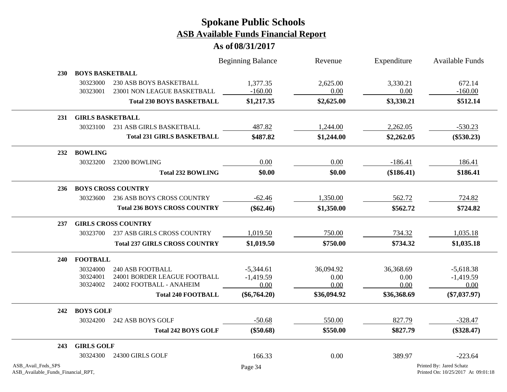|                                                          |                         |                                                        | <b>Beginning Balance</b> | Revenue             | Expenditure         | Available Funds                                                |
|----------------------------------------------------------|-------------------------|--------------------------------------------------------|--------------------------|---------------------|---------------------|----------------------------------------------------------------|
| 230                                                      | <b>BOYS BASKETBALL</b>  |                                                        |                          |                     |                     |                                                                |
|                                                          | 30323000<br>30323001    | 230 ASB BOYS BASKETBALL<br>23001 NON LEAGUE BASKETBALL | 1,377.35<br>$-160.00$    | 2,625.00<br>0.00    | 3,330.21<br>0.00    | 672.14<br>$-160.00$                                            |
|                                                          |                         | <b>Total 230 BOYS BASKETBALL</b>                       | \$1,217.35               | \$2,625.00          | \$3,330.21          | \$512.14                                                       |
| 231                                                      | <b>GIRLS BASKETBALL</b> |                                                        |                          |                     |                     |                                                                |
|                                                          | 30323100                | 231 ASB GIRLS BASKETBALL                               | 487.82                   | 1,244.00            | 2,262.05            | $-530.23$                                                      |
|                                                          |                         | <b>Total 231 GIRLS BASKETBALL</b>                      | \$487.82                 | \$1,244.00          | \$2,262.05          | $(\$530.23)$                                                   |
| 232                                                      | <b>BOWLING</b>          |                                                        |                          |                     |                     |                                                                |
|                                                          | 30323200                | 23200 BOWLING                                          | 0.00                     | 0.00                | $-186.41$           | 186.41                                                         |
|                                                          |                         | <b>Total 232 BOWLING</b>                               | \$0.00                   | \$0.00              | (\$186.41)          | \$186.41                                                       |
| 236                                                      |                         | <b>BOYS CROSS COUNTRY</b>                              |                          |                     |                     |                                                                |
|                                                          | 30323600                | 236 ASB BOYS CROSS COUNTRY                             | $-62.46$                 | 1,350.00            | 562.72              | 724.82                                                         |
|                                                          |                         | <b>Total 236 BOYS CROSS COUNTRY</b>                    | $(\$62.46)$              | \$1,350.00          | \$562.72            | \$724.82                                                       |
| 237                                                      |                         | <b>GIRLS CROSS COUNTRY</b>                             |                          |                     |                     |                                                                |
|                                                          | 30323700                | 237 ASB GIRLS CROSS COUNTRY                            | 1,019.50                 | 750.00              | 734.32              | 1,035.18                                                       |
|                                                          |                         | <b>Total 237 GIRLS CROSS COUNTRY</b>                   | \$1,019.50               | \$750.00            | \$734.32            | \$1,035.18                                                     |
| 240                                                      | <b>FOOTBALL</b>         |                                                        |                          |                     |                     |                                                                |
|                                                          | 30324000                | 240 ASB FOOTBALL                                       | $-5,344.61$              | 36,094.92           | 36,368.69           | $-5,618.38$                                                    |
|                                                          | 30324001                | 24001 BORDER LEAGUE FOOTBALL                           | $-1,419.59$              | 0.00                | 0.00                | $-1,419.59$                                                    |
|                                                          | 30324002                | 24002 FOOTBALL - ANAHEIM<br><b>Total 240 FOOTBALL</b>  | 0.00<br>$(\$6,764.20)$   | 0.00<br>\$36,094.92 | 0.00<br>\$36,368.69 | 0.00<br>$(\$7,037.97)$                                         |
|                                                          |                         |                                                        |                          |                     |                     |                                                                |
| 242                                                      | <b>BOYS GOLF</b>        |                                                        |                          |                     |                     |                                                                |
|                                                          | 30324200                | 242 ASB BOYS GOLF                                      | $-50.68$                 | 550.00              | 827.79              | $-328.47$                                                      |
|                                                          |                         | <b>Total 242 BOYS GOLF</b>                             | $(\$50.68)$              | \$550.00            | \$827.79            | $(\$328.47)$                                                   |
| 243                                                      | <b>GIRLS GOLF</b>       |                                                        |                          |                     |                     |                                                                |
|                                                          | 30324300                | 24300 GIRLS GOLF                                       | 166.33                   | 0.00                | 389.97              | $-223.64$                                                      |
| ASB_Avail_Fnds_SPS<br>ASB_Available_Funds_Financial_RPT, |                         |                                                        | Page 34                  |                     |                     | Printed By: Jared Schatz<br>Printed On: 10/25/2017 At 09:01:18 |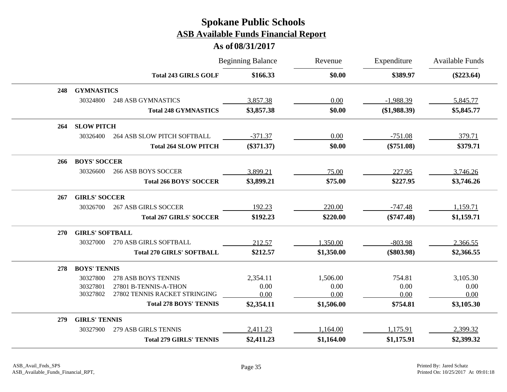|            |                        |                                    | <b>Beginning Balance</b> | Revenue    | Expenditure  | Available Funds |
|------------|------------------------|------------------------------------|--------------------------|------------|--------------|-----------------|
|            |                        | <b>Total 243 GIRLS GOLF</b>        | \$166.33                 | \$0.00     | \$389.97     | $(\$223.64)$    |
| 248        | <b>GYMNASTICS</b>      |                                    |                          |            |              |                 |
|            | 30324800               | <b>248 ASB GYMNASTICS</b>          | 3,857.38                 | 0.00       | $-1,988.39$  | 5,845.77        |
|            |                        | <b>Total 248 GYMNASTICS</b>        | \$3,857.38               | \$0.00     | (\$1,988.39) | \$5,845.77      |
| 264        | <b>SLOW PITCH</b>      |                                    |                          |            |              |                 |
|            | 30326400               | <b>264 ASB SLOW PITCH SOFTBALL</b> | $-371.37$                | 0.00       | $-751.08$    | 379.71          |
|            |                        | <b>Total 264 SLOW PITCH</b>        | $(\$371.37)$             | \$0.00     | $(\$751.08)$ | \$379.71        |
| 266        | <b>BOYS' SOCCER</b>    |                                    |                          |            |              |                 |
|            | 30326600               | <b>266 ASB BOYS SOCCER</b>         | 3,899.21                 | 75.00      | 227.95       | 3,746.26        |
|            |                        | <b>Total 266 BOYS' SOCCER</b>      | \$3,899.21               | \$75.00    | \$227.95     | \$3,746.26      |
| 267        | <b>GIRLS' SOCCER</b>   |                                    |                          |            |              |                 |
|            | 30326700               | <b>267 ASB GIRLS SOCCER</b>        | 192.23                   | 220.00     | $-747.48$    | 1,159.71        |
|            |                        | <b>Total 267 GIRLS' SOCCER</b>     | \$192.23                 | \$220.00   | $(\$747.48)$ | \$1,159.71      |
| <b>270</b> | <b>GIRLS' SOFTBALL</b> |                                    |                          |            |              |                 |
|            | 30327000               | 270 ASB GIRLS SOFTBALL             | 212.57                   | 1,350.00   | $-803.98$    | 2,366.55        |
|            |                        | <b>Total 270 GIRLS' SOFTBALL</b>   | \$212.57                 | \$1,350.00 | $(\$803.98)$ | \$2,366.55      |
| 278        | <b>BOYS' TENNIS</b>    |                                    |                          |            |              |                 |
|            | 30327800               | 278 ASB BOYS TENNIS                | 2,354.11                 | 1,506.00   | 754.81       | 3,105.30        |
|            | 30327801               | 27801 B-TENNIS-A-THON              | 0.00                     | 0.00       | 0.00         | 0.00            |
|            | 30327802               | 27802 TENNIS RACKET STRINGING      | 0.00                     | 0.00       | 0.00         | 0.00            |
|            |                        | <b>Total 278 BOYS' TENNIS</b>      | \$2,354.11               | \$1,506.00 | \$754.81     | \$3,105.30      |
| 279        | <b>GIRLS' TENNIS</b>   |                                    |                          |            |              |                 |
|            | 30327900               | 279 ASB GIRLS TENNIS               | 2,411.23                 | 1,164.00   | 1,175.91     | 2,399.32        |
|            |                        | <b>Total 279 GIRLS' TENNIS</b>     | \$2,411.23               | \$1,164.00 | \$1,175.91   | \$2,399.32      |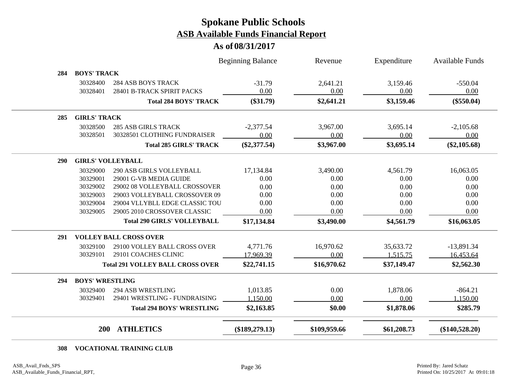**As of 08/31/2017**

|            | <b>200</b>               | <b>ATHLETICS</b>                                     | $(\$189,279.13)$         | \$109,959.66 | \$61,208.73 | $(\$140,528.20)$       |
|------------|--------------------------|------------------------------------------------------|--------------------------|--------------|-------------|------------------------|
|            |                          | <b>Total 294 BOYS' WRESTLING</b>                     | \$2,163.85               | \$0.00       | \$1,878.06  | \$285.79               |
|            | 30329401                 | 29401 WRESTLING - FUNDRAISING                        | 1,150.00                 | 0.00         | 0.00        | 1,150.00               |
|            | 30329400                 | <b>294 ASB WRESTLING</b>                             | 1,013.85                 | 0.00         | 1,878.06    | $-864.21$              |
| 294        | <b>BOYS' WRESTLING</b>   |                                                      |                          |              |             |                        |
|            |                          | <b>Total 291 VOLLEY BALL CROSS OVER</b>              | \$22,741.15              | \$16,970.62  | \$37,149.47 | \$2,562.30             |
|            |                          |                                                      | 17,969.39                | 0.00         | 1,515.75    | 16,453.64              |
|            | 30329100<br>30329101     | 29100 VOLLEY BALL CROSS OVER<br>29101 COACHES CLINIC | 4,771.76                 | 16,970.62    | 35,633.72   | $-13,891.34$           |
| 291        |                          | <b>VOLLEY BALL CROSS OVER</b>                        |                          |              |             |                        |
|            |                          | <b>Total 290 GIRLS' VOLLEYBALL</b>                   | \$17,134.84              | \$3,490.00   | \$4,561.79  | \$16,063.05            |
|            | 30329005                 | 29005 2010 CROSSOVER CLASSIC                         | 0.00                     | 0.00         | 0.00        | 0.00                   |
|            | 30329004                 | 29004 VLLYBLL EDGE CLASSIC TOU                       | 0.00                     | 0.00         | 0.00        | 0.00                   |
|            | 30329003                 | 29003 VOLLEYBALL CROSSOVER 09                        | 0.00                     | 0.00         | 0.00        | 0.00                   |
|            | 30329002                 | 29002 08 VOLLEYBALL CROSSOVER                        | 0.00                     | 0.00         | 0.00        | 0.00                   |
|            | 30329001                 | 29001 G-VB MEDIA GUIDE                               | 0.00                     | 0.00         | 0.00        | 0.00                   |
|            | 30329000                 | <b>290 ASB GIRLS VOLLEYBALL</b>                      | 17,134.84                | 3,490.00     | 4,561.79    | 16,063.05              |
| <b>290</b> | <b>GIRLS' VOLLEYBALL</b> |                                                      |                          |              |             |                        |
|            |                          | <b>Total 285 GIRLS' TRACK</b>                        | $(\$2,377.54)$           | \$3,967.00   | \$3,695.14  | $(\$2,105.68)$         |
|            | 30328501                 | 30328501 CLOTHING FUNDRAISER                         | 0.00                     | 0.00         | 0.00        | 0.00                   |
|            | 30328500                 | <b>285 ASB GIRLS TRACK</b>                           | $-2,377.54$              | 3,967.00     | 3,695.14    | $-2,105.68$            |
| 285        | <b>GIRLS' TRACK</b>      |                                                      |                          |              |             |                        |
|            |                          | <b>Total 284 BOYS' TRACK</b>                         | $(\$31.79)$              | \$2,641.21   | \$3,159.46  | $(\$550.04)$           |
|            | 30328401                 | 28401 B-TRACK SPIRIT PACKS                           | 0.00                     | 0.00         | 0.00        | 0.00                   |
|            | 30328400                 | <b>284 ASB BOYS TRACK</b>                            | $-31.79$                 | 2,641.21     | 3,159.46    | $-550.04$              |
| 284        | <b>BOYS' TRACK</b>       |                                                      |                          |              |             |                        |
|            |                          |                                                      | <b>Beginning Balance</b> | Revenue      | Expenditure | <b>Available Funds</b> |

#### **VOCATIONAL TRAINING CLUB**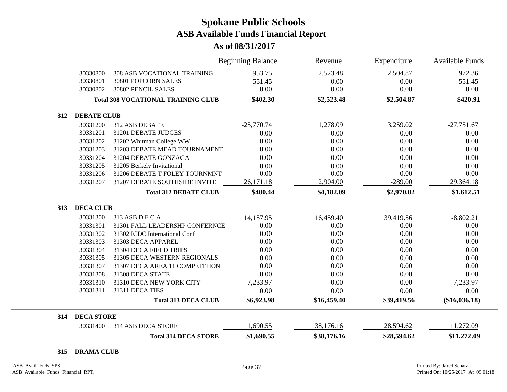#### **As of 08/31/2017**

|     |                    |                                           | <b>Beginning Balance</b> | Revenue     | Expenditure | <b>Available Funds</b> |
|-----|--------------------|-------------------------------------------|--------------------------|-------------|-------------|------------------------|
|     | 30330800           | <b>308 ASB VOCATIONAL TRAINING</b>        | 953.75                   | 2,523.48    | 2,504.87    | 972.36                 |
|     | 30330801           | 30801 POPCORN SALES                       | $-551.45$                | 0.00        | 0.00        | $-551.45$              |
|     | 30330802           | 30802 PENCIL SALES                        | 0.00                     | 0.00        | 0.00        | 0.00                   |
|     |                    | <b>Total 308 VOCATIONAL TRAINING CLUB</b> | \$402.30                 | \$2,523.48  | \$2,504.87  | \$420.91               |
| 312 | <b>DEBATE CLUB</b> |                                           |                          |             |             |                        |
|     | 30331200           | 312 ASB DEBATE                            | $-25,770.74$             | 1,278.09    | 3,259.02    | $-27,751.67$           |
|     | 30331201           | 31201 DEBATE JUDGES                       | 0.00                     | 0.00        | 0.00        | 0.00                   |
|     | 30331202           | 31202 Whitman College WW                  | 0.00                     | 0.00        | 0.00        | 0.00                   |
|     | 30331203           | 31203 DEBATE MEAD TOURNAMENT              | 0.00                     | 0.00        | 0.00        | 0.00                   |
|     | 30331204           | 31204 DEBATE GONZAGA                      | 0.00                     | 0.00        | 0.00        | 0.00                   |
|     | 30331205           | 31205 Berkely Invitational                | 0.00                     | 0.00        | 0.00        | 0.00                   |
|     | 30331206           | 31206 DEBATE T FOLEY TOURNMNT             | 0.00                     | 0.00        | 0.00        | 0.00                   |
|     | 30331207           | 31207 DEBATE SOUTHSIDE INVITE             | 26,171.18                | 2,904.00    | $-289.00$   | 29,364.18              |
|     |                    | <b>Total 312 DEBATE CLUB</b>              | \$400.44                 | \$4,182.09  | \$2,970.02  | \$1,612.51             |
| 313 | <b>DECA CLUB</b>   |                                           |                          |             |             |                        |
|     | 30331300           | 313 ASB D E C A                           | 14,157.95                | 16,459.40   | 39,419.56   | $-8,802.21$            |
|     | 30331301           | 31301 FALL LEADERSHP CONFERNCE            | 0.00                     | 0.00        | 0.00        | 0.00                   |
|     | 30331302           | 31302 ICDC International Conf             | 0.00                     | 0.00        | 0.00        | 0.00                   |
|     | 30331303           | 31303 DECA APPAREL                        | 0.00                     | 0.00        | 0.00        | 0.00                   |
|     | 30331304           | 31304 DECA FIELD TRIPS                    | 0.00                     | 0.00        | 0.00        | 0.00                   |
|     | 30331305           | 31305 DECA WESTERN REGIONALS              | 0.00                     | 0.00        | 0.00        | 0.00                   |
|     | 30331307           | 31307 DECA AREA 11 COMPETITION            | 0.00                     | 0.00        | 0.00        | 0.00                   |
|     | 30331308           | 31308 DECA STATE                          | 0.00                     | 0.00        | 0.00        | 0.00                   |
|     | 30331310           | 31310 DECA NEW YORK CITY                  | $-7,233.97$              | 0.00        | 0.00        | $-7,233.97$            |
|     | 30331311           | 31311 DECA TIES                           | 0.00                     | 0.00        | 0.00        | 0.00                   |
|     |                    | <b>Total 313 DECA CLUB</b>                | \$6,923.98               | \$16,459.40 | \$39,419.56 | $(\$16,036.18)$        |
| 314 | <b>DECA STORE</b>  |                                           |                          |             |             |                        |
|     | 30331400           | 314 ASB DECA STORE                        | 1,690.55                 | 38,176.16   | 28,594.62   | 11,272.09              |
|     |                    | <b>Total 314 DECA STORE</b>               | \$1,690.55               | \$38,176.16 | \$28,594.62 | \$11,272.09            |

**DRAMA CLUB**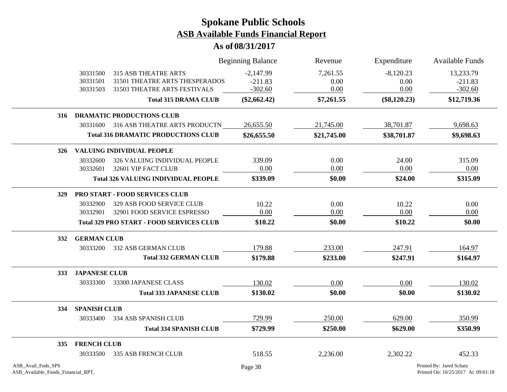|                                                          |                      |                                                                | <b>Beginning Balance</b> | Revenue      | Expenditure    | <b>Available Funds</b>                                         |
|----------------------------------------------------------|----------------------|----------------------------------------------------------------|--------------------------|--------------|----------------|----------------------------------------------------------------|
|                                                          | 30331500             | 315 ASB THEATRE ARTS                                           | $-2,147.99$              | 7,261.55     | $-8,120.23$    | 13,233.79                                                      |
|                                                          | 30331501<br>30331503 | 31501 THEATRE ARTS THESPERADOS<br>31503 THEATRE ARTS FESTIVALS | $-211.83$<br>$-302.60$   | 0.00<br>0.00 | 0.00<br>0.00   | $-211.83$<br>$-302.60$                                         |
|                                                          |                      | <b>Total 315 DRAMA CLUB</b>                                    | $(\$2,662.42)$           | \$7,261.55   | $(\$8,120.23)$ | \$12,719.36                                                    |
|                                                          |                      |                                                                |                          |              |                |                                                                |
| 316                                                      |                      | <b>DRAMATIC PRODUCTIONS CLUB</b>                               |                          |              |                |                                                                |
|                                                          |                      | 30331600 316 ASB THEATRE ARTS PRODUCTN                         | 26,655.50                | 21,745.00    | 38,701.87      | 9,698.63                                                       |
|                                                          |                      | <b>Total 316 DRAMATIC PRODUCTIONS CLUB</b>                     | \$26,655.50              | \$21,745.00  | \$38,701.87    | \$9,698.63                                                     |
| 326                                                      |                      | <b>VALUING INDIVIDUAL PEOPLE</b>                               |                          |              |                |                                                                |
|                                                          | 30332600             | 326 VALUING INDIVIDUAL PEOPLE                                  | 339.09                   | 0.00         | 24.00          | 315.09                                                         |
|                                                          | 30332601             | 32601 VIP FACT CLUB                                            | 0.00                     | 0.00         | 0.00           | 0.00                                                           |
|                                                          |                      | <b>Total 326 VALUING INDIVIDUAL PEOPLE</b>                     | \$339.09                 | \$0.00       | \$24.00        | \$315.09                                                       |
| 329                                                      |                      | PRO START - FOOD SERVICES CLUB                                 |                          |              |                |                                                                |
|                                                          | 30332900             | 329 ASB FOOD SERVICE CLUB                                      | 10.22                    | 0.00         | 10.22          | 0.00                                                           |
|                                                          | 30332901             | 32901 FOOD SERVICE ESPRESSO                                    | 0.00                     | 0.00         | 0.00           | 0.00                                                           |
|                                                          |                      | <b>Total 329 PRO START - FOOD SERVICES CLUB</b>                | \$10.22                  | \$0.00       | \$10.22        | \$0.00                                                         |
| 332                                                      | <b>GERMAN CLUB</b>   |                                                                |                          |              |                |                                                                |
|                                                          | 30333200             | 332 ASB GERMAN CLUB                                            | 179.88                   | 233.00       | 247.91         | 164.97                                                         |
|                                                          |                      | <b>Total 332 GERMAN CLUB</b>                                   | \$179.88                 | \$233.00     | \$247.91       | \$164.97                                                       |
| 333                                                      | <b>JAPANESE CLUB</b> |                                                                |                          |              |                |                                                                |
|                                                          | 30333300             | 33300 JAPANESE CLASS                                           | 130.02                   | 0.00         | 0.00           | 130.02                                                         |
|                                                          |                      | <b>Total 333 JAPANESE CLUB</b>                                 | \$130.02                 | \$0.00       | \$0.00         | \$130.02                                                       |
| 334                                                      | <b>SPANISH CLUB</b>  |                                                                |                          |              |                |                                                                |
|                                                          | 30333400             | 334 ASB SPANISH CLUB                                           | 729.99                   | 250.00       | 629.00         | 350.99                                                         |
|                                                          |                      | <b>Total 334 SPANISH CLUB</b>                                  | \$729.99                 | \$250.00     | \$629.00       | \$350.99                                                       |
| 335                                                      | <b>FRENCH CLUB</b>   |                                                                |                          |              |                |                                                                |
|                                                          | 30333500             | 335 ASB FRENCH CLUB                                            | 518.55                   | 2,236.00     | 2,302.22       | 452.33                                                         |
| ASB_Avail_Fnds_SPS<br>ASB_Available_Funds_Financial_RPT, |                      |                                                                | Page 38                  |              |                | Printed By: Jared Schatz<br>Printed On: 10/25/2017 At 09:01:18 |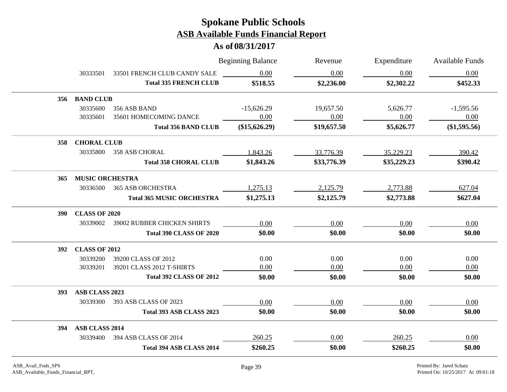|            |                        |                                    | <b>Beginning Balance</b> | Revenue     | Expenditure | <b>Available Funds</b><br>0.00 |  |  |  |
|------------|------------------------|------------------------------------|--------------------------|-------------|-------------|--------------------------------|--|--|--|
|            | 30333501               | 33501 FRENCH CLUB CANDY SALE       | 0.00                     | 0.00        | 0.00        |                                |  |  |  |
|            |                        | <b>Total 335 FRENCH CLUB</b>       | \$518.55                 | \$2,236.00  | \$2,302.22  | \$452.33                       |  |  |  |
|            | 356 BAND CLUB          |                                    |                          |             |             |                                |  |  |  |
|            | 30335600               | 356 ASB BAND                       | $-15,626.29$             | 19,657.50   | 5,626.77    | $-1,595.56$                    |  |  |  |
|            | 30335601               | 35601 HOMECOMING DANCE             | 0.00                     | 0.00        | 0.00        | 0.00                           |  |  |  |
|            |                        | <b>Total 356 BAND CLUB</b>         | $(\$15,626.29)$          | \$19,657.50 | \$5,626.77  | (\$1,595.56)                   |  |  |  |
| 358        |                        | <b>CHORAL CLUB</b>                 |                          |             |             |                                |  |  |  |
|            | 30335800               | <b>358 ASB CHORAL</b>              | 1,843.26                 | 33,776.39   | 35,229.23   | 390.42                         |  |  |  |
|            |                        | <b>Total 358 CHORAL CLUB</b>       | \$1,843.26               | \$33,776.39 | \$35,229.23 | \$390.42                       |  |  |  |
| 365        | <b>MUSIC ORCHESTRA</b> |                                    |                          |             |             |                                |  |  |  |
|            | 30336500               | <b>365 ASB ORCHESTRA</b>           | 1,275.13                 | 2,125.79    | 2,773.88    | 627.04                         |  |  |  |
|            |                        | <b>Total 365 MUSIC ORCHESTRA</b>   | \$1,275.13               | \$2,125.79  | \$2,773.88  | \$627.04                       |  |  |  |
| <b>390</b> | <b>CLASS OF 2020</b>   |                                    |                          |             |             |                                |  |  |  |
|            | 30339002               | <b>39002 RUBBER CHICKEN SHIRTS</b> | 0.00                     | 0.00        | 0.00        | 0.00                           |  |  |  |
|            |                        | <b>Total 390 CLASS OF 2020</b>     | \$0.00                   | \$0.00      | \$0.00      | \$0.00                         |  |  |  |
| <b>392</b> | <b>CLASS OF 2012</b>   |                                    |                          |             |             |                                |  |  |  |
|            | 30339200               | 39200 CLASS OF 2012                | 0.00                     | 0.00        | 0.00        | 0.00                           |  |  |  |
|            | 30339201               | 39201 CLASS 2012 T-SHIRTS          | 0.00                     | 0.00        | 0.00        | 0.00                           |  |  |  |
|            |                        | <b>Total 392 CLASS OF 2012</b>     | \$0.00                   | \$0.00      | \$0.00      | \$0.00                         |  |  |  |
| <b>393</b> | ASB CLASS 2023         |                                    |                          |             |             |                                |  |  |  |
|            | 30339300               | 393 ASB CLASS OF 2023              | 0.00                     | 0.00        | 0.00        | 0.00                           |  |  |  |
|            |                        | Total 393 ASB CLASS 2023           | \$0.00                   | \$0.00      | \$0.00      | \$0.00                         |  |  |  |
| 394        | ASB CLASS 2014         |                                    |                          |             |             |                                |  |  |  |
|            |                        | 30339400 394 ASB CLASS OF 2014     | 260.25                   | 0.00        | 260.25      | 0.00                           |  |  |  |
|            |                        | Total 394 ASB CLASS 2014           | \$260.25                 | \$0.00      | \$260.25    | \$0.00                         |  |  |  |
|            |                        |                                    |                          |             |             |                                |  |  |  |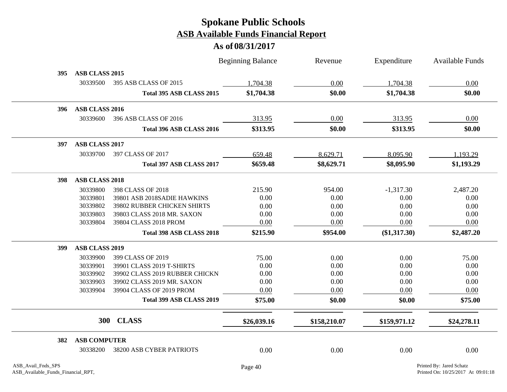|     |                       |                                | <b>Beginning Balance</b> | Revenue      | Expenditure    | <b>Available Funds</b> |
|-----|-----------------------|--------------------------------|--------------------------|--------------|----------------|------------------------|
| 395 | ASB CLASS 2015        |                                |                          |              |                |                        |
|     | 30339500              | 395 ASB CLASS OF 2015          | 1,704.38                 | 0.00         | 1,704.38       | 0.00                   |
|     |                       | Total 395 ASB CLASS 2015       | \$1,704.38               | \$0.00       | \$1,704.38     | \$0.00                 |
| 396 | ASB CLASS 2016        |                                |                          |              |                |                        |
|     | 30339600              | 396 ASB CLASS OF 2016          | 313.95                   | 0.00         | 313.95         | 0.00                   |
|     |                       | Total 396 ASB CLASS 2016       | \$313.95                 | \$0.00       | \$313.95       | \$0.00                 |
| 397 | <b>ASB CLASS 2017</b> |                                |                          |              |                |                        |
|     | 30339700              | 397 CLASS OF 2017              | 659.48                   | 8,629.71     | 8,095.90       | 1,193.29               |
|     |                       | Total 397 ASB CLASS 2017       | \$659.48                 | \$8,629.71   | \$8,095.90     | \$1,193.29             |
| 398 | <b>ASB CLASS 2018</b> |                                |                          |              |                |                        |
|     | 30339800              | 398 CLASS OF 2018              | 215.90                   | 954.00       | $-1,317.30$    | 2,487.20               |
|     | 30339801              | 39801 ASB 2018SADIE HAWKINS    | 0.00                     | 0.00         | 0.00           | 0.00                   |
|     | 30339802              | 39802 RUBBER CHICKEN SHIRTS    | 0.00                     | 0.00         | 0.00           | 0.00                   |
|     | 30339803              | 39803 CLASS 2018 MR. SAXON     | 0.00                     | 0.00         | 0.00           | 0.00                   |
|     | 30339804              | 39804 CLASS 2018 PROM          | 0.00                     | 0.00         | 0.00           | 0.00                   |
|     |                       | Total 398 ASB CLASS 2018       | \$215.90                 | \$954.00     | $(\$1,317.30)$ | \$2,487.20             |
| 399 | ASB CLASS 2019        |                                |                          |              |                |                        |
|     | 30339900              | 399 CLASS OF 2019              | 75.00                    | 0.00         | 0.00           | 75.00                  |
|     | 30339901              | 39901 CLASS 2019 T-SHIRTS      | 0.00                     | 0.00         | 0.00           | 0.00                   |
|     | 30339902              | 39902 CLASS 2019 RUBBER CHICKN | 0.00                     | 0.00         | 0.00           | 0.00                   |
|     | 30339903              | 39902 CLASS 2019 MR. SAXON     | 0.00                     | 0.00         | 0.00           | 0.00                   |
|     | 30339904              | 39904 CLASS OF 2019 PROM       | 0.00                     | 0.00         | 0.00           | 0.00                   |
|     |                       | Total 399 ASB CLASS 2019       | \$75.00                  | \$0.00       | \$0.00         | \$75.00                |
|     |                       | 300 CLASS                      | \$26,039.16              | \$158,210.07 | \$159,971.12   | \$24,278.11            |
| 382 | <b>ASB COMPUTER</b>   |                                |                          |              |                |                        |
|     | 30338200              | 38200 ASB CYBER PATRIOTS       | 0.00                     | 0.00         | 0.00           | 0.00                   |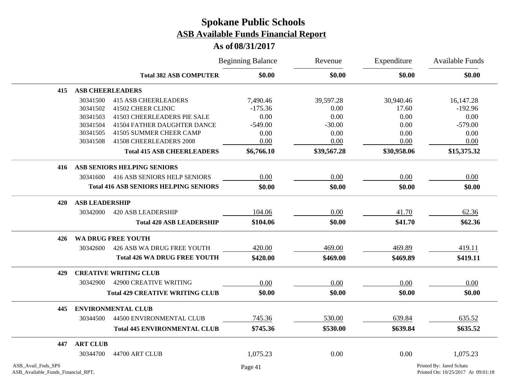|                                                          |                         |                                              | <b>Beginning Balance</b> | Revenue<br>\$0.00 | Expenditure<br>\$0.00 | Available Funds<br>\$0.00                                      |
|----------------------------------------------------------|-------------------------|----------------------------------------------|--------------------------|-------------------|-----------------------|----------------------------------------------------------------|
|                                                          |                         | <b>Total 382 ASB COMPUTER</b>                | \$0.00                   |                   |                       |                                                                |
| 415                                                      | <b>ASB CHEERLEADERS</b> |                                              |                          |                   |                       |                                                                |
|                                                          | 30341500                | <b>415 ASB CHEERLEADERS</b>                  | 7,490.46                 | 39,597.28         | 30,940.46             | 16,147.28                                                      |
|                                                          | 30341502                | 41502 CHEER CLINIC                           | $-175.36$                | 0.00              | 17.60                 | $-192.96$                                                      |
|                                                          | 30341503                | 41503 CHEERLEADERS PIE SALE                  | 0.00                     | 0.00              | 0.00                  | 0.00                                                           |
|                                                          | 30341504                | 41504 FATHER DAUGHTER DANCE                  | $-549.00$                | $-30.00$          | 0.00                  | $-579.00$                                                      |
|                                                          | 30341505                | 41505 SUMMER CHEER CAMP                      | 0.00                     | 0.00              | 0.00                  | 0.00                                                           |
|                                                          | 30341508                | 41508 CHEERLEADERS 2008                      | 0.00                     | 0.00              | 0.00                  | 0.00                                                           |
|                                                          |                         | <b>Total 415 ASB CHEERLEADERS</b>            | \$6,766.10               | \$39,567.28       | \$30,958.06           | \$15,375.32                                                    |
| 416                                                      |                         | ASB SENIORS HELPING SENIORS                  |                          |                   |                       |                                                                |
|                                                          | 30341600                | <b>416 ASB SENIORS HELP SENIORS</b>          | 0.00                     | 0.00              | 0.00                  | 0.00                                                           |
|                                                          |                         | <b>Total 416 ASB SENIORS HELPING SENIORS</b> | \$0.00                   | \$0.00            | \$0.00                | \$0.00                                                         |
| 420                                                      | <b>ASB LEADERSHIP</b>   |                                              |                          |                   |                       |                                                                |
|                                                          | 30342000                | <b>420 ASB LEADERSHIP</b>                    | 104.06                   | 0.00              | 41.70                 | 62.36                                                          |
|                                                          |                         | <b>Total 420 ASB LEADERSHIP</b>              | \$104.06                 | \$0.00            | \$41.70               | \$62.36                                                        |
| 426                                                      |                         | WA DRUG FREE YOUTH                           |                          |                   |                       |                                                                |
|                                                          | 30342600                | 426 ASB WA DRUG FREE YOUTH                   | 420.00                   | 469.00            | 469.89                | 419.11                                                         |
|                                                          |                         | <b>Total 426 WA DRUG FREE YOUTH</b>          | \$420.00                 | \$469.00          | \$469.89              | \$419.11                                                       |
| 429                                                      |                         | <b>CREATIVE WRITING CLUB</b>                 |                          |                   |                       |                                                                |
|                                                          | 30342900                | 42900 CREATIVE WRITING                       | 0.00                     | 0.00              | 0.00                  | 0.00                                                           |
|                                                          |                         | <b>Total 429 CREATIVE WRITING CLUB</b>       | \$0.00                   | \$0.00            | \$0.00                | \$0.00                                                         |
| 445                                                      |                         | <b>ENVIRONMENTAL CLUB</b>                    |                          |                   |                       |                                                                |
|                                                          | 30344500                | 44500 ENVIRONMENTAL CLUB                     | 745.36                   | 530.00            | 639.84                | 635.52                                                         |
|                                                          |                         | <b>Total 445 ENVIRONMENTAL CLUB</b>          | \$745.36                 | \$530.00          | \$639.84              | \$635.52                                                       |
| 447                                                      | <b>ART CLUB</b>         |                                              |                          |                   |                       |                                                                |
|                                                          | 30344700                | 44700 ART CLUB                               | 1,075.23                 | 0.00              | 0.00                  | 1,075.23                                                       |
| ASB_Avail_Fnds_SPS<br>ASB_Available_Funds_Financial_RPT, |                         |                                              | Page 41                  |                   |                       | Printed By: Jared Schatz<br>Printed On: 10/25/2017 At 09:01:18 |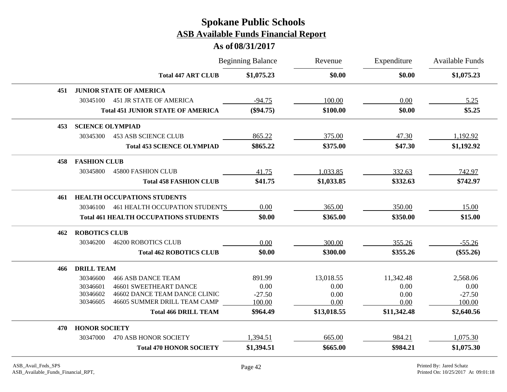|     |                         |                                              | <b>Beginning Balance</b> | Revenue     | Expenditure | Available Funds<br>\$1,075.23 |
|-----|-------------------------|----------------------------------------------|--------------------------|-------------|-------------|-------------------------------|
|     |                         | <b>Total 447 ART CLUB</b>                    | \$1,075.23               | \$0.00      | \$0.00      |                               |
| 451 |                         | <b>JUNIOR STATE OF AMERICA</b>               |                          |             |             |                               |
|     | 30345100                | <b>451 JR STATE OF AMERICA</b>               | $-94.75$                 | 100.00      | 0.00        | 5.25                          |
|     |                         | <b>Total 451 JUNIOR STATE OF AMERICA</b>     | $(\$94.75)$              | \$100.00    | \$0.00      | \$5.25                        |
| 453 | <b>SCIENCE OLYMPIAD</b> |                                              |                          |             |             |                               |
|     | 30345300                | <b>453 ASB SCIENCE CLUB</b>                  | 865.22                   | 375.00      | 47.30       | 1,192.92                      |
|     |                         | <b>Total 453 SCIENCE OLYMPIAD</b>            | \$865.22                 | \$375.00    | \$47.30     | \$1,192.92                    |
| 458 | <b>FASHION CLUB</b>     |                                              |                          |             |             |                               |
|     | 30345800                | <b>45800 FASHION CLUB</b>                    | 41.75                    | 1,033.85    | 332.63      | 742.97                        |
|     |                         | <b>Total 458 FASHION CLUB</b>                | \$41.75                  | \$1,033.85  | \$332.63    | \$742.97                      |
| 461 |                         | <b>HEALTH OCCUPATIONS STUDENTS</b>           |                          |             |             |                               |
|     | 30346100                | 461 HEALTH OCCUPATION STUDENTS               | 0.00                     | 365.00      | 350.00      | 15.00                         |
|     |                         | <b>Total 461 HEALTH OCCUPATIONS STUDENTS</b> | \$0.00                   | \$365.00    | \$350.00    | \$15.00                       |
| 462 | <b>ROBOTICS CLUB</b>    |                                              |                          |             |             |                               |
|     | 30346200                | <b>46200 ROBOTICS CLUB</b>                   | 0.00                     | 300.00      | 355.26      | $-55.26$                      |
|     |                         | <b>Total 462 ROBOTICS CLUB</b>               | \$0.00                   | \$300.00    | \$355.26    | $(\$55.26)$                   |
| 466 | <b>DRILL TEAM</b>       |                                              |                          |             |             |                               |
|     | 30346600                | <b>466 ASB DANCE TEAM</b>                    | 891.99                   | 13,018.55   | 11,342.48   | 2,568.06                      |
|     | 30346601                | <b>46601 SWEETHEART DANCE</b>                | 0.00                     | 0.00        | 0.00        | 0.00                          |
|     | 30346602                | 46602 DANCE TEAM DANCE CLINIC                | $-27.50$                 | 0.00        | 0.00        | $-27.50$                      |
|     | 30346605                | 46605 SUMMER DRILL TEAM CAMP                 | 100.00                   | 0.00        | 0.00        | 100.00                        |
|     |                         | <b>Total 466 DRILL TEAM</b>                  | \$964.49                 | \$13,018.55 | \$11,342.48 | \$2,640.56                    |
| 470 | <b>HONOR SOCIETY</b>    |                                              |                          |             |             |                               |
|     | 30347000                | 470 ASB HONOR SOCIETY                        | 1,394.51                 | 665.00      | 984.21      | 1,075.30                      |
|     |                         | <b>Total 470 HONOR SOCIETY</b>               | \$1,394.51               | \$665.00    | \$984.21    | \$1,075.30                    |
|     |                         |                                              |                          |             |             |                               |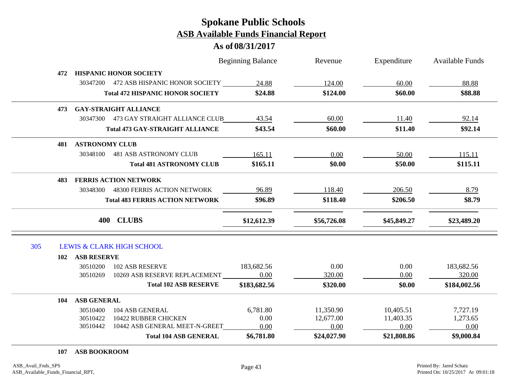#### **As of 08/31/2017**

|     |     |                       |                                         | <b>Beginning Balance</b> | Revenue     | Expenditure | <b>Available Funds</b> |
|-----|-----|-----------------------|-----------------------------------------|--------------------------|-------------|-------------|------------------------|
|     | 472 |                       | <b>HISPANIC HONOR SOCIETY</b>           |                          |             |             |                        |
|     |     |                       | 30347200 472 ASB HISPANIC HONOR SOCIETY | 24.88                    | 124.00      | 60.00       | 88.88                  |
|     |     |                       | <b>Total 472 HISPANIC HONOR SOCIETY</b> | \$24.88                  | \$124.00    | \$60.00     | \$88.88                |
|     | 473 |                       | <b>GAY-STRAIGHT ALLIANCE</b>            |                          |             |             |                        |
|     |     |                       | 30347300 473 GAY STRAIGHT ALLIANCE CLUB | 43.54                    | 60.00       | 11.40       | 92.14                  |
|     |     |                       | <b>Total 473 GAY-STRAIGHT ALLIANCE</b>  | \$43.54                  | \$60.00     | \$11.40     | \$92.14                |
|     | 481 | <b>ASTRONOMY CLUB</b> |                                         |                          |             |             |                        |
|     |     | 30348100              | <b>481 ASB ASTRONOMY CLUB</b>           | 165.11                   | 0.00        | 50.00       | 115.11                 |
|     |     |                       | <b>Total 481 ASTRONOMY CLUB</b>         | \$165.11                 | \$0.00      | \$50.00     | \$115.11               |
|     | 483 |                       | <b>FERRIS ACTION NETWORK</b>            |                          |             |             |                        |
|     |     | 30348300              | <b>48300 FERRIS ACTION NETWORK</b>      | 96.89                    | 118.40      | 206.50      | 8.79                   |
|     |     |                       | <b>Total 483 FERRIS ACTION NETWORK</b>  | \$96.89                  | \$118.40    | \$206.50    | \$8.79                 |
|     |     |                       | 400 CLUBS                               | \$12,612.39              | \$56,726.08 | \$45,849.27 | \$23,489.20            |
| 305 |     |                       | <b>LEWIS &amp; CLARK HIGH SCHOOL</b>    |                          |             |             |                        |
|     | 102 | <b>ASB RESERVE</b>    |                                         |                          |             |             |                        |
|     |     | 30510200              | <b>102 ASB RESERVE</b>                  | 183,682.56               | 0.00        | 0.00        | 183,682.56             |
|     |     | 30510269              | 10269 ASB RESERVE REPLACEMENT           | 0.00                     | 320.00      | 0.00        | 320.00                 |
|     |     |                       | <b>Total 102 ASB RESERVE</b>            | \$183,682.56             | \$320.00    | \$0.00      | \$184,002.56           |
|     | 104 | <b>ASB GENERAL</b>    |                                         |                          |             |             |                        |
|     |     | 30510400              | 104 ASB GENERAL                         | 6,781.80                 | 11,350.90   | 10,405.51   | 7,727.19               |
|     |     | 30510422              | 10422 RUBBER CHICKEN                    | 0.00                     | 12,677.00   | 11,403.35   | 1,273.65               |
|     |     | 30510442              | 10442 ASB GENERAL MEET-N-GREET          | 0.00                     | 0.00        | 0.00        | 0.00                   |
|     |     |                       | <b>Total 104 ASB GENERAL</b>            | \$6,781.80               | \$24,027.90 | \$21,808.86 | \$9,000.84             |

#### **107 ASB BOOKROOM**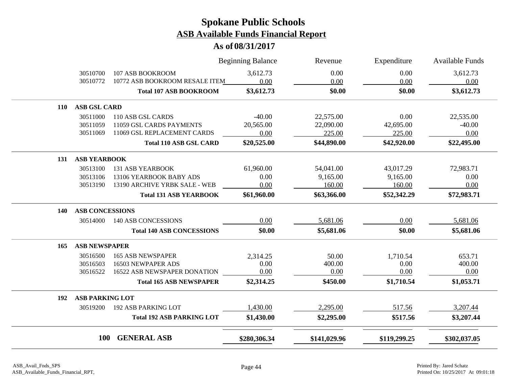|            |                        |                                  | <b>Beginning Balance</b> | Revenue      | Expenditure  | <b>Available Funds</b> |
|------------|------------------------|----------------------------------|--------------------------|--------------|--------------|------------------------|
|            | 30510700               | 107 ASB BOOKROOM                 | 3,612.73                 | 0.00         | 0.00         | 3,612.73               |
|            | 30510772               | 10772 ASB BOOKROOM RESALE ITEM   | 0.00                     | 0.00         | 0.00         | 0.00                   |
|            |                        | <b>Total 107 ASB BOOKROOM</b>    | \$3,612.73               | \$0.00       | \$0.00       | \$3,612.73             |
| <b>110</b> | <b>ASB GSL CARD</b>    |                                  |                          |              |              |                        |
|            | 30511000               | 110 ASB GSL CARDS                | $-40.00$                 | 22,575.00    | 0.00         | 22,535.00              |
|            | 30511059               | 11059 GSL CARDS PAYMENTS         | 20,565.00                | 22,090.00    | 42,695.00    | $-40.00$               |
|            | 30511069               | 11069 GSL REPLACEMENT CARDS      | 0.00                     | 225.00       | 225.00       | 0.00                   |
|            |                        | <b>Total 110 ASB GSL CARD</b>    | \$20,525.00              | \$44,890.00  | \$42,920.00  | \$22,495.00            |
| 131        | <b>ASB YEARBOOK</b>    |                                  |                          |              |              |                        |
|            | 30513100               | <b>131 ASB YEARBOOK</b>          | 61,960.00                | 54,041.00    | 43,017.29    | 72,983.71              |
|            | 30513106               | 13106 YEARBOOK BABY ADS          | 0.00                     | 9,165.00     | 9,165.00     | 0.00                   |
|            | 30513190               | 13190 ARCHIVE YRBK SALE - WEB    | 0.00                     | 160.00       | 160.00       | 0.00                   |
|            |                        | <b>Total 131 ASB YEARBOOK</b>    | \$61,960.00              | \$63,366.00  | \$52,342.29  | \$72,983.71            |
| 140        | <b>ASB CONCESSIONS</b> |                                  |                          |              |              |                        |
|            | 30514000               | <b>140 ASB CONCESSIONS</b>       | 0.00                     | 5,681.06     | 0.00         | 5,681.06               |
|            |                        | <b>Total 140 ASB CONCESSIONS</b> | \$0.00                   | \$5,681.06   | \$0.00       | \$5,681.06             |
| 165        | <b>ASB NEWSPAPER</b>   |                                  |                          |              |              |                        |
|            | 30516500               | <b>165 ASB NEWSPAPER</b>         | 2,314.25                 | 50.00        | 1,710.54     | 653.71                 |
|            | 30516503               | 16503 NEWPAPER ADS               | 0.00                     | 400.00       | 0.00         | 400.00                 |
|            | 30516522               | 16522 ASB NEWSPAPER DONATION     | 0.00                     | 0.00         | 0.00         | 0.00                   |
|            |                        | <b>Total 165 ASB NEWSPAPER</b>   | \$2,314.25               | \$450.00     | \$1,710.54   | \$1,053.71             |
| 192        | <b>ASB PARKING LOT</b> |                                  |                          |              |              |                        |
|            | 30519200               | <b>192 ASB PARKING LOT</b>       | 1,430.00                 | 2,295.00     | 517.56       | 3,207.44               |
|            |                        | <b>Total 192 ASB PARKING LOT</b> | \$1,430.00               | \$2,295.00   | \$517.56     | \$3,207.44             |
|            | <b>100</b>             | <b>GENERAL ASB</b>               | \$280,306.34             | \$141,029.96 | \$119,299.25 | \$302,037.05           |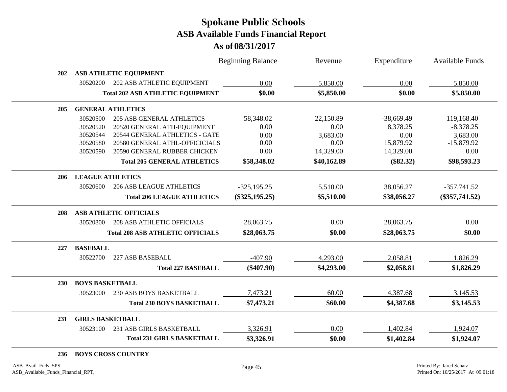#### **As of 08/31/2017**

|            |                         |                                         | <b>Beginning Balance</b> | Revenue     | Expenditure  | <b>Available Funds</b> |
|------------|-------------------------|-----------------------------------------|--------------------------|-------------|--------------|------------------------|
| 202        |                         | ASB ATHLETIC EQUIPMENT                  |                          |             |              |                        |
|            | 30520200                | 202 ASB ATHLETIC EQUIPMENT              | 0.00                     | 5,850.00    | 0.00         | 5,850.00               |
|            |                         | <b>Total 202 ASB ATHLETIC EQUIPMENT</b> | \$0.00                   | \$5,850.00  | \$0.00       | \$5,850.00             |
| 205        |                         | <b>GENERAL ATHLETICS</b>                |                          |             |              |                        |
|            | 30520500                | <b>205 ASB GENERAL ATHLETICS</b>        | 58,348.02                | 22,150.89   | $-38,669.49$ | 119,168.40             |
|            | 30520520                | 20520 GENERAL ATH-EQUIPMENT             | 0.00                     | 0.00        | 8,378.25     | $-8,378.25$            |
|            | 30520544                | 20544 GENERAL ATHLETICS - GATE          | 0.00                     | 3,683.00    | 0.00         | 3,683.00               |
|            | 30520580                | 20580 GENERAL ATHL-OFFICICIALS          | 0.00                     | 0.00        | 15,879.92    | $-15,879.92$           |
|            | 30520590                | 20590 GENERAL RUBBER CHICKEN            | 0.00                     | 14,329.00   | 14,329.00    | 0.00                   |
|            |                         | <b>Total 205 GENERAL ATHLETICS</b>      | \$58,348.02              | \$40,162.89 | $(\$82.32)$  | \$98,593.23            |
| 206        | <b>LEAGUE ATHLETICS</b> |                                         |                          |             |              |                        |
|            | 30520600                | <b>206 ASB LEAGUE ATHLETICS</b>         | $-325,195.25$            | 5,510.00    | 38,056.27    | $-357,741.52$          |
|            |                         | <b>Total 206 LEAGUE ATHLETICS</b>       | $(\$325,195.25)$         | \$5,510.00  | \$38,056.27  | $(\$357,741.52)$       |
| 208        |                         | <b>ASB ATHLETIC OFFICIALS</b>           |                          |             |              |                        |
|            | 30520800                | <b>208 ASB ATHLETIC OFFICIALS</b>       | 28,063.75                | 0.00        | 28,063.75    | 0.00                   |
|            |                         | <b>Total 208 ASB ATHLETIC OFFICIALS</b> | \$28,063.75              | \$0.00      | \$28,063.75  | \$0.00                 |
| 227        | <b>BASEBALL</b>         |                                         |                          |             |              |                        |
|            | 30522700                | 227 ASB BASEBALL                        | $-407.90$                | 4,293.00    | 2,058.81     | 1,826.29               |
|            |                         | <b>Total 227 BASEBALL</b>               | $(\$407.90)$             | \$4,293.00  | \$2,058.81   | \$1,826.29             |
| <b>230</b> | <b>BOYS BASKETBALL</b>  |                                         |                          |             |              |                        |
|            | 30523000                | 230 ASB BOYS BASKETBALL                 | 7,473.21                 | 60.00       | 4,387.68     | 3,145.53               |
|            |                         | <b>Total 230 BOYS BASKETBALL</b>        | \$7,473.21               | \$60.00     | \$4,387.68   | \$3,145.53             |
| 231        | <b>GIRLS BASKETBALL</b> |                                         |                          |             |              |                        |
|            | 30523100                | 231 ASB GIRLS BASKETBALL                | 3,326.91                 | 0.00        | 1,402.84     | 1,924.07               |
|            |                         | <b>Total 231 GIRLS BASKETBALL</b>       | \$3,326.91               | \$0.00      | \$1,402.84   | \$1,924.07             |
|            |                         |                                         |                          |             |              |                        |

#### **236 BOYS CROSS COUNTRY**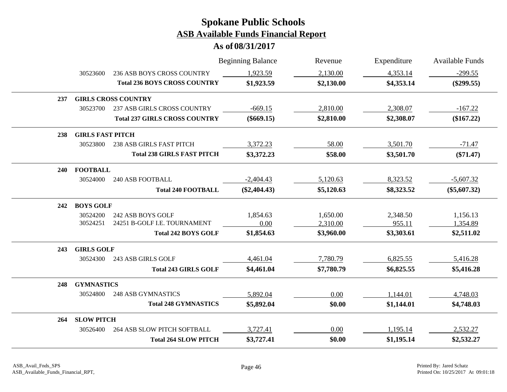|     |                         |                                      | <b>Beginning Balance</b> | Revenue    | Expenditure | <b>Available Funds</b> |
|-----|-------------------------|--------------------------------------|--------------------------|------------|-------------|------------------------|
|     | 30523600                | 236 ASB BOYS CROSS COUNTRY           | 1,923.59                 | 2,130.00   | 4,353.14    | $-299.55$              |
|     |                         | <b>Total 236 BOYS CROSS COUNTRY</b>  | \$1,923.59               | \$2,130.00 | \$4,353.14  | $(\$299.55)$           |
| 237 |                         | <b>GIRLS CROSS COUNTRY</b>           |                          |            |             |                        |
|     | 30523700                | 237 ASB GIRLS CROSS COUNTRY          | $-669.15$                | 2,810.00   | 2,308.07    | $-167.22$              |
|     |                         | <b>Total 237 GIRLS CROSS COUNTRY</b> | $(\$669.15)$             | \$2,810.00 | \$2,308.07  | $(\$167.22)$           |
| 238 | <b>GIRLS FAST PITCH</b> |                                      |                          |            |             |                        |
|     | 30523800                | <b>238 ASB GIRLS FAST PITCH</b>      | 3,372.23                 | 58.00      | 3,501.70    | $-71.47$               |
|     |                         | <b>Total 238 GIRLS FAST PITCH</b>    | \$3,372.23               | \$58.00    | \$3,501.70  | $(\$71.47)$            |
| 240 | <b>FOOTBALL</b>         |                                      |                          |            |             |                        |
|     | 30524000                | <b>240 ASB FOOTBALL</b>              | $-2,404.43$              | 5,120.63   | 8,323.52    | $-5,607.32$            |
|     |                         | <b>Total 240 FOOTBALL</b>            | $(\$2,404.43)$           | \$5,120.63 | \$8,323.52  | $(\$5,607.32)$         |
| 242 | <b>BOYS GOLF</b>        |                                      |                          |            |             |                        |
|     | 30524200                | 242 ASB BOYS GOLF                    | 1,854.63                 | 1,650.00   | 2,348.50    | 1,156.13               |
|     | 30524251                | 24251 B-GOLF I.E. TOURNAMENT         | 0.00                     | 2,310.00   | 955.11      | 1,354.89               |
|     |                         | <b>Total 242 BOYS GOLF</b>           | \$1,854.63               | \$3,960.00 | \$3,303.61  | \$2,511.02             |
| 243 | <b>GIRLS GOLF</b>       |                                      |                          |            |             |                        |
|     | 30524300                | 243 ASB GIRLS GOLF                   | 4,461.04                 | 7,780.79   | 6,825.55    | 5,416.28               |
|     |                         | <b>Total 243 GIRLS GOLF</b>          | \$4,461.04               | \$7,780.79 | \$6,825.55  | \$5,416.28             |
| 248 | <b>GYMNASTICS</b>       |                                      |                          |            |             |                        |
|     | 30524800                | <b>248 ASB GYMNASTICS</b>            | 5,892.04                 | 0.00       | 1,144.01    | 4,748.03               |
|     |                         | <b>Total 248 GYMNASTICS</b>          | \$5,892.04               | \$0.00     | \$1,144.01  | \$4,748.03             |
| 264 | <b>SLOW PITCH</b>       |                                      |                          |            |             |                        |
|     | 30526400                | 264 ASB SLOW PITCH SOFTBALL          | 3,727.41                 | 0.00       | 1,195.14    | 2,532.27               |
|     |                         | <b>Total 264 SLOW PITCH</b>          | \$3,727.41               | \$0.00     | \$1,195.14  | \$2,532.27             |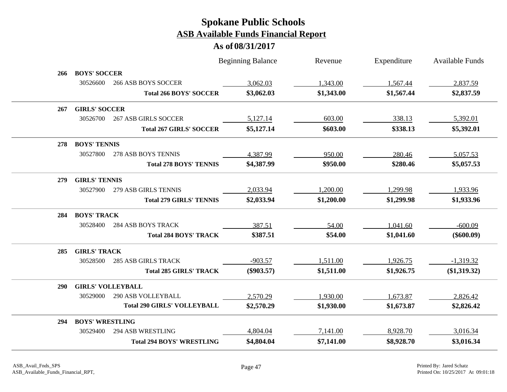|            |                          |                                    | <b>Beginning Balance</b> | Revenue    | Expenditure | <b>Available Funds</b> |
|------------|--------------------------|------------------------------------|--------------------------|------------|-------------|------------------------|
| 266        | <b>BOYS' SOCCER</b>      |                                    |                          |            |             |                        |
|            | 30526600                 | <b>266 ASB BOYS SOCCER</b>         | 3,062.03                 | 1,343.00   | 1,567.44    | 2,837.59               |
|            |                          | <b>Total 266 BOYS' SOCCER</b>      | \$3,062.03               | \$1,343.00 | \$1,567.44  | \$2,837.59             |
| 267        | <b>GIRLS' SOCCER</b>     |                                    |                          |            |             |                        |
|            | 30526700                 | <b>267 ASB GIRLS SOCCER</b>        | 5,127.14                 | 603.00     | 338.13      | 5,392.01               |
|            |                          | <b>Total 267 GIRLS' SOCCER</b>     | \$5,127.14               | \$603.00   | \$338.13    | \$5,392.01             |
| 278        | <b>BOYS' TENNIS</b>      |                                    |                          |            |             |                        |
|            | 30527800                 | 278 ASB BOYS TENNIS                | 4,387.99                 | 950.00     | 280.46      | 5,057.53               |
|            |                          | <b>Total 278 BOYS' TENNIS</b>      | \$4,387.99               | \$950.00   | \$280.46    | \$5,057.53             |
| 279        | <b>GIRLS' TENNIS</b>     |                                    |                          |            |             |                        |
|            | 30527900                 | 279 ASB GIRLS TENNIS               | 2,033.94                 | 1,200.00   | 1,299.98    | 1,933.96               |
|            |                          | <b>Total 279 GIRLS' TENNIS</b>     | \$2,033.94               | \$1,200.00 | \$1,299.98  | \$1,933.96             |
| 284        | <b>BOYS' TRACK</b>       |                                    |                          |            |             |                        |
|            | 30528400                 | <b>284 ASB BOYS TRACK</b>          | 387.51                   | 54.00      | 1,041.60    | $-600.09$              |
|            |                          | <b>Total 284 BOYS' TRACK</b>       | \$387.51                 | \$54.00    | \$1,041.60  | $(\$600.09)$           |
| 285        | <b>GIRLS' TRACK</b>      |                                    |                          |            |             |                        |
|            | 30528500                 | <b>285 ASB GIRLS TRACK</b>         | $-903.57$                | 1,511.00   | 1,926.75    | $-1,319.32$            |
|            |                          | <b>Total 285 GIRLS' TRACK</b>      | $(\$903.57)$             | \$1,511.00 | \$1,926.75  | (\$1,319.32)           |
| <b>290</b> | <b>GIRLS' VOLLEYBALL</b> |                                    |                          |            |             |                        |
|            | 30529000                 | 290 ASB VOLLEYBALL                 | 2,570.29                 | 1,930.00   | 1,673.87    | 2,826.42               |
|            |                          | <b>Total 290 GIRLS' VOLLEYBALL</b> | \$2,570.29               | \$1,930.00 | \$1,673.87  | \$2,826.42             |
| 294        | <b>BOYS' WRESTLING</b>   |                                    |                          |            |             |                        |
|            | 30529400                 | <b>294 ASB WRESTLING</b>           | 4,804.04                 | 7,141.00   | 8,928.70    | 3,016.34               |
|            |                          | <b>Total 294 BOYS' WRESTLING</b>   | \$4,804.04               | \$7,141.00 | \$8,928.70  | \$3,016.34             |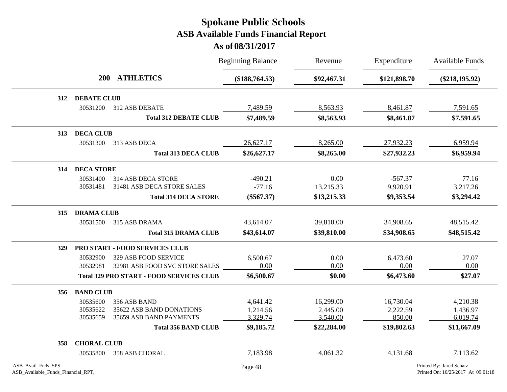|                    |                                |                                                 | <b>Beginning Balance</b> | Revenue     | Expenditure  | <b>Available Funds</b>   |
|--------------------|--------------------------------|-------------------------------------------------|--------------------------|-------------|--------------|--------------------------|
|                    | <b>200</b>                     | <b>ATHLETICS</b>                                | (\$188,764.53)           | \$92,467.31 | \$121,898.70 | $(\$218,195.92)$         |
| 312                | <b>DEBATE CLUB</b>             |                                                 |                          |             |              |                          |
|                    | 30531200                       | 312 ASB DEBATE                                  | 7,489.59                 | 8,563.93    | 8,461.87     | 7,591.65                 |
|                    |                                | <b>Total 312 DEBATE CLUB</b>                    | \$7,489.59               | \$8,563.93  | \$8,461.87   | \$7,591.65               |
| 313                | <b>DECA CLUB</b>               |                                                 |                          |             |              |                          |
|                    | 30531300                       | 313 ASB DECA                                    | 26,627.17                | 8,265.00    | 27,932.23    | 6,959.94                 |
|                    |                                | <b>Total 313 DECA CLUB</b>                      | \$26,627.17              | \$8,265.00  | \$27,932.23  | \$6,959.94               |
| 314                | <b>DECA STORE</b>              |                                                 |                          |             |              |                          |
|                    | 30531400                       | 314 ASB DECA STORE                              | $-490.21$                | 0.00        | $-567.37$    | 77.16                    |
|                    | 30531481                       | 31481 ASB DECA STORE SALES                      | $-77.16$                 | 13,215.33   | 9,920.91     | 3,217.26                 |
|                    |                                | <b>Total 314 DECA STORE</b>                     | $(\$567.37)$             | \$13,215.33 | \$9,353.54   | \$3,294.42               |
| 315                | <b>DRAMA CLUB</b>              |                                                 |                          |             |              |                          |
|                    | 30531500                       | 315 ASB DRAMA                                   | 43,614.07                | 39,810.00   | 34,908.65    | 48,515.42                |
|                    |                                | <b>Total 315 DRAMA CLUB</b>                     | \$43,614.07              | \$39,810.00 | \$34,908.65  | \$48,515.42              |
| 329                | PRO START - FOOD SERVICES CLUB |                                                 |                          |             |              |                          |
|                    | 30532900                       | 329 ASB FOOD SERVICE                            | 6,500.67                 | 0.00        | 6,473.60     | 27.07                    |
|                    | 30532981                       | 32981 ASB FOOD SVC STORE SALES                  | 0.00                     | 0.00        | 0.00         | 0.00                     |
|                    |                                | <b>Total 329 PRO START - FOOD SERVICES CLUB</b> | \$6,500.67               | \$0.00      | \$6,473.60   | \$27.07                  |
| 356                | <b>BAND CLUB</b>               |                                                 |                          |             |              |                          |
|                    | 30535600                       | 356 ASB BAND                                    | 4,641.42                 | 16,299.00   | 16,730.04    | 4,210.38                 |
|                    | 30535622                       | 35622 ASB BAND DONATIONS                        | 1,214.56                 | 2,445.00    | 2,222.59     | 1,436.97                 |
|                    | 30535659                       | 35659 ASB BAND PAYMENTS                         | 3,329.74                 | 3,540.00    | 850.00       | 6,019.74                 |
|                    |                                | <b>Total 356 BAND CLUB</b>                      | \$9,185.72               | \$22,284.00 | \$19,802.63  | \$11,667.09              |
| 358                | <b>CHORAL CLUB</b>             |                                                 |                          |             |              |                          |
|                    | 30535800                       | 358 ASB CHORAL                                  | 7,183.98                 | 4,061.32    | 4,131.68     | 7,113.62                 |
| ASB_Avail_Fnds_SPS |                                |                                                 | Page 48                  |             |              | Printed By: Jared Schatz |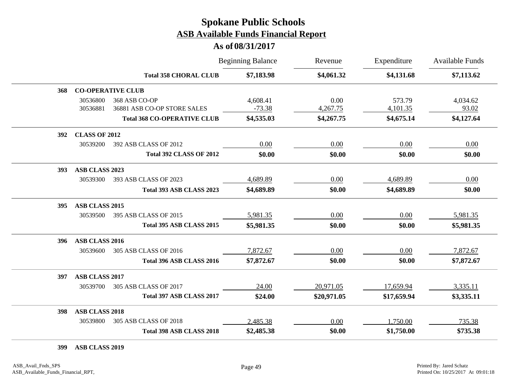#### **As of 08/31/2017**

|     |                       |                                              | <b>Beginning Balance</b> | Revenue          | Expenditure        | <b>Available Funds</b> |
|-----|-----------------------|----------------------------------------------|--------------------------|------------------|--------------------|------------------------|
|     |                       | <b>Total 358 CHORAL CLUB</b>                 | \$7,183.98               | \$4,061.32       | \$4,131.68         | \$7,113.62             |
| 368 |                       | <b>CO-OPERATIVE CLUB</b>                     |                          |                  |                    |                        |
|     | 30536800<br>30536881  | 368 ASB CO-OP<br>36881 ASB CO-OP STORE SALES | 4,608.41<br>$-73.38$     | 0.00<br>4,267.75 | 573.79<br>4,101.35 | 4,034.62<br>93.02      |
|     |                       | <b>Total 368 CO-OPERATIVE CLUB</b>           | \$4,535.03               | \$4,267.75       | \$4,675.14         | \$4,127.64             |
| 392 | <b>CLASS OF 2012</b>  |                                              |                          |                  |                    |                        |
|     | 30539200              | 392 ASB CLASS OF 2012                        | 0.00                     | 0.00             | 0.00               | 0.00                   |
|     |                       | <b>Total 392 CLASS OF 2012</b>               | \$0.00                   | \$0.00           | \$0.00             | \$0.00                 |
| 393 | <b>ASB CLASS 2023</b> |                                              |                          |                  |                    |                        |
|     | 30539300              | 393 ASB CLASS OF 2023                        | 4,689.89                 | 0.00             | 4,689.89           | 0.00                   |
|     |                       | Total 393 ASB CLASS 2023                     | \$4,689.89               | \$0.00           | \$4,689.89         | \$0.00                 |
| 395 | ASB CLASS 2015        |                                              |                          |                  |                    |                        |
|     | 30539500              | 395 ASB CLASS OF 2015                        | 5,981.35                 | 0.00             | 0.00               | 5,981.35               |
|     |                       | Total 395 ASB CLASS 2015                     | \$5,981.35               | \$0.00           | \$0.00             | \$5,981.35             |
| 396 | ASB CLASS 2016        |                                              |                          |                  |                    |                        |
|     | 30539600              | 305 ASB CLASS OF 2016                        | 7,872.67                 | 0.00             | 0.00               | 7,872.67               |
|     |                       | Total 396 ASB CLASS 2016                     | \$7,872.67               | \$0.00           | \$0.00             | \$7,872.67             |
| 397 | <b>ASB CLASS 2017</b> |                                              |                          |                  |                    |                        |
|     | 30539700              | 305 ASB CLASS OF 2017                        | 24.00                    | 20,971.05        | 17,659.94          | 3,335.11               |
|     |                       | Total 397 ASB CLASS 2017                     | \$24.00                  | \$20,971.05      | \$17,659.94        | \$3,335.11             |
| 398 | <b>ASB CLASS 2018</b> |                                              |                          |                  |                    |                        |
|     | 30539800              | 305 ASB CLASS OF 2018                        | 2,485.38                 | 0.00             | 1,750.00           | 735.38                 |
|     |                       | Total 398 ASB CLASS 2018                     | \$2,485.38               | \$0.00           | \$1,750.00         | \$735.38               |

**399 ASB CLASS 2019**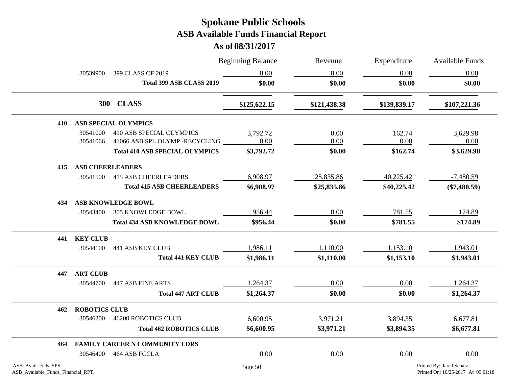|                                                          |                         |                                       | <b>Beginning Balance</b> | Revenue      | Expenditure  | <b>Available Funds</b>                                         |
|----------------------------------------------------------|-------------------------|---------------------------------------|--------------------------|--------------|--------------|----------------------------------------------------------------|
|                                                          | 30539900                | 399 CLASS OF 2019                     | 0.00                     | 0.00         | 0.00         | 0.00                                                           |
|                                                          |                         | Total 399 ASB CLASS 2019              | \$0.00                   | \$0.00       | \$0.00       | \$0.00                                                         |
|                                                          |                         | 300 CLASS                             | \$125,622.15             | \$121,438.38 | \$139,839.17 | \$107,221.36                                                   |
| 410                                                      |                         | <b>ASB SPECIAL OLYMPICS</b>           |                          |              |              |                                                                |
|                                                          | 30541000                | 410 ASB SPECIAL OLYMPICS              | 3,792.72                 | 0.00         | 162.74       | 3,629.98                                                       |
|                                                          | 30541066                | 41066 ASB SPL OLYMP -RECYCLING        | 0.00                     | 0.00         | 0.00         | 0.00                                                           |
|                                                          |                         | <b>Total 410 ASB SPECIAL OLYMPICS</b> | \$3,792.72               | \$0.00       | \$162.74     | \$3,629.98                                                     |
| 415                                                      | <b>ASB CHEERLEADERS</b> |                                       |                          |              |              |                                                                |
|                                                          | 30541500                | <b>415 ASB CHEERLEADERS</b>           | 6,908.97                 | 25,835.86    | 40,225.42    | $-7,480.59$                                                    |
|                                                          |                         | <b>Total 415 ASB CHEERLEADERS</b>     | \$6,908.97               | \$25,835.86  | \$40,225.42  | $(\$7,480.59)$                                                 |
| 434                                                      |                         | <b>ASB KNOWLEDGE BOWL</b>             |                          |              |              |                                                                |
|                                                          | 30543400                | <b>305 KNOWLEDGE BOWL</b>             | 956.44                   | 0.00         | 781.55       | 174.89                                                         |
|                                                          |                         | <b>Total 434 ASB KNOWLEDGE BOWL</b>   | \$956.44                 | \$0.00       | \$781.55     | \$174.89                                                       |
|                                                          | 441 KEY CLUB            |                                       |                          |              |              |                                                                |
|                                                          | 30544100                | <b>441 ASB KEY CLUB</b>               | 1,986.11                 | 1,110.00     | 1,153.10     | 1,943.01                                                       |
|                                                          |                         | <b>Total 441 KEY CLUB</b>             | \$1,986.11               | \$1,110.00   | \$1,153.10   | \$1,943.01                                                     |
| 447                                                      | <b>ART CLUB</b>         |                                       |                          |              |              |                                                                |
|                                                          | 30544700                | <b>447 ASB FINE ARTS</b>              | 1,264.37                 | 0.00         | 0.00         | 1,264.37                                                       |
|                                                          |                         | <b>Total 447 ART CLUB</b>             | \$1,264.37               | \$0.00       | \$0.00       | \$1,264.37                                                     |
| 462                                                      | <b>ROBOTICS CLUB</b>    |                                       |                          |              |              |                                                                |
|                                                          | 30546200                | <b>46200 ROBOTICS CLUB</b>            | 6,600.95                 | 3,971.21     | 3,894.35     | 6,677.81                                                       |
|                                                          |                         | <b>Total 462 ROBOTICS CLUB</b>        | \$6,600.95               | \$3,971.21   | \$3,894.35   | \$6,677.81                                                     |
| 464                                                      |                         | FAMILY CAREER N COMMUNITY LDRS        |                          |              |              |                                                                |
|                                                          | 30546400                | 464 ASB FCCLA                         | 0.00                     | 0.00         | 0.00         | 0.00                                                           |
| ASB_Avail_Fnds_SPS<br>ASB_Available_Funds_Financial_RPT, |                         |                                       | Page 50                  |              |              | Printed By: Jared Schatz<br>Printed On: 10/25/2017 At 09:01:18 |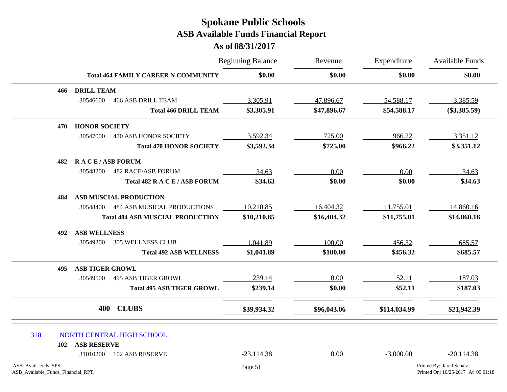|                                                          | <b>Total 464 FAMILY CAREER N COMMUNITY</b> |                                         | <b>Beginning Balance</b><br>\$0.00 | Revenue<br>\$0.00 | Expenditure<br>\$0.00 | Available Funds<br>\$0.00                                      |
|----------------------------------------------------------|--------------------------------------------|-----------------------------------------|------------------------------------|-------------------|-----------------------|----------------------------------------------------------------|
|                                                          |                                            |                                         |                                    |                   |                       |                                                                |
| 466                                                      | <b>DRILL TEAM</b>                          |                                         |                                    |                   |                       |                                                                |
|                                                          | 30546600                                   | <b>466 ASB DRILL TEAM</b>               | 3,305.91                           | 47,896.67         | 54,588.17             | $-3,385.59$                                                    |
|                                                          |                                            | <b>Total 466 DRILL TEAM</b>             | \$3,305.91                         | \$47,896.67       | \$54,588.17           | $(\$3,385.59)$                                                 |
| 470                                                      | <b>HONOR SOCIETY</b>                       |                                         |                                    |                   |                       |                                                                |
|                                                          | 30547000                                   | 470 ASB HONOR SOCIETY                   | 3,592.34                           | 725.00            | 966.22                | 3,351.12                                                       |
|                                                          |                                            | <b>Total 470 HONOR SOCIETY</b>          | \$3,592.34                         | \$725.00          | \$966.22              | \$3,351.12                                                     |
| 482                                                      | <b>RACE/ASB FORUM</b>                      |                                         |                                    |                   |                       |                                                                |
|                                                          | 30548200                                   | <b>482 RACE/ASB FORUM</b>               | 34.63                              | 0.00              | 0.00                  | 34.63                                                          |
|                                                          |                                            | Total 482 R A C E / ASB FORUM           | \$34.63                            | \$0.00            | \$0.00                | \$34.63                                                        |
| 484                                                      |                                            | ASB MUSCIAL PRODUCTION                  |                                    |                   |                       |                                                                |
|                                                          | 30548400                                   | <b>484 ASB MUSICAL PRODUCTIONS</b>      | 10,210.85                          | 16,404.32         | 11,755.01             | 14,860.16                                                      |
|                                                          |                                            | <b>Total 484 ASB MUSCIAL PRODUCTION</b> | \$10,210.85                        | \$16,404.32       | \$11,755.01           | \$14,860.16                                                    |
| 492                                                      | <b>ASB WELLNESS</b>                        |                                         |                                    |                   |                       |                                                                |
|                                                          | 30549200                                   | <b>305 WELLNESS CLUB</b>                | 1,041.89                           | 100.00            | 456.32                | 685.57                                                         |
|                                                          |                                            | <b>Total 492 ASB WELLNESS</b>           | \$1,041.89                         | \$100.00          | \$456.32              | \$685.57                                                       |
| 495                                                      | <b>ASB TIGER GROWL</b>                     |                                         |                                    |                   |                       |                                                                |
|                                                          | 30549500                                   | <b>495 ASB TIGER GROWL</b>              | 239.14                             | 0.00              | 52.11                 | 187.03                                                         |
|                                                          |                                            | <b>Total 495 ASB TIGER GROWL</b>        | \$239.14                           | \$0.00            | \$52.11               | \$187.03                                                       |
|                                                          | 400                                        | <b>CLUBS</b>                            | \$39,934.32                        | \$96,043.06       | \$114,034.99          | \$21,942.39                                                    |
| 310                                                      |                                            | NORTH CENTRAL HIGH SCHOOL               |                                    |                   |                       |                                                                |
| 102                                                      | <b>ASB RESERVE</b>                         |                                         |                                    |                   |                       |                                                                |
|                                                          | 31010200                                   | <b>102 ASB RESERVE</b>                  | $-23,114.38$                       | 0.00              | $-3,000.00$           | $-20,114.38$                                                   |
| ASB_Avail_Fnds_SPS<br>ASB_Available_Funds_Financial_RPT, |                                            |                                         | Page 51                            |                   |                       | Printed By: Jared Schatz<br>Printed On: 10/25/2017 At 09:01:18 |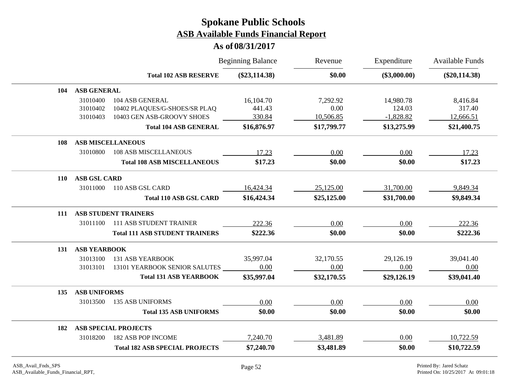|                                    |                                       | <b>Beginning Balance</b> | Revenue     | Expenditure    | Available Funds |
|------------------------------------|---------------------------------------|--------------------------|-------------|----------------|-----------------|
|                                    | <b>Total 102 ASB RESERVE</b>          | $(\$23,114.38)$          | \$0.00      | $(\$3,000.00)$ | $(\$20,114.38)$ |
| ASB GENERAL<br>104                 |                                       |                          |             |                |                 |
| 31010400                           | 104 ASB GENERAL                       | 16,104.70                | 7,292.92    | 14,980.78      | 8,416.84        |
| 31010402                           | 10402 PLAQUES/G-SHOES/SR PLAQ         | 441.43                   | 0.00        | 124.03         | 317.40          |
| 31010403                           | 10403 GEN ASB-GROOVY SHOES            | 330.84                   | 10,506.85   | $-1,828.82$    | 12,666.51       |
|                                    | <b>Total 104 ASB GENERAL</b>          | \$16,876.97              | \$17,799.77 | \$13,275.99    | \$21,400.75     |
| <b>ASB MISCELLANEOUS</b><br>108    |                                       |                          |             |                |                 |
| 31010800                           | <b>108 ASB MISCELLANEOUS</b>          | 17.23                    | 0.00        | 0.00           | 17.23           |
|                                    | <b>Total 108 ASB MISCELLANEOUS</b>    | \$17.23                  | \$0.00      | \$0.00         | \$17.23         |
| <b>ASB GSL CARD</b><br><b>110</b>  |                                       |                          |             |                |                 |
| 31011000                           | 110 ASB GSL CARD                      | 16,424.34                | 25,125.00   | 31,700.00      | 9,849.34        |
|                                    | <b>Total 110 ASB GSL CARD</b>         | \$16,424.34              | \$25,125.00 | \$31,700.00    | \$9,849.34      |
| <b>ASB STUDENT TRAINERS</b><br>111 |                                       |                          |             |                |                 |
| 31011100                           | <b>111 ASB STUDENT TRAINER</b>        | 222.36                   | 0.00        | 0.00           | 222.36          |
|                                    | <b>Total 111 ASB STUDENT TRAINERS</b> | \$222.36                 | \$0.00      | \$0.00         | \$222.36        |
| <b>ASB YEARBOOK</b><br>131         |                                       |                          |             |                |                 |
| 31013100                           | <b>131 ASB YEARBOOK</b>               | 35,997.04                | 32,170.55   | 29,126.19      | 39,041.40       |
| 31013101                           | 13101 YEARBOOK SENIOR SALUTES         | 0.00                     | 0.00        | 0.00           | 0.00            |
|                                    | <b>Total 131 ASB YEARBOOK</b>         | \$35,997.04              | \$32,170.55 | \$29,126.19    | \$39,041.40     |
| <b>ASB UNIFORMS</b><br>135         |                                       |                          |             |                |                 |
| 31013500                           | <b>135 ASB UNIFORMS</b>               | 0.00                     | 0.00        | 0.00           | 0.00            |
|                                    | <b>Total 135 ASB UNIFORMS</b>         | \$0.00                   | \$0.00      | \$0.00         | \$0.00          |
| <b>ASB SPECIAL PROJECTS</b><br>182 |                                       |                          |             |                |                 |
| 31018200                           | <b>182 ASB POP INCOME</b>             | 7,240.70                 | 3,481.89    | 0.00           | 10,722.59       |
|                                    | <b>Total 182 ASB SPECIAL PROJECTS</b> | \$7,240.70               | \$3,481.89  | \$0.00         | \$10,722.59     |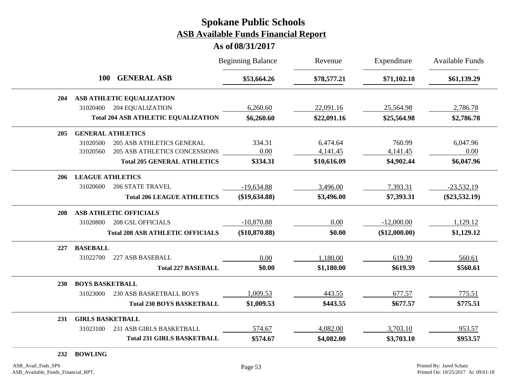|     |                         |                                            | <b>Beginning Balance</b> | Revenue     | Expenditure   | <b>Available Funds</b> |
|-----|-------------------------|--------------------------------------------|--------------------------|-------------|---------------|------------------------|
|     | <b>100</b>              | <b>GENERAL ASB</b>                         | \$53,664.26              | \$78,577.21 | \$71,102.18   | \$61,139.29            |
| 204 |                         | ASB ATHLETIC EQUALIZATION                  |                          |             |               |                        |
|     | 31020400                | <b>204 EQUALIZATION</b>                    | 6,260.60                 | 22,091.16   | 25,564.98     | 2,786.78               |
|     |                         | <b>Total 204 ASB ATHLETIC EQUALIZATION</b> | \$6,260.60               | \$22,091.16 | \$25,564.98   | \$2,786.78             |
| 205 |                         | <b>GENERAL ATHLETICS</b>                   |                          |             |               |                        |
|     | 31020500                | <b>205 ASB ATHLETICS GENERAL</b>           | 334.31                   | 6,474.64    | 760.99        | 6,047.96               |
|     | 31020560                | 205 ASB ATHLETICS CONCESSIONS              | 0.00                     | 4,141.45    | 4,141.45      | 0.00                   |
|     |                         | <b>Total 205 GENERAL ATHLETICS</b>         | \$334.31                 | \$10,616.09 | \$4,902.44    | \$6,047.96             |
| 206 | <b>LEAGUE ATHLETICS</b> |                                            |                          |             |               |                        |
|     | 31020600                | <b>206 STATE TRAVEL</b>                    | $-19,634.88$             | 3,496.00    | 7,393.31      | $-23,532.19$           |
|     |                         | <b>Total 206 LEAGUE ATHLETICS</b>          | $(\$19,634.88)$          | \$3,496.00  | \$7,393.31    | $(\$23,532.19)$        |
| 208 |                         | <b>ASB ATHLETIC OFFICIALS</b>              |                          |             |               |                        |
|     | 31020800                | <b>208 GSL OFFICIALS</b>                   | $-10,870.88$             | 0.00        | $-12,000.00$  | 1,129.12               |
|     |                         | <b>Total 208 ASB ATHLETIC OFFICIALS</b>    | $(\$10,870.88)$          | \$0.00      | (\$12,000.00) | \$1,129.12             |
| 227 | <b>BASEBALL</b>         |                                            |                          |             |               |                        |
|     | 31022700                | 227 ASB BASEBALL                           | 0.00                     | 1,180.00    | 619.39        | 560.61                 |
|     |                         | <b>Total 227 BASEBALL</b>                  | \$0.00                   | \$1,180.00  | \$619.39      | \$560.61               |
| 230 | <b>BOYS BASKETBALL</b>  |                                            |                          |             |               |                        |
|     | 31023000                | <b>230 ASB BASKETBALL BOYS</b>             | 1,009.53                 | 443.55      | 677.57        | 775.51                 |
|     |                         | <b>Total 230 BOYS BASKETBALL</b>           | \$1,009.53               | \$443.55    | \$677.57      | \$775.51               |
| 231 | <b>GIRLS BASKETBALL</b> |                                            |                          |             |               |                        |
|     | 31023100                | 231 ASB GIRLS BASKETBALL                   | 574.67                   | 4,082.00    | 3,703.10      | 953.57                 |
|     |                         | <b>Total 231 GIRLS BASKETBALL</b>          | \$574.67                 | \$4,082.00  | \$3,703.10    | \$953.57               |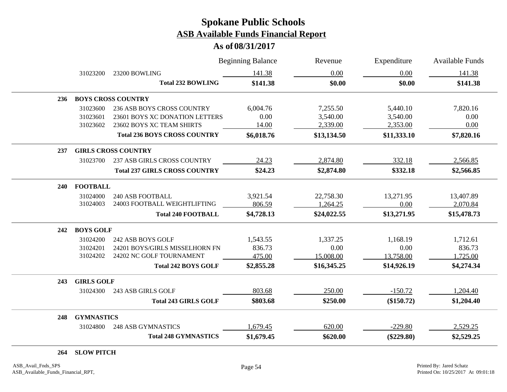#### **As of 08/31/2017**

|     |                   |                                      | <b>Beginning Balance</b> | Revenue     | Expenditure  | <b>Available Funds</b> |
|-----|-------------------|--------------------------------------|--------------------------|-------------|--------------|------------------------|
|     | 31023200          | 23200 BOWLING                        | 141.38                   | 0.00        | 0.00         | 141.38                 |
|     |                   | <b>Total 232 BOWLING</b>             | \$141.38                 | \$0.00      | \$0.00       | \$141.38               |
| 236 |                   | <b>BOYS CROSS COUNTRY</b>            |                          |             |              |                        |
|     | 31023600          | 236 ASB BOYS CROSS COUNTRY           | 6,004.76                 | 7,255.50    | 5,440.10     | 7,820.16               |
|     | 31023601          | 23601 BOYS XC DONATION LETTERS       | 0.00                     | 3,540.00    | 3,540.00     | 0.00                   |
|     | 31023602          | 23602 BOYS XC TEAM SHIRTS            | 14.00                    | 2,339.00    | 2,353.00     | 0.00                   |
|     |                   | <b>Total 236 BOYS CROSS COUNTRY</b>  | \$6,018.76               | \$13,134.50 | \$11,333.10  | \$7,820.16             |
| 237 |                   | <b>GIRLS CROSS COUNTRY</b>           |                          |             |              |                        |
|     | 31023700          | <b>237 ASB GIRLS CROSS COUNTRY</b>   | 24.23                    | 2,874.80    | 332.18       | 2,566.85               |
|     |                   | <b>Total 237 GIRLS CROSS COUNTRY</b> | \$24.23                  | \$2,874.80  | \$332.18     | \$2,566.85             |
| 240 | <b>FOOTBALL</b>   |                                      |                          |             |              |                        |
|     | 31024000          | <b>240 ASB FOOTBALL</b>              | 3,921.54                 | 22,758.30   | 13,271.95    | 13,407.89              |
|     | 31024003          | 24003 FOOTBALL WEIGHTLIFTING         | 806.59                   | 1,264.25    | 0.00         | 2,070.84               |
|     |                   | <b>Total 240 FOOTBALL</b>            | \$4,728.13               | \$24,022.55 | \$13,271.95  | \$15,478.73            |
| 242 | <b>BOYS GOLF</b>  |                                      |                          |             |              |                        |
|     | 31024200          | 242 ASB BOYS GOLF                    | 1,543.55                 | 1,337.25    | 1,168.19     | 1,712.61               |
|     | 31024201          | 24201 BOYS/GIRLS MISSELHORN FN       | 836.73                   | 0.00        | 0.00         | 836.73                 |
|     | 31024202          | 24202 NC GOLF TOURNAMENT             | 475.00                   | 15,008.00   | 13,758.00    | 1,725.00               |
|     |                   | <b>Total 242 BOYS GOLF</b>           | \$2,855.28               | \$16,345.25 | \$14,926.19  | \$4,274.34             |
| 243 | <b>GIRLS GOLF</b> |                                      |                          |             |              |                        |
|     | 31024300          | 243 ASB GIRLS GOLF                   | 803.68                   | 250.00      | $-150.72$    | 1,204.40               |
|     |                   | <b>Total 243 GIRLS GOLF</b>          | \$803.68                 | \$250.00    | (\$150.72)   | \$1,204.40             |
| 248 | <b>GYMNASTICS</b> |                                      |                          |             |              |                        |
|     | 31024800          | <b>248 ASB GYMNASTICS</b>            | 1,679.45                 | 620.00      | $-229.80$    | 2,529.25               |
|     |                   | <b>Total 248 GYMNASTICS</b>          | \$1,679.45               | \$620.00    | $(\$229.80)$ | \$2,529.25             |

**264 SLOW PITCH**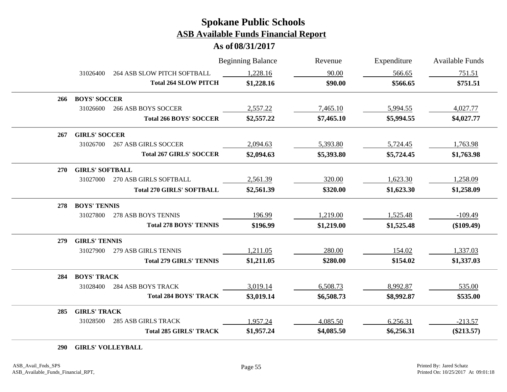**As of 08/31/2017**

|     |                        |                                  | <b>Beginning Balance</b> | Revenue    | Expenditure | <b>Available Funds</b> |
|-----|------------------------|----------------------------------|--------------------------|------------|-------------|------------------------|
|     | 31026400               | 264 ASB SLOW PITCH SOFTBALL      | 1,228.16                 | 90.00      | 566.65      | 751.51                 |
|     |                        | <b>Total 264 SLOW PITCH</b>      | \$1,228.16               | \$90.00    | \$566.65    | \$751.51               |
| 266 | <b>BOYS' SOCCER</b>    |                                  |                          |            |             |                        |
|     | 31026600               | <b>266 ASB BOYS SOCCER</b>       | 2,557.22                 | 7,465.10   | 5,994.55    | 4,027.77               |
|     |                        | <b>Total 266 BOYS' SOCCER</b>    | \$2,557.22               | \$7,465.10 | \$5,994.55  | \$4,027.77             |
| 267 | <b>GIRLS' SOCCER</b>   |                                  |                          |            |             |                        |
|     | 31026700               | <b>267 ASB GIRLS SOCCER</b>      | 2,094.63                 | 5,393.80   | 5,724.45    | 1,763.98               |
|     |                        | <b>Total 267 GIRLS' SOCCER</b>   | \$2,094.63               | \$5,393.80 | \$5,724.45  | \$1,763.98             |
| 270 | <b>GIRLS' SOFTBALL</b> |                                  |                          |            |             |                        |
|     | 31027000               | 270 ASB GIRLS SOFTBALL           | 2,561.39                 | 320.00     | 1,623.30    | 1,258.09               |
|     |                        | <b>Total 270 GIRLS' SOFTBALL</b> | \$2,561.39               | \$320.00   | \$1,623.30  | \$1,258.09             |
| 278 | <b>BOYS' TENNIS</b>    |                                  |                          |            |             |                        |
|     | 31027800               | 278 ASB BOYS TENNIS              | 196.99                   | 1,219.00   | 1,525.48    | $-109.49$              |
|     |                        | <b>Total 278 BOYS' TENNIS</b>    | \$196.99                 | \$1,219.00 | \$1,525.48  | $(\$109.49)$           |
| 279 | <b>GIRLS' TENNIS</b>   |                                  |                          |            |             |                        |
|     | 31027900               | 279 ASB GIRLS TENNIS             | 1,211.05                 | 280.00     | 154.02      | 1,337.03               |
|     |                        | <b>Total 279 GIRLS' TENNIS</b>   | \$1,211.05               | \$280.00   | \$154.02    | \$1,337.03             |
| 284 | <b>BOYS' TRACK</b>     |                                  |                          |            |             |                        |
|     | 31028400               | <b>284 ASB BOYS TRACK</b>        | 3,019.14                 | 6,508.73   | 8,992.87    | 535.00                 |
|     |                        | <b>Total 284 BOYS' TRACK</b>     | \$3,019.14               | \$6,508.73 | \$8,992.87  | \$535.00               |
| 285 | <b>GIRLS' TRACK</b>    |                                  |                          |            |             |                        |
|     | 31028500               | <b>285 ASB GIRLS TRACK</b>       | 1,957.24                 | 4,085.50   | 6,256.31    | $-213.57$              |
|     |                        | <b>Total 285 GIRLS' TRACK</b>    | \$1,957.24               | \$4,085.50 | \$6,256.31  | $(\$213.57)$           |

**290 GIRLS' VOLLEYBALL**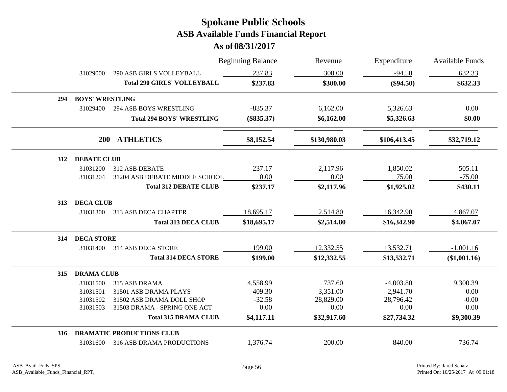|     |                        |                                    | <b>Beginning Balance</b> | Revenue      | Expenditure  | <b>Available Funds</b> |  |  |
|-----|------------------------|------------------------------------|--------------------------|--------------|--------------|------------------------|--|--|
|     | 31029000               | <b>290 ASB GIRLS VOLLEYBALL</b>    | 237.83                   | 300.00       | $-94.50$     | 632.33                 |  |  |
|     |                        | <b>Total 290 GIRLS' VOLLEYBALL</b> | \$237.83                 | \$300.00     | $(\$94.50)$  | \$632.33               |  |  |
| 294 | <b>BOYS' WRESTLING</b> |                                    |                          |              |              |                        |  |  |
|     | 31029400               | <b>294 ASB BOYS WRESTLING</b>      | $-835.37$                | 6,162.00     | 5,326.63     | 0.00                   |  |  |
|     |                        | <b>Total 294 BOYS' WRESTLING</b>   | $(\$835.37)$             | \$6,162.00   | \$5,326.63   | \$0.00                 |  |  |
|     | <b>200</b>             | <b>ATHLETICS</b>                   | \$8,152.54               | \$130,980.03 | \$106,413.45 | \$32,719.12            |  |  |
| 312 | <b>DEBATE CLUB</b>     |                                    |                          |              |              |                        |  |  |
|     | 31031200               | 312 ASB DEBATE                     | 237.17                   | 2,117.96     | 1,850.02     | 505.11                 |  |  |
|     | 31031204               | 31204 ASB DEBATE MIDDLE SCHOOL     | 0.00                     | 0.00         | 75.00        | $-75.00$               |  |  |
|     |                        | <b>Total 312 DEBATE CLUB</b>       | \$237.17                 | \$2,117.96   | \$1,925.02   | \$430.11               |  |  |
| 313 | <b>DECA CLUB</b>       |                                    |                          |              |              |                        |  |  |
|     | 31031300               | <b>313 ASB DECA CHAPTER</b>        | 18,695.17                | 2,514.80     | 16,342.90    | 4,867.07               |  |  |
|     |                        | <b>Total 313 DECA CLUB</b>         | \$18,695.17              | \$2,514.80   | \$16,342.90  | \$4,867.07             |  |  |
| 314 | <b>DECA STORE</b>      |                                    |                          |              |              |                        |  |  |
|     | 31031400               | 314 ASB DECA STORE                 | 199.00                   | 12,332.55    | 13,532.71    | $-1,001.16$            |  |  |
|     |                        | <b>Total 314 DECA STORE</b>        | \$199.00                 | \$12,332.55  | \$13,532.71  | (\$1,001.16)           |  |  |
| 315 | <b>DRAMA CLUB</b>      |                                    |                          |              |              |                        |  |  |
|     | 31031500               | 315 ASB DRAMA                      | 4,558.99                 | 737.60       | $-4,003.80$  | 9,300.39               |  |  |
|     | 31031501               | 31501 ASB DRAMA PLAYS              | $-409.30$                | 3,351.00     | 2,941.70     | 0.00                   |  |  |
|     | 31031502               | 31502 ASB DRAMA DOLL SHOP          | $-32.58$                 | 28,829.00    | 28,796.42    | $-0.00$                |  |  |
|     | 31031503               | 31503 DRAMA - SPRING ONE ACT       | 0.00                     | 0.00         | 0.00         | 0.00                   |  |  |
|     |                        | <b>Total 315 DRAMA CLUB</b>        | \$4,117.11               | \$32,917.60  | \$27,734.32  | \$9,300.39             |  |  |
| 316 |                        | <b>DRAMATIC PRODUCTIONS CLUB</b>   |                          |              |              |                        |  |  |
|     | 31031600               | 316 ASB DRAMA PRODUCTIONS          | 1,376.74                 | 200.00       | 840.00       | 736.74                 |  |  |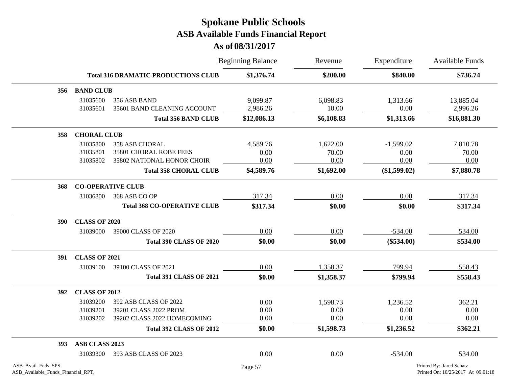|                    |                                  |                                                                                                                 | <b>Beginning Balance</b>               | Revenue                                 | Expenditure                                   | Available Funds                         |  |
|--------------------|----------------------------------|-----------------------------------------------------------------------------------------------------------------|----------------------------------------|-----------------------------------------|-----------------------------------------------|-----------------------------------------|--|
|                    |                                  | <b>Total 316 DRAMATIC PRODUCTIONS CLUB</b>                                                                      | \$1,376.74                             | \$200.00                                | \$840.00                                      | \$736.74                                |  |
| 356                | <b>BAND CLUB</b>                 |                                                                                                                 |                                        |                                         |                                               |                                         |  |
|                    | 31035600<br>31035601             | 356 ASB BAND<br>35601 BAND CLEANING ACCOUNT                                                                     | 9,099.87<br>2,986.26                   | 6,098.83<br>10.00                       | 1,313.66<br>0.00                              | 13,885.04<br>2,996.26                   |  |
|                    |                                  | <b>Total 356 BAND CLUB</b>                                                                                      | \$12,086.13                            | \$6,108.83                              | \$1,313.66                                    | \$16,881.30                             |  |
| 358                | <b>CHORAL CLUB</b>               |                                                                                                                 |                                        |                                         |                                               |                                         |  |
|                    | 31035800<br>31035801<br>31035802 | 358 ASB CHORAL<br>35801 CHORAL ROBE FEES<br>35802 NATIONAL HONOR CHOIR<br><b>Total 358 CHORAL CLUB</b>          | 4,589.76<br>0.00<br>0.00<br>\$4,589.76 | 1,622.00<br>70.00<br>0.00<br>\$1,692.00 | $-1,599.02$<br>0.00<br>0.00<br>$(\$1,599.02)$ | 7,810.78<br>70.00<br>0.00<br>\$7,880.78 |  |
| 368                |                                  | <b>CO-OPERATIVE CLUB</b>                                                                                        |                                        |                                         |                                               |                                         |  |
|                    | 31036800                         | 368 ASB CO OP                                                                                                   | 317.34                                 | 0.00                                    | 0.00                                          | 317.34                                  |  |
|                    |                                  | <b>Total 368 CO-OPERATIVE CLUB</b>                                                                              | \$317.34                               | \$0.00                                  | \$0.00                                        | \$317.34                                |  |
| <b>390</b>         | <b>CLASS OF 2020</b>             |                                                                                                                 |                                        |                                         |                                               |                                         |  |
|                    | 31039000                         | 39000 CLASS OF 2020                                                                                             | 0.00                                   | 0.00                                    | $-534.00$                                     | 534.00                                  |  |
|                    |                                  | <b>Total 390 CLASS OF 2020</b>                                                                                  | \$0.00                                 | \$0.00                                  | $(\$534.00)$                                  | \$534.00                                |  |
| 391                | <b>CLASS OF 2021</b>             |                                                                                                                 |                                        |                                         |                                               |                                         |  |
|                    | 31039100                         | 39100 CLASS OF 2021                                                                                             | 0.00                                   | 1,358.37                                | 799.94                                        | 558.43                                  |  |
|                    |                                  | <b>Total 391 CLASS OF 2021</b>                                                                                  | \$0.00                                 | \$1,358.37                              | \$799.94                                      | \$558.43                                |  |
| <b>392</b>         | <b>CLASS OF 2012</b>             |                                                                                                                 |                                        |                                         |                                               |                                         |  |
|                    | 31039200<br>31039201<br>31039202 | 392 ASB CLASS OF 2022<br>39201 CLASS 2022 PROM<br>39202 CLASS 2022 HOMECOMING<br><b>Total 392 CLASS OF 2012</b> | 0.00<br>0.00<br>0.00<br>\$0.00         | 1,598.73<br>0.00<br>0.00<br>\$1,598.73  | 1,236.52<br>0.00<br>0.00<br>\$1,236.52        | 362.21<br>0.00<br>0.00<br>\$362.21      |  |
| 393                | ASB CLASS 2023                   |                                                                                                                 |                                        |                                         |                                               |                                         |  |
|                    | 31039300                         | 393 ASB CLASS OF 2023                                                                                           | 0.00                                   | 0.00                                    | $-534.00$                                     | 534.00                                  |  |
| ASB Avail Fnds SPS |                                  |                                                                                                                 | Page 57                                |                                         |                                               | Printed By: Jared Schatz                |  |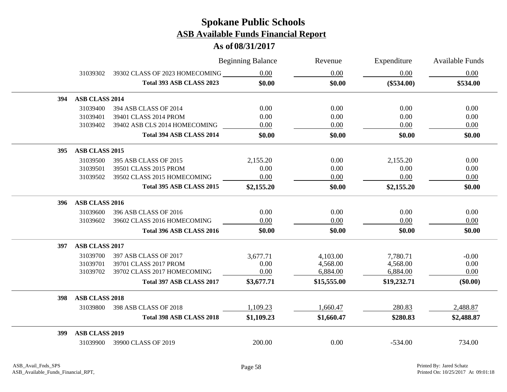|            |                       |                                | <b>Beginning Balance</b> | Revenue     | Expenditure  | Available Funds |
|------------|-----------------------|--------------------------------|--------------------------|-------------|--------------|-----------------|
|            | 31039302              | 39302 CLASS OF 2023 HOMECOMING | 0.00                     | 0.00        | 0.00         | 0.00            |
|            |                       | Total 393 ASB CLASS 2023       | \$0.00                   | \$0.00      | $(\$534.00)$ | \$534.00        |
| 394        | ASB CLASS 2014        |                                |                          |             |              |                 |
|            | 31039400              | 394 ASB CLASS OF 2014          | 0.00                     | 0.00        | 0.00         | 0.00            |
|            | 31039401              | 39401 CLASS 2014 PROM          | 0.00                     | 0.00        | 0.00         | 0.00            |
|            | 31039402              | 39402 ASB CLS 2014 HOMECOMING  | 0.00                     | 0.00        | 0.00         | 0.00            |
|            |                       | Total 394 ASB CLASS 2014       | \$0.00                   | \$0.00      | \$0.00       | \$0.00          |
| 395        | ASB CLASS 2015        |                                |                          |             |              |                 |
|            | 31039500              | 395 ASB CLASS OF 2015          | 2,155.20                 | 0.00        | 2,155.20     | 0.00            |
|            | 31039501              | 39501 CLASS 2015 PROM          | 0.00                     | 0.00        | 0.00         | 0.00            |
|            | 31039502              | 39502 CLASS 2015 HOMECOMING    | 0.00                     | 0.00        | 0.00         | 0.00            |
|            |                       | Total 395 ASB CLASS 2015       | \$2,155.20               | \$0.00      | \$2,155.20   | \$0.00          |
| <b>396</b> | ASB CLASS 2016        |                                |                          |             |              |                 |
|            | 31039600              | 396 ASB CLASS OF 2016          | 0.00                     | 0.00        | 0.00         | 0.00            |
|            | 31039602              | 39602 CLASS 2016 HOMECOMING    | 0.00                     | 0.00        | 0.00         | 0.00            |
|            |                       | Total 396 ASB CLASS 2016       | \$0.00                   | \$0.00      | \$0.00       | \$0.00          |
| 397        | <b>ASB CLASS 2017</b> |                                |                          |             |              |                 |
|            | 31039700              | 397 ASB CLASS OF 2017          | 3,677.71                 | 4,103.00    | 7,780.71     | $-0.00$         |
|            | 31039701              | 39701 CLASS 2017 PROM          | 0.00                     | 4,568.00    | 4,568.00     | 0.00            |
|            | 31039702              | 39702 CLASS 2017 HOMECOMING    | 0.00                     | 6,884.00    | 6,884.00     | 0.00            |
|            |                       | Total 397 ASB CLASS 2017       | \$3,677.71               | \$15,555.00 | \$19,232.71  | $(\$0.00)$      |
| 398        | <b>ASB CLASS 2018</b> |                                |                          |             |              |                 |
|            | 31039800              | 398 ASB CLASS OF 2018          | 1,109.23                 | 1,660.47    | 280.83       | 2,488.87        |
|            |                       | Total 398 ASB CLASS 2018       | \$1,109.23               | \$1,660.47  | \$280.83     | \$2,488.87      |
| 399        | <b>ASB CLASS 2019</b> |                                |                          |             |              |                 |
|            | 31039900              | 39900 CLASS OF 2019            | 200.00                   | 0.00        | $-534.00$    | 734.00          |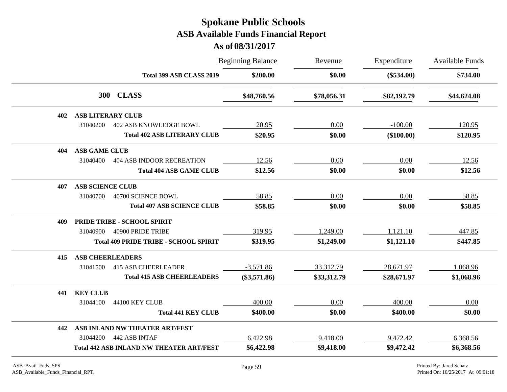|     |                          |                                                 | <b>Beginning Balance</b> | Revenue<br>\$0.00 | Expenditure  | <b>Available Funds</b><br>\$734.00 |
|-----|--------------------------|-------------------------------------------------|--------------------------|-------------------|--------------|------------------------------------|
|     |                          | Total 399 ASB CLASS 2019                        | \$200.00                 |                   | $(\$534.00)$ |                                    |
|     | <b>300</b>               | <b>CLASS</b>                                    | \$48,760.56              | \$78,056.31       | \$82,192.79  | \$44,624.08                        |
| 402 | <b>ASB LITERARY CLUB</b> |                                                 |                          |                   |              |                                    |
|     | 31040200                 | <b>402 ASB KNOWLEDGE BOWL</b>                   | 20.95                    | 0.00              | $-100.00$    | 120.95                             |
|     |                          | <b>Total 402 ASB LITERARY CLUB</b>              | \$20.95                  | \$0.00            | $(\$100.00)$ | \$120.95                           |
| 404 | <b>ASB GAME CLUB</b>     |                                                 |                          |                   |              |                                    |
|     | 31040400                 | <b>404 ASB INDOOR RECREATION</b>                | 12.56                    | 0.00              | 0.00         | 12.56                              |
|     |                          | <b>Total 404 ASB GAME CLUB</b>                  | \$12.56                  | \$0.00            | \$0.00       | \$12.56                            |
| 407 | <b>ASB SCIENCE CLUB</b>  |                                                 |                          |                   |              |                                    |
|     | 31040700                 | 40700 SCIENCE BOWL                              | 58.85                    | 0.00              | 0.00         | 58.85                              |
|     |                          | <b>Total 407 ASB SCIENCE CLUB</b>               | \$58.85                  | \$0.00            | \$0.00       | \$58.85                            |
| 409 |                          | PRIDE TRIBE - SCHOOL SPIRIT                     |                          |                   |              |                                    |
|     | 31040900                 | 40900 PRIDE TRIBE                               | 319.95                   | 1,249.00          | 1,121.10     | 447.85                             |
|     |                          | <b>Total 409 PRIDE TRIBE - SCHOOL SPIRIT</b>    | \$319.95                 | \$1,249.00        | \$1,121.10   | \$447.85                           |
| 415 | <b>ASB CHEERLEADERS</b>  |                                                 |                          |                   |              |                                    |
|     | 31041500                 | <b>415 ASB CHEERLEADER</b>                      | $-3,571.86$              | 33,312.79         | 28,671.97    | 1,068.96                           |
|     |                          | <b>Total 415 ASB CHEERLEADERS</b>               | $(\$3,571.86)$           | \$33,312.79       | \$28,671.97  | \$1,068.96                         |
| 441 | <b>KEY CLUB</b>          |                                                 |                          |                   |              |                                    |
|     | 31044100                 | 44100 KEY CLUB                                  | 400.00                   | 0.00              | 400.00       | 0.00                               |
|     |                          | <b>Total 441 KEY CLUB</b>                       | \$400.00                 | \$0.00            | \$400.00     | \$0.00                             |
| 442 |                          | ASB INLAND NW THEATER ART/FEST                  |                          |                   |              |                                    |
|     | 31044200                 | 442 ASB INTAF                                   | 6,422.98                 | 9,418.00          | 9,472.42     | 6,368.56                           |
|     |                          | <b>Total 442 ASB INLAND NW THEATER ART/FEST</b> | \$6,422.98               | \$9,418.00        | \$9,472.42   | \$6,368.56                         |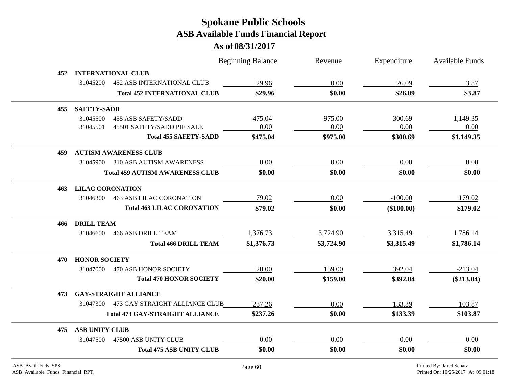|     |                         |                                        | <b>Beginning Balance</b> | Revenue    | Expenditure | <b>Available Funds</b> |
|-----|-------------------------|----------------------------------------|--------------------------|------------|-------------|------------------------|
| 452 |                         | <b>INTERNATIONAL CLUB</b>              |                          |            |             |                        |
|     | 31045200                | <b>452 ASB INTERNATIONAL CLUB</b>      | 29.96                    | 0.00       | 26.09       | 3.87                   |
|     |                         | <b>Total 452 INTERNATIONAL CLUB</b>    | \$29.96                  | \$0.00     | \$26.09     | \$3.87                 |
| 455 | <b>SAFETY-SADD</b>      |                                        |                          |            |             |                        |
|     | 31045500                | <b>455 ASB SAFETY/SADD</b>             | 475.04                   | 975.00     | 300.69      | 1,149.35               |
|     | 31045501                | 45501 SAFETY/SADD PIE SALE             | 0.00                     | 0.00       | 0.00        | 0.00                   |
|     |                         | <b>Total 455 SAFETY-SADD</b>           | \$475.04                 | \$975.00   | \$300.69    | \$1,149.35             |
| 459 |                         | <b>AUTISM AWARENESS CLUB</b>           |                          |            |             |                        |
|     | 31045900                | 310 ASB AUTISM AWARENESS               | 0.00                     | 0.00       | 0.00        | 0.00                   |
|     |                         | <b>Total 459 AUTISM AWARENESS CLUB</b> | \$0.00                   | \$0.00     | \$0.00      | \$0.00                 |
| 463 | <b>LILAC CORONATION</b> |                                        |                          |            |             |                        |
|     | 31046300                | <b>463 ASB LILAC CORONATION</b>        | 79.02                    | 0.00       | $-100.00$   | 179.02                 |
|     |                         | <b>Total 463 LILAC CORONATION</b>      | \$79.02                  | \$0.00     | (\$100.00)  | \$179.02               |
| 466 | <b>DRILL TEAM</b>       |                                        |                          |            |             |                        |
|     | 31046600                | <b>466 ASB DRILL TEAM</b>              | 1,376.73                 | 3,724.90   | 3,315.49    | 1,786.14               |
|     |                         | <b>Total 466 DRILL TEAM</b>            | \$1,376.73               | \$3,724.90 | \$3,315.49  | \$1,786.14             |
| 470 | <b>HONOR SOCIETY</b>    |                                        |                          |            |             |                        |
|     | 31047000                | 470 ASB HONOR SOCIETY                  | 20.00                    | 159.00     | 392.04      | $-213.04$              |
|     |                         | <b>Total 470 HONOR SOCIETY</b>         | \$20.00                  | \$159.00   | \$392.04    | $(\$213.04)$           |
| 473 |                         | <b>GAY-STRAIGHT ALLIANCE</b>           |                          |            |             |                        |
|     | 31047300                | 473 GAY STRAIGHT ALLIANCE CLUB         | 237.26                   | 0.00       | 133.39      | 103.87                 |
|     |                         | <b>Total 473 GAY-STRAIGHT ALLIANCE</b> | \$237.26                 | \$0.00     | \$133.39    | \$103.87               |
| 475 | <b>ASB UNITY CLUB</b>   |                                        |                          |            |             |                        |
|     |                         | 31047500 47500 ASB UNITY CLUB          | 0.00                     | 0.00       | 0.00        | 0.00                   |
|     |                         | <b>Total 475 ASB UNITY CLUB</b>        | \$0.00                   | \$0.00     | \$0.00      | \$0.00                 |
|     |                         |                                        |                          |            |             |                        |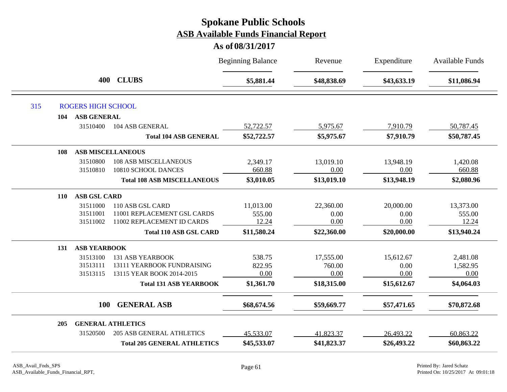|            |                           |                                    | <b>Beginning Balance</b> | Revenue     | Expenditure | <b>Available Funds</b> |
|------------|---------------------------|------------------------------------|--------------------------|-------------|-------------|------------------------|
|            | 400                       | <b>CLUBS</b>                       | \$5,881.44               | \$48,838.69 | \$43,633.19 | \$11,086.94            |
| 315        | <b>ROGERS HIGH SCHOOL</b> |                                    |                          |             |             |                        |
| 104        | <b>ASB GENERAL</b>        |                                    |                          |             |             |                        |
|            | 31510400                  | 104 ASB GENERAL                    | 52,722.57                | 5,975.67    | 7,910.79    | 50,787.45              |
|            |                           | <b>Total 104 ASB GENERAL</b>       | \$52,722.57              | \$5,975.67  | \$7,910.79  | \$50,787.45            |
| 108        |                           | <b>ASB MISCELLANEOUS</b>           |                          |             |             |                        |
|            | 31510800                  | <b>108 ASB MISCELLANEOUS</b>       | 2,349.17                 | 13,019.10   | 13,948.19   | 1,420.08               |
|            | 31510810                  | 10810 SCHOOL DANCES                | 660.88                   | 0.00        | 0.00        | 660.88                 |
|            |                           | <b>Total 108 ASB MISCELLANEOUS</b> | \$3,010.05               | \$13,019.10 | \$13,948.19 | \$2,080.96             |
| <b>110</b> | <b>ASB GSL CARD</b>       |                                    |                          |             |             |                        |
|            | 31511000                  | 110 ASB GSL CARD                   | 11,013.00                | 22,360.00   | 20,000.00   | 13,373.00              |
|            | 31511001                  | 11001 REPLACEMENT GSL CARDS        | 555.00                   | 0.00        | 0.00        | 555.00                 |
|            | 31511002                  | 11002 REPLACEMENT ID CARDS         | 12.24                    | 0.00        | 0.00        | 12.24                  |
|            |                           | <b>Total 110 ASB GSL CARD</b>      | \$11,580.24              | \$22,360.00 | \$20,000.00 | \$13,940.24            |
| 131        | <b>ASB YEARBOOK</b>       |                                    |                          |             |             |                        |
|            | 31513100                  | <b>131 ASB YEARBOOK</b>            | 538.75                   | 17,555.00   | 15,612.67   | 2,481.08               |
|            | 31513111                  | 13111 YEARBOOK FUNDRAISING         | 822.95                   | 760.00      | 0.00        | 1,582.95               |
|            | 31513115                  | 13115 YEAR BOOK 2014-2015          | 0.00                     | 0.00        | 0.00        | 0.00                   |
|            |                           | <b>Total 131 ASB YEARBOOK</b>      | \$1,361.70               | \$18,315.00 | \$15,612.67 | \$4,064.03             |
|            | <b>100</b>                | <b>GENERAL ASB</b>                 | \$68,674.56              | \$59,669.77 | \$57,471.65 | \$70,872.68            |
| 205        |                           | <b>GENERAL ATHLETICS</b>           |                          |             |             |                        |
|            | 31520500                  | <b>205 ASB GENERAL ATHLETICS</b>   | 45,533.07                | 41,823.37   | 26,493.22   | 60,863.22              |
|            |                           | <b>Total 205 GENERAL ATHLETICS</b> | \$45,533.07              | \$41,823.37 | \$26,493.22 | \$60,863.22            |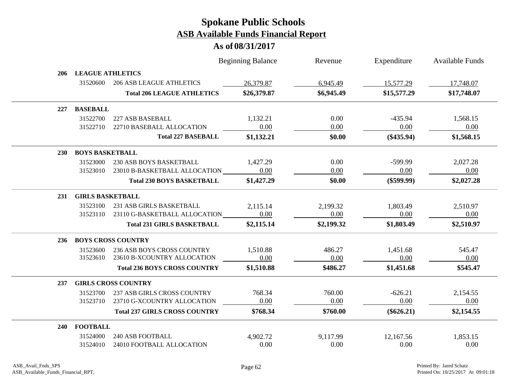|            |                         |                                      | <b>Beginning Balance</b> | Revenue    | Expenditure  | <b>Available Funds</b> |
|------------|-------------------------|--------------------------------------|--------------------------|------------|--------------|------------------------|
| 206        | <b>LEAGUE ATHLETICS</b> |                                      |                          |            |              |                        |
|            | 31520600                | <b>206 ASB LEAGUE ATHLETICS</b>      | 26,379.87                | 6,945.49   | 15,577.29    | 17,748.07              |
|            |                         | <b>Total 206 LEAGUE ATHLETICS</b>    | \$26,379.87              | \$6,945.49 | \$15,577.29  | \$17,748.07            |
| 227        | <b>BASEBALL</b>         |                                      |                          |            |              |                        |
|            | 31522700                | 227 ASB BASEBALL                     | 1,132.21                 | 0.00       | $-435.94$    | 1,568.15               |
|            | 31522710                | 22710 BASEBALL ALLOCATION            | 0.00                     | 0.00       | 0.00         | 0.00                   |
|            |                         | <b>Total 227 BASEBALL</b>            | \$1,132.21               | \$0.00     | $(\$435.94)$ | \$1,568.15             |
| <b>230</b> | <b>BOYS BASKETBALL</b>  |                                      |                          |            |              |                        |
|            | 31523000                | 230 ASB BOYS BASKETBALL              | 1,427.29                 | 0.00       | $-599.99$    | 2,027.28               |
|            | 31523010                | 23010 B-BASKETBALL ALLOCATION        | 0.00                     | 0.00       | 0.00         | 0.00                   |
|            |                         | <b>Total 230 BOYS BASKETBALL</b>     | \$1,427.29               | \$0.00     | $(\$599.99)$ | \$2,027.28             |
| 231        | <b>GIRLS BASKETBALL</b> |                                      |                          |            |              |                        |
|            | 31523100                | 231 ASB GIRLS BASKETBALL             | 2,115.14                 | 2,199.32   | 1,803.49     | 2,510.97               |
|            | 31523110                | 23110 G-BASKETBALL ALLOCATION        | 0.00                     | 0.00       | 0.00         | 0.00                   |
|            |                         | <b>Total 231 GIRLS BASKETBALL</b>    | \$2,115.14               | \$2,199.32 | \$1,803.49   | \$2,510.97             |
| 236        |                         | <b>BOYS CROSS COUNTRY</b>            |                          |            |              |                        |
|            | 31523600                | 236 ASB BOYS CROSS COUNTRY           | 1,510.88                 | 486.27     | 1,451.68     | 545.47                 |
|            | 31523610                | 23610 B-XCOUNTRY ALLOCATION          | 0.00                     | 0.00       | 0.00         | 0.00                   |
|            |                         | <b>Total 236 BOYS CROSS COUNTRY</b>  | \$1,510.88               | \$486.27   | \$1,451.68   | \$545.47               |
| 237        |                         | <b>GIRLS CROSS COUNTRY</b>           |                          |            |              |                        |
|            | 31523700                | 237 ASB GIRLS CROSS COUNTRY          | 768.34                   | 760.00     | $-626.21$    | 2,154.55               |
|            | 31523710                | 23710 G-XCOUNTRY ALLOCATION          | 0.00                     | 0.00       | 0.00         | 0.00                   |
|            |                         | <b>Total 237 GIRLS CROSS COUNTRY</b> | \$768.34                 | \$760.00   | $(\$626.21)$ | \$2,154.55             |
| 240        | <b>FOOTBALL</b>         |                                      |                          |            |              |                        |
|            | 31524000                | <b>240 ASB FOOTBALL</b>              | 4,902.72                 | 9,117.99   | 12,167.56    | 1,853.15               |
|            | 31524010                | 24010 FOOTBALL ALLOCATION            | 0.00                     | 0.00       | 0.00         | 0.00                   |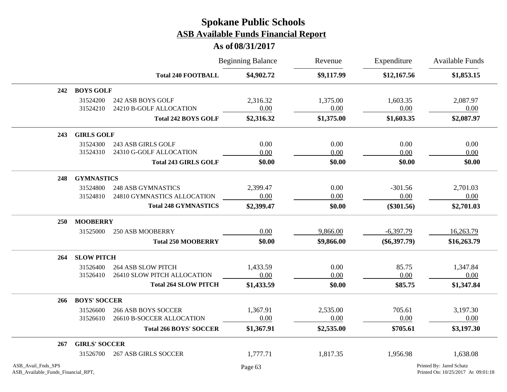|                                                          |                      |                                              | <b>Beginning Balance</b> | Revenue          | Expenditure<br>\$12,167.56 | Available Funds<br>\$1,853.15                                  |  |
|----------------------------------------------------------|----------------------|----------------------------------------------|--------------------------|------------------|----------------------------|----------------------------------------------------------------|--|
|                                                          |                      | <b>Total 240 FOOTBALL</b>                    | \$4,902.72               | \$9,117.99       |                            |                                                                |  |
| 242                                                      | <b>BOYS GOLF</b>     |                                              |                          |                  |                            |                                                                |  |
|                                                          | 31524200<br>31524210 | 242 ASB BOYS GOLF<br>24210 B-GOLF ALLOCATION | 2,316.32<br>0.00         | 1,375.00<br>0.00 | 1,603.35<br>0.00           | 2,087.97<br>0.00                                               |  |
|                                                          |                      | <b>Total 242 BOYS GOLF</b>                   | \$2,316.32               | \$1,375.00       | \$1,603.35                 | \$2,087.97                                                     |  |
| 243                                                      | <b>GIRLS GOLF</b>    |                                              |                          |                  |                            |                                                                |  |
|                                                          | 31524300             | 243 ASB GIRLS GOLF                           | 0.00                     | 0.00             | 0.00                       | 0.00                                                           |  |
|                                                          | 31524310             | 24310 G-GOLF ALLOCATION                      | 0.00                     | 0.00             | 0.00                       | 0.00                                                           |  |
|                                                          |                      | <b>Total 243 GIRLS GOLF</b>                  | \$0.00                   | \$0.00           | \$0.00                     | \$0.00                                                         |  |
| 248                                                      | <b>GYMNASTICS</b>    |                                              |                          |                  |                            |                                                                |  |
|                                                          | 31524800             | <b>248 ASB GYMNASTICS</b>                    | 2,399.47                 | 0.00             | $-301.56$                  | 2,701.03                                                       |  |
|                                                          | 31524810             | 24810 GYMNASTICS ALLOCATION                  | 0.00                     | 0.00             | 0.00                       | 0.00                                                           |  |
|                                                          |                      | <b>Total 248 GYMNASTICS</b>                  | \$2,399.47               | \$0.00           | $(\$301.56)$               | \$2,701.03                                                     |  |
| 250                                                      | <b>MOOBERRY</b>      |                                              |                          |                  |                            |                                                                |  |
|                                                          | 31525000             | 250 ASB MOOBERRY                             | 0.00                     | 9,866.00         | $-6,397.79$                | 16,263.79                                                      |  |
|                                                          |                      | <b>Total 250 MOOBERRY</b>                    | \$0.00                   | \$9,866.00       | $(\$6,397.79)$             | \$16,263.79                                                    |  |
| 264                                                      | <b>SLOW PITCH</b>    |                                              |                          |                  |                            |                                                                |  |
|                                                          | 31526400             | <b>264 ASB SLOW PITCH</b>                    | 1,433.59                 | 0.00             | 85.75                      | 1,347.84                                                       |  |
|                                                          | 31526410             | 26410 SLOW PITCH ALLOCATION                  | 0.00                     | 0.00             | 0.00                       | 0.00                                                           |  |
|                                                          |                      | <b>Total 264 SLOW PITCH</b>                  | \$1,433.59               | \$0.00           | \$85.75                    | \$1,347.84                                                     |  |
| 266                                                      | <b>BOYS' SOCCER</b>  |                                              |                          |                  |                            |                                                                |  |
|                                                          | 31526600             | <b>266 ASB BOYS SOCCER</b>                   | 1,367.91                 | 2,535.00         | 705.61                     | 3,197.30                                                       |  |
|                                                          | 31526610             | 26610 B-SOCCER ALLOCATION                    | 0.00                     | 0.00             | 0.00                       | 0.00                                                           |  |
|                                                          |                      | <b>Total 266 BOYS' SOCCER</b>                | \$1,367.91               | \$2,535.00       | \$705.61                   | \$3,197.30                                                     |  |
| 267                                                      | <b>GIRLS' SOCCER</b> |                                              |                          |                  |                            |                                                                |  |
|                                                          | 31526700             | <b>267 ASB GIRLS SOCCER</b>                  | 1,777.71                 | 1,817.35         | 1,956.98                   | 1,638.08                                                       |  |
| ASB Avail Fnds SPS<br>ASB_Available_Funds_Financial_RPT, |                      |                                              | Page 63                  |                  |                            | Printed By: Jared Schatz<br>Printed On: 10/25/2017 At 09:01:18 |  |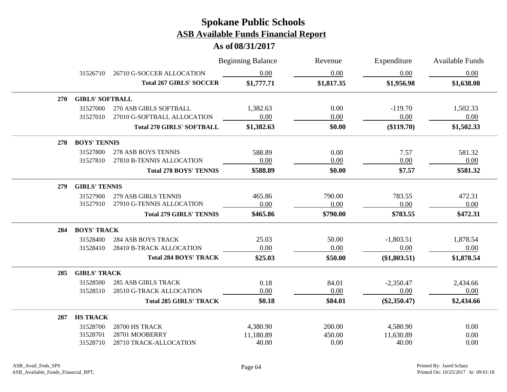|            |                        |                                  | <b>Beginning Balance</b> | Revenue    | Expenditure    | <b>Available Funds</b> |
|------------|------------------------|----------------------------------|--------------------------|------------|----------------|------------------------|
|            | 31526710               | 26710 G-SOCCER ALLOCATION        | 0.00                     | 0.00       | 0.00           | 0.00                   |
|            |                        | <b>Total 267 GIRLS' SOCCER</b>   | \$1,777.71               | \$1,817.35 | \$1,956.98     | \$1,638.08             |
| <b>270</b> | <b>GIRLS' SOFTBALL</b> |                                  |                          |            |                |                        |
|            | 31527000               | 270 ASB GIRLS SOFTBALL           | 1,382.63                 | 0.00       | $-119.70$      | 1,502.33               |
|            | 31527010               | 27010 G-SOFTBALL ALLOCATION      | 0.00                     | 0.00       | 0.00           | 0.00                   |
|            |                        | <b>Total 270 GIRLS' SOFTBALL</b> | \$1,382.63               | \$0.00     | $(\$119.70)$   | \$1,502.33             |
| 278        | <b>BOYS' TENNIS</b>    |                                  |                          |            |                |                        |
|            | 31527800               | 278 ASB BOYS TENNIS              | 588.89                   | 0.00       | 7.57           | 581.32                 |
|            | 31527810               | 27810 B-TENNIS ALLOCATION        | 0.00                     | 0.00       | 0.00           | 0.00                   |
|            |                        | <b>Total 278 BOYS' TENNIS</b>    | \$588.89                 | \$0.00     | \$7.57         | \$581.32               |
| 279        | <b>GIRLS' TENNIS</b>   |                                  |                          |            |                |                        |
|            | 31527900               | <b>279 ASB GIRLS TENNIS</b>      | 465.86                   | 790.00     | 783.55         | 472.31                 |
|            | 31527910               | 27910 G-TENNIS ALLOCATION        | 0.00                     | 0.00       | 0.00           | 0.00                   |
|            |                        | <b>Total 279 GIRLS' TENNIS</b>   | \$465.86                 | \$790.00   | \$783.55       | \$472.31               |
| 284        | <b>BOYS' TRACK</b>     |                                  |                          |            |                |                        |
|            | 31528400               | <b>284 ASB BOYS TRACK</b>        | 25.03                    | 50.00      | $-1,803.51$    | 1,878.54               |
|            | 31528410               | 28410 B-TRACK ALLOCATION         | 0.00                     | 0.00       | 0.00           | 0.00                   |
|            |                        | <b>Total 284 BOYS' TRACK</b>     | \$25.03                  | \$50.00    | (\$1,803.51)   | \$1,878.54             |
| 285        | <b>GIRLS' TRACK</b>    |                                  |                          |            |                |                        |
|            | 31528500               | <b>285 ASB GIRLS TRACK</b>       | 0.18                     | 84.01      | $-2,350.47$    | 2,434.66               |
|            | 31528510               | 28510 G-TRACK ALLOCATION         | 0.00                     | 0.00       | 0.00           | 0.00                   |
|            |                        | <b>Total 285 GIRLS' TRACK</b>    | \$0.18                   | \$84.01    | $(\$2,350.47)$ | \$2,434.66             |
| 287        | <b>HS TRACK</b>        |                                  |                          |            |                |                        |
|            | 31528700               | 28700 HS TRACK                   | 4,380.90                 | 200.00     | 4,580.90       | 0.00                   |
|            | 31528701               | 28701 MOOBERRY                   | 11,180.89                | 450.00     | 11,630.89      | 0.00                   |
|            | 31528710               | 28710 TRACK-ALLOCATION           | 40.00                    | 0.00       | 40.00          | 0.00                   |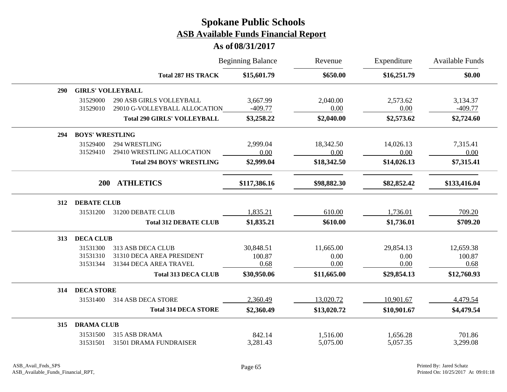|     |                          |                                    | <b>Beginning Balance</b> | Revenue     | Expenditure<br>\$16,251.79 | <b>Available Funds</b><br>\$0.00 |
|-----|--------------------------|------------------------------------|--------------------------|-------------|----------------------------|----------------------------------|
|     |                          | <b>Total 287 HS TRACK</b>          | \$15,601.79              | \$650.00    |                            |                                  |
| 290 | <b>GIRLS' VOLLEYBALL</b> |                                    |                          |             |                            |                                  |
|     | 31529000                 | 290 ASB GIRLS VOLLEYBALL           | 3,667.99                 | 2,040.00    | 2,573.62                   | 3,134.37                         |
|     | 31529010                 | 29010 G-VOLLEYBALL ALLOCATION      | $-409.77$                | 0.00        | 0.00                       | $-409.77$                        |
|     |                          | <b>Total 290 GIRLS' VOLLEYBALL</b> | \$3,258.22               | \$2,040.00  | \$2,573.62                 | \$2,724.60                       |
| 294 | <b>BOYS' WRESTLING</b>   |                                    |                          |             |                            |                                  |
|     | 31529400                 | 294 WRESTLING                      | 2,999.04                 | 18,342.50   | 14,026.13                  | 7,315.41                         |
|     | 31529410                 | 29410 WRESTLING ALLOCATION         | 0.00                     | 0.00        | 0.00                       | 0.00                             |
|     |                          | <b>Total 294 BOYS' WRESTLING</b>   | \$2,999.04               | \$18,342.50 | \$14,026.13                | \$7,315.41                       |
|     | <b>200</b>               | <b>ATHLETICS</b>                   | \$117,386.16             | \$98,882.30 | \$82,852.42                | \$133,416.04                     |
| 312 | <b>DEBATE CLUB</b>       |                                    |                          |             |                            |                                  |
|     | 31531200                 | 31200 DEBATE CLUB                  | 1,835.21                 | 610.00      | 1,736.01                   | 709.20                           |
|     |                          | <b>Total 312 DEBATE CLUB</b>       | \$1,835.21               | \$610.00    | \$1,736.01                 | \$709.20                         |
| 313 | <b>DECA CLUB</b>         |                                    |                          |             |                            |                                  |
|     | 31531300                 | 313 ASB DECA CLUB                  | 30,848.51                | 11,665.00   | 29,854.13                  | 12,659.38                        |
|     | 31531310                 | 31310 DECA AREA PRESIDENT          | 100.87                   | 0.00        | 0.00                       | 100.87                           |
|     | 31531344                 | 31344 DECA AREA TRAVEL             | 0.68                     | 0.00        | 0.00                       | 0.68                             |
|     |                          | <b>Total 313 DECA CLUB</b>         | \$30,950.06              | \$11,665.00 | \$29,854.13                | \$12,760.93                      |
| 314 | <b>DECA STORE</b>        |                                    |                          |             |                            |                                  |
|     | 31531400                 | 314 ASB DECA STORE                 | 2,360.49                 | 13,020.72   | 10,901.67                  | 4,479.54                         |
|     |                          | <b>Total 314 DECA STORE</b>        | \$2,360.49               | \$13,020.72 | \$10,901.67                | \$4,479.54                       |
| 315 | <b>DRAMA CLUB</b>        |                                    |                          |             |                            |                                  |
|     | 31531500                 | 315 ASB DRAMA                      | 842.14                   | 1,516.00    | 1,656.28                   | 701.86                           |
|     | 31531501                 | 31501 DRAMA FUNDRAISER             | 3,281.43                 | 5,075.00    | 5,057.35                   | 3,299.08                         |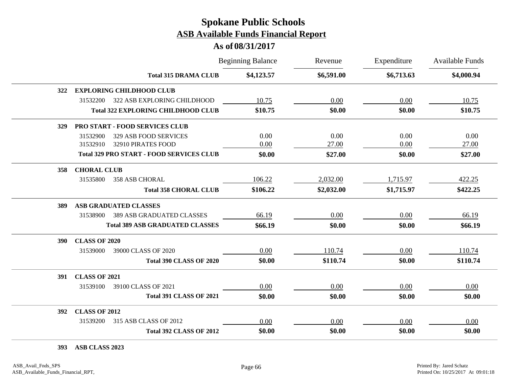#### **As of 08/31/2017**

|            |                                                 | <b>Beginning Balance</b> | Revenue    | Expenditure | <b>Available Funds</b> |
|------------|-------------------------------------------------|--------------------------|------------|-------------|------------------------|
|            | <b>Total 315 DRAMA CLUB</b>                     | \$4,123.57               | \$6,591.00 | \$6,713.63  | \$4,000.94             |
| 322        | <b>EXPLORING CHILDHOOD CLUB</b>                 |                          |            |             |                        |
|            | 31532200<br>322 ASB EXPLORING CHILDHOOD         | 10.75                    | 0.00       | 0.00        | 10.75                  |
|            | <b>Total 322 EXPLORING CHILDHOOD CLUB</b>       | \$10.75                  | \$0.00     | \$0.00      | \$10.75                |
| <b>329</b> | <b>PRO START - FOOD SERVICES CLUB</b>           |                          |            |             |                        |
|            | 329 ASB FOOD SERVICES<br>31532900               | 0.00                     | 0.00       | 0.00        | 0.00                   |
|            | 32910 PIRATES FOOD<br>31532910                  | 0.00                     | 27.00      | 0.00        | 27.00                  |
|            | <b>Total 329 PRO START - FOOD SERVICES CLUB</b> | \$0.00                   | \$27.00    | \$0.00      | \$27.00                |
| 358        | <b>CHORAL CLUB</b>                              |                          |            |             |                        |
|            | 31535800<br>358 ASB CHORAL                      | 106.22                   | 2,032.00   | 1,715.97    | 422.25                 |
|            | <b>Total 358 CHORAL CLUB</b>                    | \$106.22                 | \$2,032.00 | \$1,715.97  | \$422.25               |
| 389        | <b>ASB GRADUATED CLASSES</b>                    |                          |            |             |                        |
|            | <b>389 ASB GRADUATED CLASSES</b><br>31538900    | 66.19                    | 0.00       | 0.00        | 66.19                  |
|            | <b>Total 389 ASB GRADUATED CLASSES</b>          | \$66.19                  | \$0.00     | \$0.00      | \$66.19                |
| <b>390</b> | <b>CLASS OF 2020</b>                            |                          |            |             |                        |
|            | 31539000<br>39000 CLASS OF 2020                 | 0.00                     | 110.74     | 0.00        | 110.74                 |
|            | <b>Total 390 CLASS OF 2020</b>                  | \$0.00                   | \$110.74   | \$0.00      | \$110.74               |
| 391        | <b>CLASS OF 2021</b>                            |                          |            |             |                        |
|            | 31539100<br>39100 CLASS OF 2021                 | 0.00                     | 0.00       | 0.00        | 0.00                   |
|            | <b>Total 391 CLASS OF 2021</b>                  | \$0.00                   | \$0.00     | \$0.00      | \$0.00                 |
| 392        | <b>CLASS OF 2012</b>                            |                          |            |             |                        |
|            | 31539200<br>315 ASB CLASS OF 2012               | 0.00                     | 0.00       | 0.00        | 0.00                   |
|            | <b>Total 392 CLASS OF 2012</b>                  | \$0.00                   | \$0.00     | \$0.00      | \$0.00                 |

**393 ASB CLASS 2023**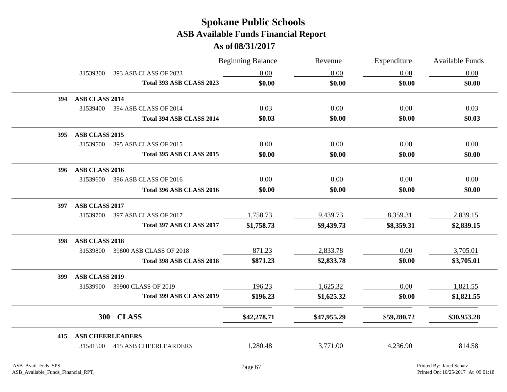|     |                         |                                | <b>Beginning Balance</b> | Revenue     | Expenditure | <b>Available Funds</b> |
|-----|-------------------------|--------------------------------|--------------------------|-------------|-------------|------------------------|
|     | 31539300                | 393 ASB CLASS OF 2023          | 0.00                     | 0.00        | 0.00        | 0.00                   |
|     |                         | Total 393 ASB CLASS 2023       | \$0.00                   | \$0.00      | \$0.00      | \$0.00                 |
| 394 | ASB CLASS 2014          |                                |                          |             |             |                        |
|     | 31539400                | 394 ASB CLASS OF 2014          | 0.03                     | 0.00        | 0.00        | 0.03                   |
|     |                         | Total 394 ASB CLASS 2014       | \$0.03                   | \$0.00      | \$0.00      | \$0.03                 |
| 395 | ASB CLASS 2015          |                                |                          |             |             |                        |
|     | 31539500                | 395 ASB CLASS OF 2015          | 0.00                     | 0.00        | 0.00        | 0.00                   |
|     |                         | Total 395 ASB CLASS 2015       | \$0.00                   | \$0.00      | \$0.00      | \$0.00                 |
| 396 | ASB CLASS 2016          |                                |                          |             |             |                        |
|     | 31539600                | 396 ASB CLASS OF 2016          | 0.00                     | 0.00        | 0.00        | 0.00                   |
|     |                         | Total 396 ASB CLASS 2016       | \$0.00                   | \$0.00      | \$0.00      | \$0.00                 |
| 397 | ASB CLASS 2017          |                                |                          |             |             |                        |
|     |                         | 31539700 397 ASB CLASS OF 2017 | 1,758.73                 | 9,439.73    | 8,359.31    | 2,839.15               |
|     |                         | Total 397 ASB CLASS 2017       | \$1,758.73               | \$9,439.73  | \$8,359.31  | \$2,839.15             |
| 398 | ASB CLASS 2018          |                                |                          |             |             |                        |
|     | 31539800                | 39800 ASB CLASS OF 2018        | 871.23                   | 2,833.78    | 0.00        | 3,705.01               |
|     |                         | Total 398 ASB CLASS 2018       | \$871.23                 | \$2,833.78  | \$0.00      | \$3,705.01             |
| 399 | <b>ASB CLASS 2019</b>   |                                |                          |             |             |                        |
|     | 31539900                | 39900 CLASS OF 2019            | 196.23                   | 1,625.32    | 0.00        | 1,821.55               |
|     |                         | Total 399 ASB CLASS 2019       | \$196.23                 | \$1,625.32  | \$0.00      | \$1,821.55             |
|     |                         | 300 CLASS                      | \$42,278.71              | \$47,955.29 | \$59,280.72 | \$30,953.28            |
| 415 | <b>ASB CHEERLEADERS</b> |                                |                          |             |             |                        |
|     |                         | 31541500 415 ASB CHEERLEARDERS | 1,280.48                 | 3,771.00    | 4,236.90    | 814.58                 |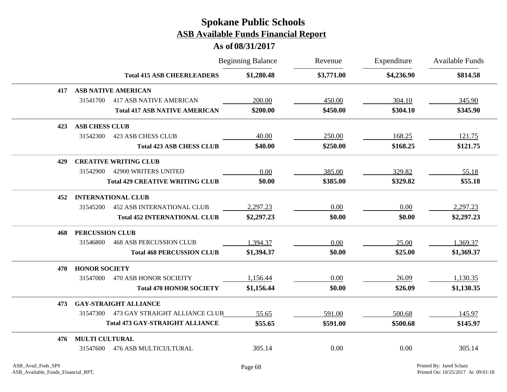|     |                                               |                                      | <b>Beginning Balance</b> | Revenue    | Expenditure | <b>Available Funds</b> |
|-----|-----------------------------------------------|--------------------------------------|--------------------------|------------|-------------|------------------------|
|     |                                               | <b>Total 415 ASB CHEERLEADERS</b>    | \$1,280.48               | \$3,771.00 | \$4,236.90  | \$814.58               |
| 417 | <b>ASB NATIVE AMERICAN</b>                    |                                      |                          |            |             |                        |
|     | 31541700<br><b>417 ASB NATIVE AMERICAN</b>    |                                      | 200.00                   | 450.00     | 304.10      | 345.90                 |
|     |                                               | <b>Total 417 ASB NATIVE AMERICAN</b> | \$200.00                 | \$450.00   | \$304.10    | \$345.90               |
| 423 | <b>ASB CHESS CLUB</b>                         |                                      |                          |            |             |                        |
|     | 31542300<br><b>423 ASB CHESS CLUB</b>         |                                      | 40.00                    | 250.00     | 168.25      | 121.75                 |
|     |                                               | <b>Total 423 ASB CHESS CLUB</b>      | \$40.00                  | \$250.00   | \$168.25    | \$121.75               |
| 429 | <b>CREATIVE WRITING CLUB</b>                  |                                      |                          |            |             |                        |
|     | <b>42900 WRITERS UNITED</b><br>31542900       |                                      | 0.00                     | 385.00     | 329.82      | 55.18                  |
|     | <b>Total 429 CREATIVE WRITING CLUB</b>        |                                      | \$0.00                   | \$385.00   | \$329.82    | \$55.18                |
| 452 | <b>INTERNATIONAL CLUB</b>                     |                                      |                          |            |             |                        |
|     | <b>452 ASB INTERNATIONAL CLUB</b><br>31545200 |                                      | 2,297.23                 | 0.00       | 0.00        | 2,297.23               |
|     |                                               | <b>Total 452 INTERNATIONAL CLUB</b>  | \$2,297.23               | \$0.00     | \$0.00      | \$2,297.23             |
| 468 | PERCUSSION CLUB                               |                                      |                          |            |             |                        |
|     | <b>468 ASB PERCUSSION CLUB</b><br>31546800    |                                      | 1,394.37                 | 0.00       | 25.00       | 1,369.37               |
|     |                                               | <b>Total 468 PERCUSSION CLUB</b>     | \$1,394.37               | \$0.00     | \$25.00     | \$1,369.37             |
| 470 | <b>HONOR SOCIETY</b>                          |                                      |                          |            |             |                        |
|     | 31547000<br>470 ASB HONOR SOCIEITY            |                                      | 1,156.44                 | 0.00       | 26.09       | 1,130.35               |
|     |                                               | <b>Total 470 HONOR SOCIETY</b>       | \$1,156.44               | \$0.00     | \$26.09     | \$1,130.35             |
| 473 | <b>GAY-STRAIGHT ALLIANCE</b>                  |                                      |                          |            |             |                        |
|     | 31547300 473 GAY STRAIGHT ALLIANCE CLUB       |                                      | 55.65                    | 591.00     | 500.68      | 145.97                 |
|     | <b>Total 473 GAY-STRAIGHT ALLIANCE</b>        |                                      | \$55.65                  | \$591.00   | \$500.68    | \$145.97               |
| 476 | <b>MULTI CULTURAL</b>                         |                                      |                          |            |             |                        |
|     | <b>476 ASB MULTICULTURAL</b><br>31547600      |                                      | 305.14                   | 0.00       | 0.00        | 305.14                 |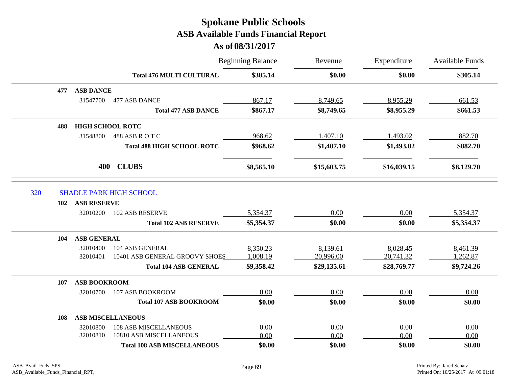|     |                           |                                    | <b>Beginning Balance</b> | Revenue     | Expenditure | <b>Available Funds</b> |
|-----|---------------------------|------------------------------------|--------------------------|-------------|-------------|------------------------|
|     |                           | <b>Total 476 MULTI CULTURAL</b>    | \$305.14                 | \$0.00      | \$0.00      | \$305.14               |
|     | <b>ASB DANCE</b><br>477   |                                    |                          |             |             |                        |
|     | 31547700                  | 477 ASB DANCE                      | 867.17                   | 8,749.65    | 8,955.29    | 661.53                 |
|     |                           | <b>Total 477 ASB DANCE</b>         | \$867.17                 | \$8,749.65  | \$8,955.29  | \$661.53               |
|     | 488                       | <b>HIGH SCHOOL ROTC</b>            |                          |             |             |                        |
|     | 31548800                  | 488 ASB R O T C                    | 968.62                   | 1,407.10    | 1,493.02    | 882.70                 |
|     |                           | <b>Total 488 HIGH SCHOOL ROTC</b>  | \$968.62                 | \$1,407.10  | \$1,493.02  | \$882.70               |
|     |                           | <b>CLUBS</b><br>400                | \$8,565.10               | \$15,603.75 | \$16,039.15 | \$8,129.70             |
| 320 |                           | <b>SHADLE PARK HIGH SCHOOL</b>     |                          |             |             |                        |
|     | <b>ASB RESERVE</b><br>102 |                                    |                          |             |             |                        |
|     | 32010200                  | 102 ASB RESERVE                    | 5,354.37                 | 0.00        | 0.00        | 5,354.37               |
|     |                           | <b>Total 102 ASB RESERVE</b>       | \$5,354.37               | \$0.00      | \$0.00      | \$5,354.37             |
|     | <b>ASB GENERAL</b><br>104 |                                    |                          |             |             |                        |
|     | 32010400                  | 104 ASB GENERAL                    | 8,350.23                 | 8,139.61    | 8,028.45    | 8,461.39               |
|     | 32010401                  | 10401 ASB GENERAL GROOVY SHOES     | 1,008.19                 | 20,996.00   | 20,741.32   | 1,262.87               |
|     |                           | <b>Total 104 ASB GENERAL</b>       | \$9,358.42               | \$29,135.61 | \$28,769.77 | \$9,724.26             |
|     | 107                       | <b>ASB BOOKROOM</b>                |                          |             |             |                        |
|     | 32010700                  | 107 ASB BOOKROOM                   | 0.00                     | 0.00        | 0.00        | 0.00                   |
|     |                           | <b>Total 107 ASB BOOKROOM</b>      | \$0.00                   | \$0.00      | \$0.00      | \$0.00                 |
|     | 108                       | <b>ASB MISCELLANEOUS</b>           |                          |             |             |                        |
|     | 32010800                  | <b>108 ASB MISCELLANEOUS</b>       | 0.00                     | 0.00        | 0.00        | 0.00                   |
|     | 32010810                  | 10810 ASB MISCELLANEOUS            | 0.00                     | 0.00        | 0.00        | 0.00                   |
|     |                           | <b>Total 108 ASB MISCELLANEOUS</b> | \$0.00                   | \$0.00      | \$0.00      | \$0.00                 |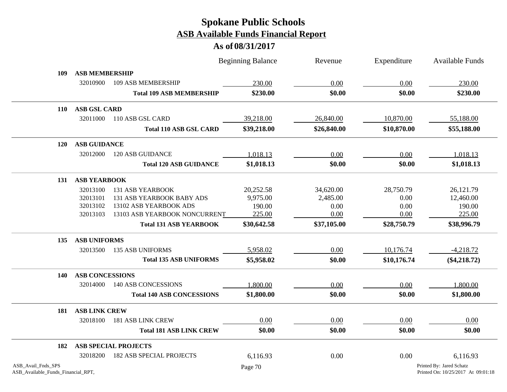|                                                          |                        |                                  | <b>Beginning Balance</b> | Revenue     | Expenditure | <b>Available Funds</b>                                         |
|----------------------------------------------------------|------------------------|----------------------------------|--------------------------|-------------|-------------|----------------------------------------------------------------|
| 109                                                      | <b>ASB MEMBERSHIP</b>  |                                  |                          |             |             |                                                                |
|                                                          | 32010900               | 109 ASB MEMBERSHIP               | 230.00                   | 0.00        | 0.00        | 230.00                                                         |
|                                                          |                        | <b>Total 109 ASB MEMBERSHIP</b>  | \$230.00                 | \$0.00      | \$0.00      | \$230.00                                                       |
| <b>110</b>                                               | <b>ASB GSL CARD</b>    |                                  |                          |             |             |                                                                |
|                                                          | 32011000               | 110 ASB GSL CARD                 | 39,218.00                | 26,840.00   | 10,870.00   | 55,188.00                                                      |
|                                                          |                        | <b>Total 110 ASB GSL CARD</b>    | \$39,218.00              | \$26,840.00 | \$10,870.00 | \$55,188.00                                                    |
| 120                                                      | <b>ASB GUIDANCE</b>    |                                  |                          |             |             |                                                                |
|                                                          | 32012000               | <b>120 ASB GUIDANCE</b>          | 1,018.13                 | 0.00        | 0.00        | 1,018.13                                                       |
|                                                          |                        | <b>Total 120 ASB GUIDANCE</b>    | \$1,018.13               | \$0.00      | \$0.00      | \$1,018.13                                                     |
| 131                                                      | <b>ASB YEARBOOK</b>    |                                  |                          |             |             |                                                                |
|                                                          | 32013100               | <b>131 ASB YEARBOOK</b>          | 20,252.58                | 34,620.00   | 28,750.79   | 26,121.79                                                      |
|                                                          | 32013101               | <b>131 ASB YEARBOOK BABY ADS</b> | 9,975.00                 | 2,485.00    | 0.00        | 12,460.00                                                      |
|                                                          | 32013102               | 13102 ASB YEARBOOK ADS           | 190.00                   | 0.00        | 0.00        | 190.00                                                         |
|                                                          | 32013103               | 13103 ASB YEARBOOK NONCURRENT    | 225.00                   | 0.00        | 0.00        | 225.00                                                         |
|                                                          |                        | <b>Total 131 ASB YEARBOOK</b>    | \$30,642.58              | \$37,105.00 | \$28,750.79 | \$38,996.79                                                    |
| 135                                                      | <b>ASB UNIFORMS</b>    |                                  |                          |             |             |                                                                |
|                                                          | 32013500               | <b>135 ASB UNIFORMS</b>          | 5,958.02                 | 0.00        | 10,176.74   | $-4,218.72$                                                    |
|                                                          |                        | <b>Total 135 ASB UNIFORMS</b>    | \$5,958.02               | \$0.00      | \$10,176.74 | $(\$4,218.72)$                                                 |
| 140                                                      | <b>ASB CONCESSIONS</b> |                                  |                          |             |             |                                                                |
|                                                          | 32014000               | <b>140 ASB CONCESSIONS</b>       | 1,800.00                 | 0.00        | 0.00        | 1,800.00                                                       |
|                                                          |                        | <b>Total 140 ASB CONCESSIONS</b> | \$1,800.00               | \$0.00      | \$0.00      | \$1,800.00                                                     |
| 181                                                      | <b>ASB LINK CREW</b>   |                                  |                          |             |             |                                                                |
|                                                          | 32018100               | <b>181 ASB LINK CREW</b>         | 0.00                     | 0.00        | 0.00        | 0.00                                                           |
|                                                          |                        | <b>Total 181 ASB LINK CREW</b>   | \$0.00                   | \$0.00      | \$0.00      | \$0.00                                                         |
| 182                                                      |                        | <b>ASB SPECIAL PROJECTS</b>      |                          |             |             |                                                                |
|                                                          | 32018200               | <b>182 ASB SPECIAL PROJECTS</b>  | 6,116.93                 | 0.00        | 0.00        | 6,116.93                                                       |
| ASB_Avail_Fnds_SPS<br>ASB_Available_Funds_Financial_RPT, |                        |                                  | Page 70                  |             |             | Printed By: Jared Schatz<br>Printed On: 10/25/2017 At 09:01:18 |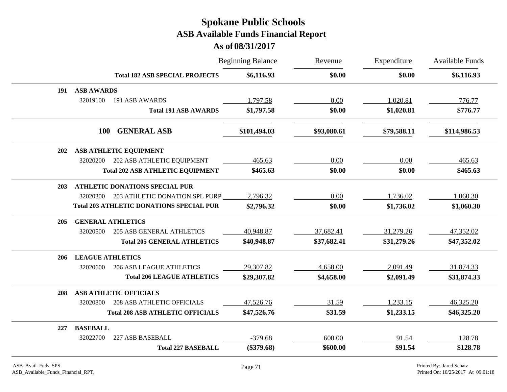|            |                                                 | <b>Beginning Balance</b> | Revenue     | Expenditure | Available Funds |
|------------|-------------------------------------------------|--------------------------|-------------|-------------|-----------------|
|            | <b>Total 182 ASB SPECIAL PROJECTS</b>           | \$6,116.93               | \$0.00      | \$0.00      | \$6,116.93      |
| 191        | <b>ASB AWARDS</b>                               |                          |             |             |                 |
|            | 32019100<br>191 ASB AWARDS                      | 1,797.58                 | 0.00        | 1,020.81    | 776.77          |
|            | <b>Total 191 ASB AWARDS</b>                     | \$1,797.58               | \$0.00      | \$1,020.81  | \$776.77        |
|            | <b>GENERAL ASB</b><br><b>100</b>                | \$101,494.03             | \$93,080.61 | \$79,588.11 | \$114,986.53    |
| 202        | ASB ATHLETIC EQUIPMENT                          |                          |             |             |                 |
|            | 32020200<br>202 ASB ATHLETIC EQUIPMENT          | 465.63                   | 0.00        | 0.00        | 465.63          |
|            | <b>Total 202 ASB ATHLETIC EQUIPMENT</b>         | \$465.63                 | \$0.00      | \$0.00      | \$465.63        |
| 203        | <b>ATHLETIC DONATIONS SPECIAL PUR</b>           |                          |             |             |                 |
|            | 203 ATHLETIC DONATION SPL PURP<br>32020300      | 2,796.32                 | 0.00        | 1,736.02    | 1,060.30        |
|            | <b>Total 203 ATHLETIC DONATIONS SPECIAL PUR</b> | \$2,796.32               | \$0.00      | \$1,736.02  | \$1,060.30      |
| <b>205</b> | <b>GENERAL ATHLETICS</b>                        |                          |             |             |                 |
|            | <b>205 ASB GENERAL ATHLETICS</b><br>32020500    | 40,948.87                | 37,682.41   | 31,279.26   | 47,352.02       |
|            | <b>Total 205 GENERAL ATHLETICS</b>              | \$40,948.87              | \$37,682.41 | \$31,279.26 | \$47,352.02     |
| 206        | <b>LEAGUE ATHLETICS</b>                         |                          |             |             |                 |
|            | <b>206 ASB LEAGUE ATHLETICS</b><br>32020600     | 29,307.82                | 4,658.00    | 2,091.49    | 31,874.33       |
|            | <b>Total 206 LEAGUE ATHLETICS</b>               | \$29,307.82              | \$4,658.00  | \$2,091.49  | \$31,874.33     |
| <b>208</b> | <b>ASB ATHLETIC OFFICIALS</b>                   |                          |             |             |                 |
|            | 32020800<br><b>208 ASB ATHLETIC OFFICIALS</b>   | 47,526.76                | 31.59       | 1,233.15    | 46,325.20       |
|            | <b>Total 208 ASB ATHLETIC OFFICIALS</b>         | \$47,526.76              | \$31.59     | \$1,233.15  | \$46,325.20     |
| 227        | <b>BASEBALL</b>                                 |                          |             |             |                 |
|            | 32022700<br>227 ASB BASEBALL                    | $-379.68$                | 600.00      | 91.54       | 128.78          |
|            | <b>Total 227 BASEBALL</b>                       | $(\$379.68)$             | \$600.00    | \$91.54     | \$128.78        |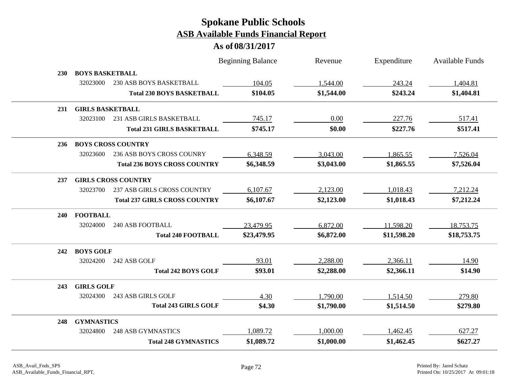|            |                         |                                      | <b>Beginning Balance</b> | Revenue    | Expenditure | Available Funds |
|------------|-------------------------|--------------------------------------|--------------------------|------------|-------------|-----------------|
| <b>230</b> | <b>BOYS BASKETBALL</b>  |                                      |                          |            |             |                 |
|            | 32023000                | 230 ASB BOYS BASKETBALL              | 104.05                   | 1,544.00   | 243.24      | 1,404.81        |
|            |                         | <b>Total 230 BOYS BASKETBALL</b>     | \$104.05                 | \$1,544.00 | \$243.24    | \$1,404.81      |
| 231        | <b>GIRLS BASKETBALL</b> |                                      |                          |            |             |                 |
|            | 32023100                | 231 ASB GIRLS BASKETBALL             | 745.17                   | 0.00       | 227.76      | 517.41          |
|            |                         | <b>Total 231 GIRLS BASKETBALL</b>    | \$745.17                 | \$0.00     | \$227.76    | \$517.41        |
| <b>236</b> |                         | <b>BOYS CROSS COUNTRY</b>            |                          |            |             |                 |
|            | 32023600                | 236 ASB BOYS CROSS COUNRY            | 6,348.59                 | 3,043.00   | 1,865.55    | 7,526.04        |
|            |                         | <b>Total 236 BOYS CROSS COUNTRY</b>  | \$6,348.59               | \$3,043.00 | \$1,865.55  | \$7,526.04      |
| 237        |                         | <b>GIRLS CROSS COUNTRY</b>           |                          |            |             |                 |
|            | 32023700                | <b>237 ASB GIRLS CROSS COUNTRY</b>   | 6,107.67                 | 2,123.00   | 1,018.43    | 7,212.24        |
|            |                         | <b>Total 237 GIRLS CROSS COUNTRY</b> | \$6,107.67               | \$2,123.00 | \$1,018.43  | \$7,212.24      |
| 240        | <b>FOOTBALL</b>         |                                      |                          |            |             |                 |
|            | 32024000                | <b>240 ASB FOOTBALL</b>              | 23,479.95                | 6,872.00   | 11,598.20   | 18,753.75       |
|            |                         | <b>Total 240 FOOTBALL</b>            | \$23,479.95              | \$6,872.00 | \$11,598.20 | \$18,753.75     |
| 242        | <b>BOYS GOLF</b>        |                                      |                          |            |             |                 |
|            | 32024200                | 242 ASB GOLF                         | 93.01                    | 2,288.00   | 2,366.11    | 14.90           |
|            |                         | <b>Total 242 BOYS GOLF</b>           | \$93.01                  | \$2,288.00 | \$2,366.11  | \$14.90         |
| 243        | <b>GIRLS GOLF</b>       |                                      |                          |            |             |                 |
|            | 32024300                | 243 ASB GIRLS GOLF                   | 4.30                     | 1,790.00   | 1,514.50    | 279.80          |
|            |                         | <b>Total 243 GIRLS GOLF</b>          | \$4.30                   | \$1,790.00 | \$1,514.50  | \$279.80        |
| 248        | <b>GYMNASTICS</b>       |                                      |                          |            |             |                 |
|            | 32024800                | <b>248 ASB GYMNASTICS</b>            | 1,089.72                 | 1,000.00   | 1,462.45    | 627.27          |
|            |                         | <b>Total 248 GYMNASTICS</b>          | \$1,089.72               | \$1,000.00 | \$1,462.45  | \$627.27        |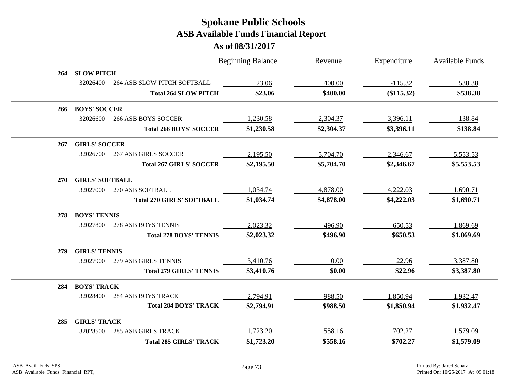|            |                        |                                  | <b>Beginning Balance</b> | Revenue    | Expenditure | Available Funds |
|------------|------------------------|----------------------------------|--------------------------|------------|-------------|-----------------|
| 264        | <b>SLOW PITCH</b>      |                                  |                          |            |             |                 |
|            | 32026400               | 264 ASB SLOW PITCH SOFTBALL      | 23.06                    | 400.00     | $-115.32$   | 538.38          |
|            |                        | <b>Total 264 SLOW PITCH</b>      | \$23.06                  | \$400.00   | (\$115.32)  | \$538.38        |
| 266        | <b>BOYS' SOCCER</b>    |                                  |                          |            |             |                 |
|            | 32026600               | <b>266 ASB BOYS SOCCER</b>       | 1,230.58                 | 2,304.37   | 3,396.11    | 138.84          |
|            |                        | <b>Total 266 BOYS' SOCCER</b>    | \$1,230.58               | \$2,304.37 | \$3,396.11  | \$138.84        |
| 267        | <b>GIRLS' SOCCER</b>   |                                  |                          |            |             |                 |
|            | 32026700               | <b>267 ASB GIRLS SOCCER</b>      | 2,195.50                 | 5,704.70   | 2,346.67    | 5,553.53        |
|            |                        | <b>Total 267 GIRLS' SOCCER</b>   | \$2,195.50               | \$5,704.70 | \$2,346.67  | \$5,553.53      |
| <b>270</b> | <b>GIRLS' SOFTBALL</b> |                                  |                          |            |             |                 |
|            | 32027000               | 270 ASB SOFTBALL                 | 1,034.74                 | 4,878.00   | 4,222.03    | 1,690.71        |
|            |                        | <b>Total 270 GIRLS' SOFTBALL</b> | \$1,034.74               | \$4,878.00 | \$4,222.03  | \$1,690.71      |
| 278        | <b>BOYS' TENNIS</b>    |                                  |                          |            |             |                 |
|            | 32027800               | 278 ASB BOYS TENNIS              | 2,023.32                 | 496.90     | 650.53      | 1,869.69        |
|            |                        | <b>Total 278 BOYS' TENNIS</b>    | \$2,023.32               | \$496.90   | \$650.53    | \$1,869.69      |
| <b>279</b> | <b>GIRLS' TENNIS</b>   |                                  |                          |            |             |                 |
|            | 32027900               | 279 ASB GIRLS TENNIS             | 3,410.76                 | 0.00       | 22.96       | 3,387.80        |
|            |                        | <b>Total 279 GIRLS' TENNIS</b>   | \$3,410.76               | \$0.00     | \$22.96     | \$3,387.80      |
| 284        | <b>BOYS' TRACK</b>     |                                  |                          |            |             |                 |
|            | 32028400               | <b>284 ASB BOYS TRACK</b>        | 2,794.91                 | 988.50     | 1,850.94    | 1,932.47        |
|            |                        | <b>Total 284 BOYS' TRACK</b>     | \$2,794.91               | \$988.50   | \$1,850.94  | \$1,932.47      |
| 285        | <b>GIRLS' TRACK</b>    |                                  |                          |            |             |                 |
|            | 32028500               | <b>285 ASB GIRLS TRACK</b>       | 1,723.20                 | 558.16     | 702.27      | 1,579.09        |
|            |                        | <b>Total 285 GIRLS' TRACK</b>    | \$1,723.20               | \$558.16   | \$702.27    | \$1,579.09      |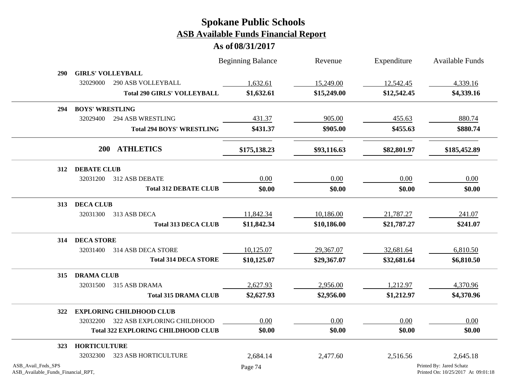|                                                          |                                 |                                           | <b>Beginning Balance</b> | Revenue     | Expenditure | <b>Available Funds</b>                                         |
|----------------------------------------------------------|---------------------------------|-------------------------------------------|--------------------------|-------------|-------------|----------------------------------------------------------------|
| 290                                                      | <b>GIRLS' VOLLEYBALL</b>        |                                           |                          |             |             |                                                                |
|                                                          | 32029000                        | <b>290 ASB VOLLEYBALL</b>                 | 1,632.61                 | 15,249.00   | 12,542.45   | 4,339.16                                                       |
|                                                          |                                 | <b>Total 290 GIRLS' VOLLEYBALL</b>        | \$1,632.61               | \$15,249.00 | \$12,542.45 | \$4,339.16                                                     |
| 294                                                      | <b>BOYS' WRESTLING</b>          |                                           |                          |             |             |                                                                |
|                                                          | 32029400                        | 294 ASB WRESTLING                         | 431.37                   | 905.00      | 455.63      | 880.74                                                         |
|                                                          |                                 | <b>Total 294 BOYS' WRESTLING</b>          | \$431.37                 | \$905.00    | \$455.63    | \$880.74                                                       |
|                                                          | 200 ATHLETICS                   |                                           | \$175,138.23             | \$93,116.63 | \$82,801.97 | \$185,452.89                                                   |
| 312                                                      | <b>DEBATE CLUB</b>              |                                           |                          |             |             |                                                                |
|                                                          | 32031200                        | 312 ASB DEBATE                            | 0.00                     | 0.00        | 0.00        | 0.00                                                           |
|                                                          |                                 | <b>Total 312 DEBATE CLUB</b>              | \$0.00                   | \$0.00      | \$0.00      | \$0.00                                                         |
| 313                                                      | <b>DECA CLUB</b>                |                                           |                          |             |             |                                                                |
|                                                          | 32031300                        | 313 ASB DECA                              | 11,842.34                | 10,186.00   | 21,787.27   | 241.07                                                         |
|                                                          |                                 | <b>Total 313 DECA CLUB</b>                | \$11,842.34              | \$10,186.00 | \$21,787.27 | \$241.07                                                       |
| 314                                                      | <b>DECA STORE</b>               |                                           |                          |             |             |                                                                |
|                                                          | 32031400                        | 314 ASB DECA STORE                        | 10,125.07                | 29,367.07   | 32,681.64   | 6,810.50                                                       |
|                                                          |                                 | <b>Total 314 DECA STORE</b>               | \$10,125.07              | \$29,367.07 | \$32,681.64 | \$6,810.50                                                     |
| 315                                                      | <b>DRAMA CLUB</b>               |                                           |                          |             |             |                                                                |
|                                                          | 32031500                        | 315 ASB DRAMA                             | 2,627.93                 | 2,956.00    | 1,212.97    | 4,370.96                                                       |
|                                                          |                                 | <b>Total 315 DRAMA CLUB</b>               | \$2,627.93               | \$2,956.00  | \$1,212.97  | \$4,370.96                                                     |
| 322                                                      | <b>EXPLORING CHILDHOOD CLUB</b> |                                           |                          |             |             |                                                                |
|                                                          | 32032200                        | 322 ASB EXPLORING CHILDHOOD               | 0.00                     | 0.00        | 0.00        | 0.00                                                           |
|                                                          |                                 | <b>Total 322 EXPLORING CHILDHOOD CLUB</b> | \$0.00                   | \$0.00      | \$0.00      | \$0.00                                                         |
| 323                                                      | <b>HORTICULTURE</b>             |                                           |                          |             |             |                                                                |
|                                                          | 32032300                        | <b>323 ASB HORTICULTURE</b>               | 2,684.14                 | 2,477.60    | 2,516.56    | 2,645.18                                                       |
| ASB_Avail_Fnds_SPS<br>ASB_Available_Funds_Financial_RPT, |                                 |                                           | Page 74                  |             |             | Printed By: Jared Schatz<br>Printed On: 10/25/2017 At 09:01:18 |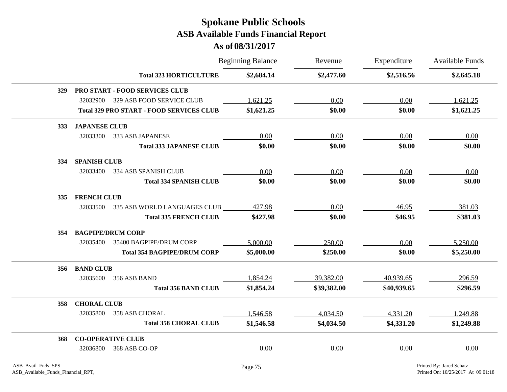|            |                                                 |                                | <b>Beginning Balance</b> | Revenue     | Expenditure | Available Funds |
|------------|-------------------------------------------------|--------------------------------|--------------------------|-------------|-------------|-----------------|
|            |                                                 | <b>Total 323 HORTICULTURE</b>  | \$2,684.14               | \$2,477.60  | \$2,516.56  | \$2,645.18      |
| <b>329</b> | <b>PRO START - FOOD SERVICES CLUB</b>           |                                |                          |             |             |                 |
|            | 329 ASB FOOD SERVICE CLUB<br>32032900           |                                | 1,621.25                 | 0.00        | 0.00        | 1,621.25        |
|            | <b>Total 329 PRO START - FOOD SERVICES CLUB</b> |                                | \$1,621.25               | \$0.00      | \$0.00      | \$1,621.25      |
| 333        | <b>JAPANESE CLUB</b>                            |                                |                          |             |             |                 |
|            | 32033300<br>333 ASB JAPANESE                    |                                | 0.00                     | 0.00        | 0.00        | 0.00            |
|            |                                                 | <b>Total 333 JAPANESE CLUB</b> | \$0.00                   | \$0.00      | \$0.00      | \$0.00          |
| 334        | <b>SPANISH CLUB</b>                             |                                |                          |             |             |                 |
|            | 32033400<br>334 ASB SPANISH CLUB                |                                | 0.00                     | 0.00        | 0.00        | 0.00            |
|            |                                                 | <b>Total 334 SPANISH CLUB</b>  | \$0.00                   | \$0.00      | \$0.00      | \$0.00          |
| <b>335</b> | <b>FRENCH CLUB</b>                              |                                |                          |             |             |                 |
|            | 335 ASB WORLD LANGUAGES CLUB<br>32033500        |                                | 427.98                   | 0.00        | 46.95       | 381.03          |
|            |                                                 | <b>Total 335 FRENCH CLUB</b>   | \$427.98                 | \$0.00      | \$46.95     | \$381.03        |
| 354        | <b>BAGPIPE/DRUM CORP</b>                        |                                |                          |             |             |                 |
|            | 32035400<br>35400 BAGPIPE/DRUM CORP             |                                | 5,000.00                 | 250.00      | 0.00        | 5,250.00        |
|            | <b>Total 354 BAGPIPE/DRUM CORP</b>              |                                | \$5,000.00               | \$250.00    | \$0.00      | \$5,250.00      |
| 356        | <b>BAND CLUB</b>                                |                                |                          |             |             |                 |
|            | 32035600<br>356 ASB BAND                        |                                | 1,854.24                 | 39,382.00   | 40,939.65   | 296.59          |
|            |                                                 | <b>Total 356 BAND CLUB</b>     | \$1,854.24               | \$39,382.00 | \$40,939.65 | \$296.59        |
| 358        | <b>CHORAL CLUB</b>                              |                                |                          |             |             |                 |
|            | 32035800<br>358 ASB CHORAL                      |                                | 1,546.58                 | 4,034.50    | 4,331.20    | 1,249.88        |
|            |                                                 | <b>Total 358 CHORAL CLUB</b>   | \$1,546.58               | \$4,034.50  | \$4,331.20  | \$1,249.88      |
| 368        | <b>CO-OPERATIVE CLUB</b>                        |                                |                          |             |             |                 |
|            | 368 ASB CO-OP<br>32036800                       |                                | 0.00                     | 0.00        | 0.00        | 0.00            |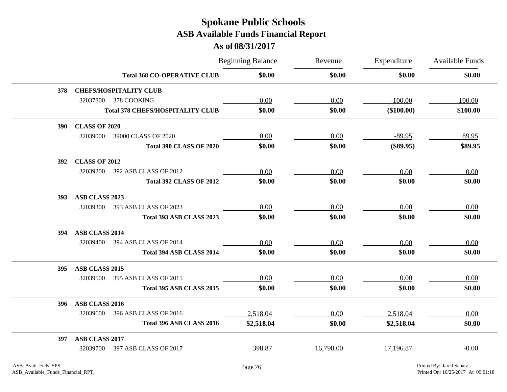|            |                      |                                         | <b>Beginning Balance</b> | Revenue   | Expenditure  | Available Funds |
|------------|----------------------|-----------------------------------------|--------------------------|-----------|--------------|-----------------|
|            |                      | <b>Total 368 CO-OPERATIVE CLUB</b>      | \$0.00                   | \$0.00    | \$0.00       | \$0.00          |
| 378        |                      | <b>CHEFS/HOSPITALITY CLUB</b>           |                          |           |              |                 |
|            | 32037800             | 378 COOKING                             | 0.00                     | 0.00      | $-100.00$    | 100.00          |
|            |                      | <b>Total 378 CHEFS/HOSPITALITY CLUB</b> | \$0.00                   | \$0.00    | $(\$100.00)$ | \$100.00        |
| <b>390</b> | <b>CLASS OF 2020</b> |                                         |                          |           |              |                 |
|            | 32039000             | 39000 CLASS OF 2020                     | 0.00                     | 0.00      | $-89.95$     | 89.95           |
|            |                      | <b>Total 390 CLASS OF 2020</b>          | \$0.00                   | \$0.00    | $(\$89.95)$  | \$89.95         |
| <b>392</b> | <b>CLASS OF 2012</b> |                                         |                          |           |              |                 |
|            | 32039200             | 392 ASB CLASS OF 2012                   | 0.00                     | 0.00      | 0.00         | 0.00            |
|            |                      | <b>Total 392 CLASS OF 2012</b>          | \$0.00                   | \$0.00    | \$0.00       | \$0.00          |
| <b>393</b> | ASB CLASS 2023       |                                         |                          |           |              |                 |
|            | 32039300             | 393 ASB CLASS OF 2023                   | 0.00                     | 0.00      | 0.00         | 0.00            |
|            |                      | <b>Total 393 ASB CLASS 2023</b>         | \$0.00                   | \$0.00    | \$0.00       | \$0.00          |
| 394        | ASB CLASS 2014       |                                         |                          |           |              |                 |
|            | 32039400             | 394 ASB CLASS OF 2014                   | 0.00                     | 0.00      | 0.00         | 0.00            |
|            |                      | Total 394 ASB CLASS 2014                | \$0.00                   | \$0.00    | \$0.00       | \$0.00          |
| <b>395</b> | ASB CLASS 2015       |                                         |                          |           |              |                 |
|            | 32039500             | 395 ASB CLASS OF 2015                   | 0.00                     | 0.00      | 0.00         | 0.00            |
|            |                      | Total 395 ASB CLASS 2015                | \$0.00                   | \$0.00    | \$0.00       | \$0.00          |
| 396        | ASB CLASS 2016       |                                         |                          |           |              |                 |
|            | 32039600             | 396 ASB CLASS OF 2016                   | 2,518.04                 | 0.00      | 2,518.04     | 0.00            |
|            |                      | Total 396 ASB CLASS 2016                | \$2,518.04               | \$0.00    | \$2,518.04   | \$0.00          |
| 397        | ASB CLASS 2017       |                                         |                          |           |              |                 |
|            | 32039700             | 397 ASB CLASS OF 2017                   | 398.87                   | 16,798.00 | 17,196.87    | $-0.00$         |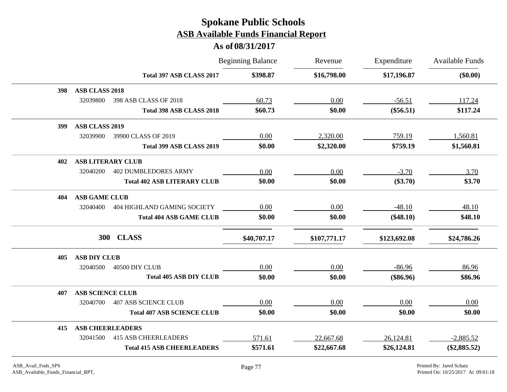|                                         | <b>Beginning Balance</b> | Revenue      | Expenditure  | Available Funds |
|-----------------------------------------|--------------------------|--------------|--------------|-----------------|
| Total 397 ASB CLASS 2017                | \$398.87                 | \$16,798.00  | \$17,196.87  | $(\$0.00)$      |
| <b>ASB CLASS 2018</b><br>398            |                          |              |              |                 |
| 32039800<br>398 ASB CLASS OF 2018       | 60.73                    | 0.00         | $-56.51$     | 117.24          |
| Total 398 ASB CLASS 2018                | \$60.73                  | \$0.00       | $(\$56.51)$  | \$117.24        |
| <b>ASB CLASS 2019</b><br>399            |                          |              |              |                 |
| 32039900<br>39900 CLASS OF 2019         | 0.00                     | 2,320.00     | 759.19       | 1,560.81        |
| Total 399 ASB CLASS 2019                | \$0.00                   | \$2,320.00   | \$759.19     | \$1,560.81      |
| <b>ASB LITERARY CLUB</b><br>402         |                          |              |              |                 |
| <b>402 DUMBLEDORES ARMY</b><br>32040200 | 0.00                     | 0.00         | $-3.70$      | 3.70            |
| <b>Total 402 ASB LITERARY CLUB</b>      | \$0.00                   | \$0.00       | $(\$3.70)$   | \$3.70          |
| <b>ASB GAME CLUB</b><br>404             |                          |              |              |                 |
| 32040400<br>404 HIGHLAND GAMING SOCIETY | 0.00                     | 0.00         | $-48.10$     | 48.10           |
| <b>Total 404 ASB GAME CLUB</b>          | \$0.00                   | \$0.00       | $(\$48.10)$  | \$48.10         |
| 300<br><b>CLASS</b>                     | \$40,707.17              | \$107,771.17 | \$123,692.08 | \$24,786.26     |
| <b>ASB DIY CLUB</b><br>405              |                          |              |              |                 |
| 32040500<br>40500 DIY CLUB              | 0.00                     | 0.00         | $-86.96$     | 86.96           |
| <b>Total 405 ASB DIY CLUB</b>           | \$0.00                   | \$0.00       | $(\$86.96)$  | \$86.96         |
| <b>ASB SCIENCE CLUB</b><br>407          |                          |              |              |                 |
| <b>407 ASB SCIENCE CLUB</b><br>32040700 | 0.00                     | 0.00         | 0.00         | 0.00            |
| <b>Total 407 ASB SCIENCE CLUB</b>       | \$0.00                   | \$0.00       | \$0.00       | \$0.00          |
| <b>ASB CHEERLEADERS</b><br>415          |                          |              |              |                 |
| 32041500<br><b>415 ASB CHEERLEADERS</b> | 571.61                   | 22,667.68    | 26,124.81    | $-2,885.52$     |
| <b>Total 415 ASB CHEERLEADERS</b>       | \$571.61                 | \$22,667.68  | \$26,124.81  | $(\$2,885.52)$  |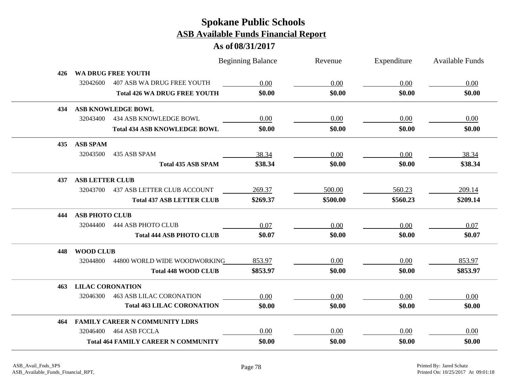|     |                         |                                            | <b>Beginning Balance</b> | Revenue  | Expenditure | Available Funds |
|-----|-------------------------|--------------------------------------------|--------------------------|----------|-------------|-----------------|
| 426 |                         | WA DRUG FREE YOUTH                         |                          |          |             |                 |
|     | 32042600                | 407 ASB WA DRUG FREE YOUTH                 | 0.00                     | 0.00     | 0.00        | 0.00            |
|     |                         | <b>Total 426 WA DRUG FREE YOUTH</b>        | \$0.00                   | \$0.00   | \$0.00      | \$0.00          |
| 434 |                         | <b>ASB KNOWLEDGE BOWL</b>                  |                          |          |             |                 |
|     | 32043400                | 434 ASB KNOWLEDGE BOWL                     | 0.00                     | 0.00     | 0.00        | 0.00            |
|     |                         | <b>Total 434 ASB KNOWLEDGE BOWL</b>        | \$0.00                   | \$0.00   | \$0.00      | \$0.00          |
| 435 | <b>ASB SPAM</b>         |                                            |                          |          |             |                 |
|     | 32043500                | 435 ASB SPAM                               | 38.34                    | 0.00     | 0.00        | 38.34           |
|     |                         | <b>Total 435 ASB SPAM</b>                  | \$38.34                  | \$0.00   | \$0.00      | \$38.34         |
| 437 | <b>ASB LETTER CLUB</b>  |                                            |                          |          |             |                 |
|     | 32043700                | <b>437 ASB LETTER CLUB ACCOUNT</b>         | 269.37                   | 500.00   | 560.23      | 209.14          |
|     |                         | <b>Total 437 ASB LETTER CLUB</b>           | \$269.37                 | \$500.00 | \$560.23    | \$209.14        |
| 444 | <b>ASB PHOTO CLUB</b>   |                                            |                          |          |             |                 |
|     | 32044400                | 444 ASB PHOTO CLUB                         | 0.07                     | 0.00     | 0.00        | 0.07            |
|     |                         | <b>Total 444 ASB PHOTO CLUB</b>            | \$0.07                   | \$0.00   | \$0.00      | \$0.07          |
| 448 | <b>WOOD CLUB</b>        |                                            |                          |          |             |                 |
|     | 32044800                | 44800 WORLD WIDE WOODWORKING               | 853.97                   | 0.00     | 0.00        | 853.97          |
|     |                         | <b>Total 448 WOOD CLUB</b>                 | \$853.97                 | \$0.00   | \$0.00      | \$853.97        |
| 463 | <b>LILAC CORONATION</b> |                                            |                          |          |             |                 |
|     | 32046300                | <b>463 ASB LILAC CORONATION</b>            | 0.00                     | 0.00     | 0.00        | 0.00            |
|     |                         | <b>Total 463 LILAC CORONATION</b>          | \$0.00                   | \$0.00   | \$0.00      | \$0.00          |
| 464 |                         | <b>FAMILY CAREER N COMMUNITY LDRS</b>      |                          |          |             |                 |
|     | 32046400                | 464 ASB FCCLA                              | 0.00                     | 0.00     | 0.00        | 0.00            |
|     |                         | <b>Total 464 FAMILY CAREER N COMMUNITY</b> | \$0.00                   | \$0.00   | \$0.00      | \$0.00          |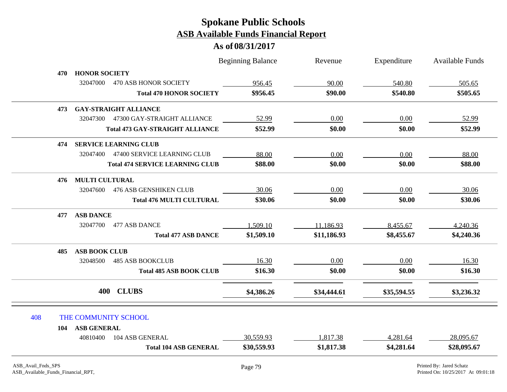|     |                       |                                        | <b>Beginning Balance</b> | Revenue     | Expenditure | <b>Available Funds</b> |
|-----|-----------------------|----------------------------------------|--------------------------|-------------|-------------|------------------------|
| 470 | <b>HONOR SOCIETY</b>  |                                        |                          |             |             |                        |
|     | 32047000              | 470 ASB HONOR SOCIETY                  | 956.45                   | 90.00       | 540.80      | 505.65                 |
|     |                       | <b>Total 470 HONOR SOCIETY</b>         | \$956.45                 | \$90.00     | \$540.80    | \$505.65               |
| 473 |                       | <b>GAY-STRAIGHT ALLIANCE</b>           |                          |             |             |                        |
|     | 32047300              | 47300 GAY-STRAIGHT ALLIANCE            | 52.99                    | 0.00        | 0.00        | 52.99                  |
|     |                       | <b>Total 473 GAY-STRAIGHT ALLIANCE</b> | \$52.99                  | \$0.00      | \$0.00      | \$52.99                |
| 474 |                       | <b>SERVICE LEARNING CLUB</b>           |                          |             |             |                        |
|     | 32047400              | 47400 SERVICE LEARNING CLUB            | 88.00                    | 0.00        | 0.00        | 88.00                  |
|     |                       | <b>Total 474 SERVICE LEARNING CLUB</b> | \$88.00                  | \$0.00      | \$0.00      | \$88.00                |
| 476 | <b>MULTI CULTURAL</b> |                                        |                          |             |             |                        |
|     | 32047600              | <b>476 ASB GENSHIKEN CLUB</b>          | 30.06                    | 0.00        | 0.00        | 30.06                  |
|     |                       | <b>Total 476 MULTI CULTURAL</b>        | \$30.06                  | \$0.00      | \$0.00      | \$30.06                |
| 477 | <b>ASB DANCE</b>      |                                        |                          |             |             |                        |
|     | 32047700              | 477 ASB DANCE                          | 1,509.10                 | 11,186.93   | 8,455.67    | 4,240.36               |
|     |                       | <b>Total 477 ASB DANCE</b>             | \$1,509.10               | \$11,186.93 | \$8,455.67  | \$4,240.36             |
| 485 | <b>ASB BOOK CLUB</b>  |                                        |                          |             |             |                        |
|     | 32048500              | <b>485 ASB BOOKCLUB</b>                | 16.30                    | $0.00\,$    | 0.00        | 16.30                  |
|     |                       | <b>Total 485 ASB BOOK CLUB</b>         | \$16.30                  | \$0.00      | \$0.00      | \$16.30                |
|     | 400                   | <b>CLUBS</b>                           | \$4,386.26               | \$34,444.61 | \$35,594.55 | \$3,236.32             |
| 408 |                       | THE COMMUNITY SCHOOL                   |                          |             |             |                        |
| 104 | <b>ASB GENERAL</b>    |                                        |                          |             |             |                        |
|     | 40810400              | 104 ASB GENERAL                        | 30,559.93                | 1,817.38    | 4,281.64    | 28,095.67              |
|     |                       | <b>Total 104 ASB GENERAL</b>           | \$30,559.93              | \$1,817.38  | \$4,281.64  | \$28,095.67            |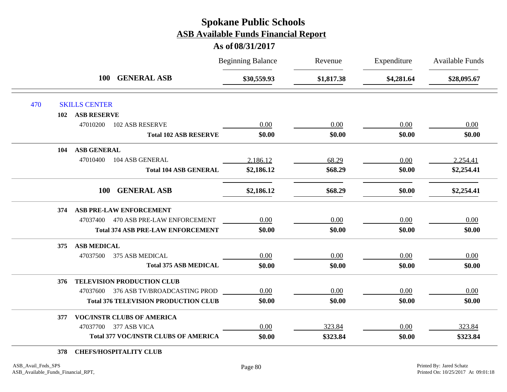#### **As of 08/31/2017**

|     |                           |                                             | <b>Beginning Balance</b> | Revenue    | Expenditure | Available Funds |
|-----|---------------------------|---------------------------------------------|--------------------------|------------|-------------|-----------------|
|     | <b>100</b>                | <b>GENERAL ASB</b>                          | \$30,559.93              | \$1,817.38 | \$4,281.64  | \$28,095.67     |
| 470 | <b>SKILLS CENTER</b>      |                                             |                          |            |             |                 |
|     | <b>ASB RESERVE</b><br>102 |                                             |                          |            |             |                 |
|     | 47010200                  | <b>102 ASB RESERVE</b>                      | 0.00                     | 0.00       | 0.00        | 0.00            |
|     |                           | <b>Total 102 ASB RESERVE</b>                | \$0.00                   | \$0.00     | \$0.00      | \$0.00          |
|     | <b>ASB GENERAL</b><br>104 |                                             |                          |            |             |                 |
|     | 47010400                  | 104 ASB GENERAL                             | 2,186.12                 | 68.29      | 0.00        | 2,254.41        |
|     |                           | <b>Total 104 ASB GENERAL</b>                | \$2,186.12               | \$68.29    | \$0.00      | \$2,254.41      |
|     | <b>100</b>                | <b>GENERAL ASB</b>                          | \$2,186.12               | \$68.29    | \$0.00      | \$2,254.41      |
|     | 374                       | ASB PRE-LAW ENFORCEMENT                     |                          |            |             |                 |
|     |                           | 47037400 470 ASB PRE-LAW ENFORCEMENT        | 0.00                     | 0.00       | 0.00        | 0.00            |
|     |                           | <b>Total 374 ASB PRE-LAW ENFORCEMENT</b>    | \$0.00                   | \$0.00     | \$0.00      | \$0.00          |
|     | <b>ASB MEDICAL</b><br>375 |                                             |                          |            |             |                 |
|     | 47037500                  | 375 ASB MEDICAL                             | 0.00                     | 0.00       | 0.00        | 0.00            |
|     |                           | <b>Total 375 ASB MEDICAL</b>                | \$0.00                   | \$0.00     | \$0.00      | \$0.00          |
|     | 376                       | TELEVISION PRODUCTION CLUB                  |                          |            |             |                 |
|     |                           | 47037600 376 ASB TV/BROADCASTING PROD       | 0.00                     | 0.00       | 0.00        | 0.00            |
|     |                           | <b>Total 376 TELEVISION PRODUCTION CLUB</b> | \$0.00                   | \$0.00     | \$0.00      | \$0.00          |
|     | 377                       | <b>VOC/INSTR CLUBS OF AMERICA</b>           |                          |            |             |                 |
|     | 47037700                  | 377 ASB VICA                                | 0.00                     | 323.84     | 0.00        | 323.84          |
|     |                           | <b>Total 377 VOC/INSTR CLUBS OF AMERICA</b> | \$0.00                   | \$323.84   | \$0.00      | \$323.84        |
|     |                           |                                             |                          |            |             |                 |

**378 CHEFS/HOSPITALITY CLUB**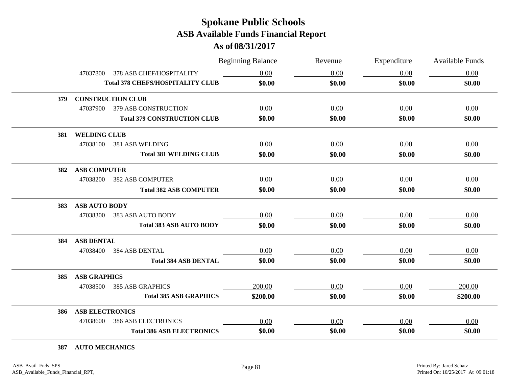#### **As of 08/31/2017**

|     |                        |                                         | <b>Beginning Balance</b> | Revenue | Expenditure | Available Funds |
|-----|------------------------|-----------------------------------------|--------------------------|---------|-------------|-----------------|
|     | 47037800               | 378 ASB CHEF/HOSPITALITY                | 0.00                     | 0.00    | 0.00        | 0.00            |
|     |                        | <b>Total 378 CHEFS/HOSPITALITY CLUB</b> | \$0.00                   | \$0.00  | \$0.00      | \$0.00          |
| 379 |                        | <b>CONSTRUCTION CLUB</b>                |                          |         |             |                 |
|     | 47037900               | 379 ASB CONSTRUCTION                    | 0.00                     | 0.00    | 0.00        | 0.00            |
|     |                        | <b>Total 379 CONSTRUCTION CLUB</b>      | \$0.00                   | \$0.00  | \$0.00      | \$0.00          |
| 381 | <b>WELDING CLUB</b>    |                                         |                          |         |             |                 |
|     | 47038100               | 381 ASB WELDING                         | 0.00                     | 0.00    | 0.00        | 0.00            |
|     |                        | <b>Total 381 WELDING CLUB</b>           | \$0.00                   | \$0.00  | \$0.00      | \$0.00          |
| 382 | <b>ASB COMPUTER</b>    |                                         |                          |         |             |                 |
|     | 47038200               | <b>382 ASB COMPUTER</b>                 | 0.00                     | 0.00    | 0.00        | 0.00            |
|     |                        | <b>Total 382 ASB COMPUTER</b>           | \$0.00                   | \$0.00  | \$0.00      | \$0.00          |
| 383 | <b>ASB AUTO BODY</b>   |                                         |                          |         |             |                 |
|     | 47038300               | 383 ASB AUTO BODY                       | 0.00                     | 0.00    | 0.00        | 0.00            |
|     |                        | <b>Total 383 ASB AUTO BODY</b>          | \$0.00                   | \$0.00  | \$0.00      | \$0.00          |
| 384 | <b>ASB DENTAL</b>      |                                         |                          |         |             |                 |
|     | 47038400               | <b>384 ASB DENTAL</b>                   | 0.00                     | 0.00    | 0.00        | 0.00            |
|     |                        | <b>Total 384 ASB DENTAL</b>             | \$0.00                   | \$0.00  | \$0.00      | \$0.00          |
| 385 | <b>ASB GRAPHICS</b>    |                                         |                          |         |             |                 |
|     | 47038500               | <b>385 ASB GRAPHICS</b>                 | 200.00                   | 0.00    | 0.00        | 200.00          |
|     |                        | <b>Total 385 ASB GRAPHICS</b>           | \$200.00                 | \$0.00  | \$0.00      | \$200.00        |
| 386 | <b>ASB ELECTRONICS</b> |                                         |                          |         |             |                 |
|     | 47038600               | <b>386 ASB ELECTRONICS</b>              | 0.00                     | 0.00    | 0.00        | 0.00            |
|     |                        | <b>Total 386 ASB ELECTRONICS</b>        | \$0.00                   | \$0.00  | \$0.00      | \$0.00          |

#### **387 AUTO MECHANICS**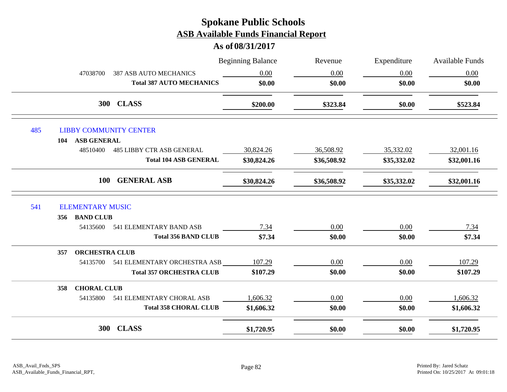|     | 47038700                                                   | <b>387 ASB AUTO MECHANICS</b><br><b>Total 387 AUTO MECHANICS</b> | <b>Beginning Balance</b><br>0.00<br>\$0.00 | Revenue<br>0.00<br>\$0.00 | Expenditure<br>0.00<br>\$0.00 | <b>Available Funds</b><br>0.00<br>\$0.00 |
|-----|------------------------------------------------------------|------------------------------------------------------------------|--------------------------------------------|---------------------------|-------------------------------|------------------------------------------|
|     |                                                            | <b>300 CLASS</b>                                                 | \$200.00                                   | \$323.84                  | \$0.00                        | \$523.84                                 |
| 485 | <b>LIBBY COMMUNITY CENTER</b><br><b>ASB GENERAL</b><br>104 |                                                                  |                                            |                           |                               |                                          |
|     | 48510400                                                   | <b>485 LIBBY CTR ASB GENERAL</b>                                 | 30,824.26                                  | 36,508.92                 | 35,332.02                     | 32,001.16                                |
|     |                                                            | <b>Total 104 ASB GENERAL</b>                                     | \$30,824.26                                | \$36,508.92               | \$35,332.02                   | \$32,001.16                              |
|     | <b>100</b>                                                 | <b>GENERAL ASB</b>                                               | \$30,824.26                                | \$36,508.92               | \$35,332.02                   | \$32,001.16                              |
| 541 | <b>ELEMENTARY MUSIC</b>                                    |                                                                  |                                            |                           |                               |                                          |
|     | 356 BAND CLUB                                              |                                                                  |                                            |                           |                               |                                          |
|     | 54135600                                                   | 541 ELEMENTARY BAND ASB                                          | 7.34                                       | 0.00                      | 0.00                          | 7.34                                     |
|     |                                                            | <b>Total 356 BAND CLUB</b>                                       | \$7.34                                     | \$0.00                    | \$0.00                        | \$7.34                                   |
|     | <b>ORCHESTRA CLUB</b><br>357                               |                                                                  |                                            |                           |                               |                                          |
|     | 54135700                                                   | 541 ELEMENTARY ORCHESTRA ASB                                     | 107.29                                     | 0.00                      | 0.00                          | 107.29                                   |
|     |                                                            | <b>Total 357 ORCHESTRA CLUB</b>                                  | \$107.29                                   | \$0.00                    | \$0.00                        | \$107.29                                 |
|     | <b>CHORAL CLUB</b><br>358                                  |                                                                  |                                            |                           |                               |                                          |
|     | 54135800                                                   | 541 ELEMENTARY CHORAL ASB                                        | 1,606.32                                   | 0.00                      | $0.00\,$                      | 1,606.32                                 |
|     |                                                            | <b>Total 358 CHORAL CLUB</b>                                     | \$1,606.32                                 | \$0.00                    | \$0.00                        | \$1,606.32                               |
|     | <b>300</b>                                                 | <b>CLASS</b>                                                     | \$1,720.95                                 | \$0.00                    | \$0.00                        | \$1,720.95                               |